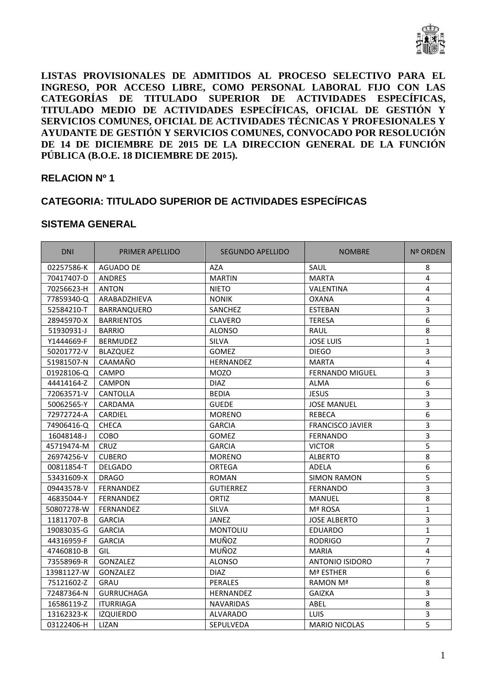

**LISTAS PROVISIONALES DE ADMITIDOS AL PROCESO SELECTIVO PARA EL INGRESO, POR ACCESO LIBRE, COMO PERSONAL LABORAL FIJO CON LAS CATEGORÍAS DE TITULADO SUPERIOR DE ACTIVIDADES ESPECÍFICAS, TITULADO MEDIO DE ACTIVIDADES ESPECÍFICAS, OFICIAL DE GESTIÓN Y SERVICIOS COMUNES, OFICIAL DE ACTIVIDADES TÉCNICAS Y PROFESIONALES Y AYUDANTE DE GESTIÓN Y SERVICIOS COMUNES, CONVOCADO POR RESOLUCIÓN DE 14 DE DICIEMBRE DE 2015 DE LA DIRECCION GENERAL DE LA FUNCIÓN PÚBLICA (B.O.E. 18 DICIEMBRE DE 2015).** 

#### **RELACION Nº 1**

### **CATEGORIA: TITULADO SUPERIOR DE ACTIVIDADES ESPECÍFICAS**

| <b>DNI</b> | PRIMER APELLIDO   | <b>SEGUNDO APELLIDO</b> | <b>NOMBRE</b>           | <b>Nº ORDEN</b>         |
|------------|-------------------|-------------------------|-------------------------|-------------------------|
| 02257586-K | <b>AGUADO DE</b>  | AZA                     | SAUL                    | 8                       |
| 70417407-D | <b>ANDRES</b>     | <b>MARTIN</b>           | <b>MARTA</b>            | 4                       |
| 70256623-H | <b>ANTON</b>      | <b>NIETO</b>            | VALENTINA               | 4                       |
| 77859340-Q | ARABADZHIEVA      | <b>NONIK</b>            | <b>OXANA</b>            | 4                       |
| 52584210-T | BARRANQUERO       | SANCHEZ                 | <b>ESTEBAN</b>          | $\overline{3}$          |
| 28945970-X | <b>BARRIENTOS</b> | <b>CLAVERO</b>          | <b>TERESA</b>           | 6                       |
| 51930931-J | <b>BARRIO</b>     | <b>ALONSO</b>           | RAUL                    | 8                       |
| Y1444669-F | <b>BERMUDEZ</b>   | <b>SILVA</b>            | <b>JOSE LUIS</b>        | $\mathbf{1}$            |
| 50201772-V | <b>BLAZQUEZ</b>   | <b>GOMEZ</b>            | <b>DIEGO</b>            | $\overline{3}$          |
| 51981507-N | CAAMAÑO           | HERNANDEZ               | <b>MARTA</b>            | $\overline{\mathbf{4}}$ |
| 01928106-Q | CAMPO             | <b>MOZO</b>             | <b>FERNANDO MIGUEL</b>  | 3                       |
| 44414164-Z | <b>CAMPON</b>     | <b>DIAZ</b>             | <b>ALMA</b>             | $\overline{6}$          |
| 72063571-V | <b>CANTOLLA</b>   | <b>BEDIA</b>            | <b>JESUS</b>            | 3                       |
| 50062565-Y | CARDAMA           | <b>GUEDE</b>            | <b>JOSE MANUEL</b>      | $\overline{3}$          |
| 72972724-A | <b>CARDIEL</b>    | <b>MORENO</b>           | <b>REBECA</b>           | 6                       |
| 74906416-Q | CHECA             | <b>GARCIA</b>           | <b>FRANCISCO JAVIER</b> | 3                       |
| 16048148-J | COBO              | GOMEZ                   | <b>FERNANDO</b>         | $\overline{3}$          |
| 45719474-M | CRUZ              | <b>GARCIA</b>           | <b>VICTOR</b>           | $\overline{5}$          |
| 26974256-V | <b>CUBERO</b>     | <b>MORENO</b>           | <b>ALBERTO</b>          | 8                       |
| 00811854-T | <b>DELGADO</b>    | <b>ORTEGA</b>           | <b>ADELA</b>            | 6                       |
| 53431609-X | <b>DRAGO</b>      | ROMAN                   | <b>SIMON RAMON</b>      | $\overline{5}$          |
| 09443578-V | FERNANDEZ         | <b>GUTIERREZ</b>        | FERNANDO                | $\overline{3}$          |
| 46835044-Y | FERNANDEZ         | ORTIZ                   | MANUEL                  | 8                       |
| 50807278-W | <b>FERNANDEZ</b>  | <b>SILVA</b>            | Mª ROSA                 | $\mathbf{1}$            |
| 11811707-B | <b>GARCIA</b>     | JANEZ                   | <b>JOSE ALBERTO</b>     | 3                       |
| 19083035-G | <b>GARCIA</b>     | MONTOLIU                | <b>EDUARDO</b>          | $\mathbf{1}$            |
| 44316959-F | <b>GARCIA</b>     | MUÑOZ                   | <b>RODRIGO</b>          | $\overline{7}$          |
| 47460810-B | GIL               | MUÑOZ                   | <b>MARIA</b>            | 4                       |
| 73558969-R | GONZALEZ          | <b>ALONSO</b>           | ANTONIO ISIDORO         | $\overline{7}$          |
| 13981127-W | GONZALEZ          | <b>DIAZ</b>             | Mª ESTHER               | 6                       |
| 75121602-Z | GRAU              | PERALES                 | RAMON Mª                | 8                       |
| 72487364-N | <b>GURRUCHAGA</b> | HERNANDEZ               | <b>GAIZKA</b>           | $\overline{3}$          |
| 16586119-Z | <b>ITURRIAGA</b>  | <b>NAVARIDAS</b>        | ABEL                    | 8                       |
| 13162323-K | <b>IZQUIERDO</b>  | ALVARADO                | <b>LUIS</b>             | $\overline{\mathbf{3}}$ |
| 03122406-H | <b>LIZAN</b>      | <b>SEPULVEDA</b>        | <b>MARIO NICOLAS</b>    | 5                       |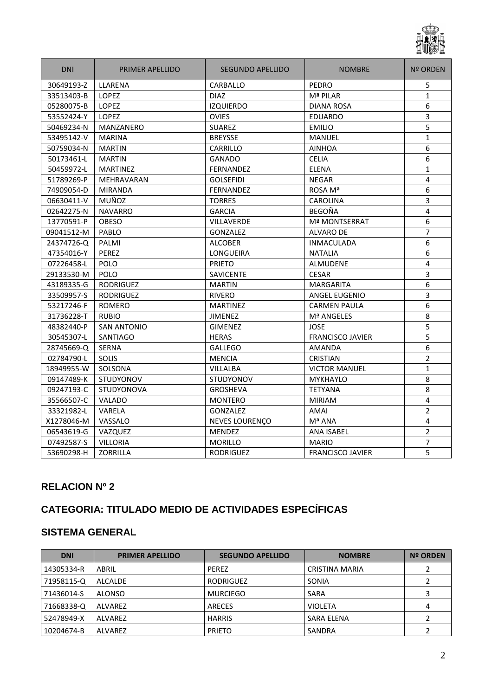

| <b>DNI</b> | PRIMER APELLIDO    | <b>SEGUNDO APELLIDO</b> | <b>NOMBRE</b>           | <b>Nº ORDEN</b> |
|------------|--------------------|-------------------------|-------------------------|-----------------|
| 30649193-Z | LLARENA            | CARBALLO                | PEDRO                   | 5               |
| 33513403-B | LOPEZ              | <b>DIAZ</b>             | Mª PILAR                | $\mathbf{1}$    |
| 05280075-B | LOPEZ              | <b>IZQUIERDO</b>        | DIANA ROSA              | 6               |
| 53552424-Y | <b>LOPEZ</b>       | <b>OVIES</b>            | <b>EDUARDO</b>          | 3               |
| 50469234-N | <b>MANZANERO</b>   | <b>SUAREZ</b>           | <b>EMILIO</b>           | 5               |
| 53495142-V | <b>MARINA</b>      | <b>BREYSSE</b>          | <b>MANUEL</b>           | $\mathbf{1}$    |
| 50759034-N | <b>MARTIN</b>      | CARRILLO                | <b>AINHOA</b>           | 6               |
| 50173461-L | <b>MARTIN</b>      | <b>GANADO</b>           | <b>CELIA</b>            | 6               |
| 50459972-L | <b>MARTINEZ</b>    | <b>FERNANDEZ</b>        | <b>ELENA</b>            | $\mathbf{1}$    |
| 51789269-P | <b>MEHRAVARAN</b>  | <b>GOLSEFIDI</b>        | <b>NEGAR</b>            | $\overline{4}$  |
| 74909054-D | <b>MIRANDA</b>     | <b>FERNANDEZ</b>        | ROSA Mª                 | 6               |
| 06630411-V | MUÑOZ              | <b>TORRES</b>           | <b>CAROLINA</b>         | 3               |
| 02642275-N | <b>NAVARRO</b>     | <b>GARCIA</b>           | <b>BEGOÑA</b>           | $\overline{4}$  |
| 13770591-P | <b>OBESO</b>       | <b>VILLAVERDE</b>       | <b>Mª MONTSERRAT</b>    | 6               |
| 09041512-M | PABLO              | <b>GONZALEZ</b>         | <b>ALVARO DE</b>        | $\overline{7}$  |
| 24374726-Q | PALMI              | <b>ALCOBER</b>          | <b>INMACULADA</b>       | 6               |
| 47354016-Y | PEREZ              | <b>LONGUEIRA</b>        | <b>NATALIA</b>          | 6               |
| 07226458-L | POLO               | <b>PRIETO</b>           | <b>ALMUDENE</b>         | $\overline{4}$  |
| 29133530-M | POLO               | SAVICENTE               | <b>CESAR</b>            | 3               |
| 43189335-G | <b>RODRIGUEZ</b>   | <b>MARTIN</b>           | <b>MARGARITA</b>        | 6               |
| 33509957-S | <b>RODRIGUEZ</b>   | <b>RIVERO</b>           | <b>ANGEL EUGENIO</b>    | 3               |
| 53217246-F | <b>ROMERO</b>      | <b>MARTINEZ</b>         | <b>CARMEN PAULA</b>     | 6               |
| 31736228-T | <b>RUBIO</b>       | <b>JIMENEZ</b>          | Mª ANGELES              | 8               |
| 48382440-P | <b>SAN ANTONIO</b> | <b>GIMENEZ</b>          | <b>JOSE</b>             | 5               |
| 30545307-L | <b>SANTIAGO</b>    | <b>HERAS</b>            | <b>FRANCISCO JAVIER</b> | $\overline{5}$  |
| 28745669-Q | <b>SERNA</b>       | <b>GALLEGO</b>          | <b>AMANDA</b>           | 6               |
| 02784790-L | <b>SOLIS</b>       | <b>MENCIA</b>           | <b>CRISTIAN</b>         | $\overline{2}$  |
| 18949955-W | SOLSONA            | VILLALBA                | <b>VICTOR MANUEL</b>    | $\mathbf{1}$    |
| 09147489-K | <b>STUDYONOV</b>   | <b>STUDYONOV</b>        | <b>MYKHAYLO</b>         | 8               |
| 09247193-C | <b>STUDYONOVA</b>  | <b>GROSHEVA</b>         | <b>TETYANA</b>          | 8               |
| 35566507-C | VALADO             | <b>MONTERO</b>          | <b>MIRIAM</b>           | 4               |
| 33321982-L | VARELA             | <b>GONZALEZ</b>         | AMAI                    | $\overline{2}$  |
| X1278046-M | VASSALO            | <b>NEVES LOURENÇO</b>   | Mª ANA                  | $\overline{4}$  |
| 06543619-G | VAZQUEZ            | <b>MENDEZ</b>           | <b>ANA ISABEL</b>       | $\overline{2}$  |
| 07492587-S | <b>VILLORIA</b>    | <b>MORILLO</b>          | <b>MARIO</b>            | $\overline{7}$  |
| 53690298-H | <b>ZORRILLA</b>    | <b>RODRIGUEZ</b>        | <b>FRANCISCO JAVIER</b> | 5               |

## **CATEGORIA: TITULADO MEDIO DE ACTIVIDADES ESPECÍFICAS**

| <b>DNI</b> | <b>PRIMER APELLIDO</b> | <b>SEGUNDO APELLIDO</b> | <b>NOMBRE</b>         | <b>Nº ORDEN</b> |
|------------|------------------------|-------------------------|-----------------------|-----------------|
| 14305334-R | ABRIL                  | <b>PEREZ</b>            | <b>CRISTINA MARIA</b> |                 |
| 71958115-Q | ALCALDE                | <b>RODRIGUEZ</b>        | SONIA                 |                 |
| 71436014-S | <b>ALONSO</b>          | <b>MURCIEGO</b>         | <b>SARA</b>           |                 |
| 71668338-Q | ALVAREZ                | ARECES                  | <b>VIOLETA</b>        | 4               |
| 52478949-X | <b>ALVAREZ</b>         | <b>HARRIS</b>           | SARA ELENA            |                 |
| 10204674-B | ALVAREZ                | <b>PRIETO</b>           | SANDRA                |                 |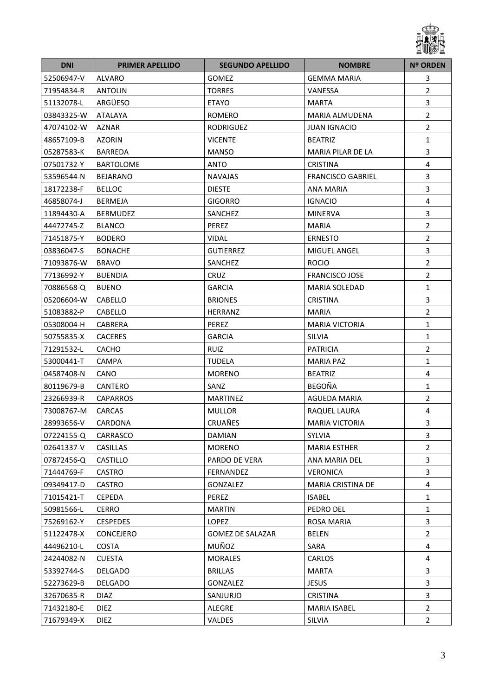

| <b>DNI</b> | <b>PRIMER APELLIDO</b> | <b>SEGUNDO APELLIDO</b> | <b>NOMBRE</b>            | <b>Nº ORDEN</b>         |
|------------|------------------------|-------------------------|--------------------------|-------------------------|
| 52506947-V | ALVARO                 | <b>GOMEZ</b>            | <b>GEMMA MARIA</b>       | 3                       |
| 71954834-R | <b>ANTOLIN</b>         | <b>TORRES</b>           | VANESSA                  | $\overline{2}$          |
| 51132078-L | ARGÜESO                | <b>ETAYO</b>            | <b>MARTA</b>             | $\overline{3}$          |
| 03843325-W | ATALAYA                | <b>ROMERO</b>           | MARIA ALMUDENA           | $\overline{2}$          |
| 47074102-W | <b>AZNAR</b>           | <b>RODRIGUEZ</b>        | <b>JUAN IGNACIO</b>      | $\mathbf 2$             |
| 48657109-B | <b>AZORIN</b>          | <b>VICENTE</b>          | <b>BEATRIZ</b>           | $\mathbf 1$             |
| 05287583-K | <b>BARREDA</b>         | <b>MANSO</b>            | MARIA PILAR DE LA        | $\overline{3}$          |
| 07501732-Y | <b>BARTOLOME</b>       | ANTO                    | <b>CRISTINA</b>          | 4                       |
| 53596544-N | <b>BEJARANO</b>        | <b>NAVAJAS</b>          | <b>FRANCISCO GABRIEL</b> | $\overline{\mathbf{3}}$ |
| 18172238-F | <b>BELLOC</b>          | <b>DIESTE</b>           | <b>ANA MARIA</b>         | $\overline{3}$          |
| 46858074-J | <b>BERMEJA</b>         | <b>GIGORRO</b>          | <b>IGNACIO</b>           | $\overline{\mathbf{4}}$ |
| 11894430-A | <b>BERMUDEZ</b>        | SANCHEZ                 | <b>MINERVA</b>           | 3                       |
| 44472745-Z | <b>BLANCO</b>          | PEREZ                   | <b>MARIA</b>             | $\overline{2}$          |
| 71451875-Y | <b>BODERO</b>          | VIDAL                   | <b>ERNESTO</b>           | $\overline{2}$          |
| 03836047-S | <b>BONACHE</b>         | <b>GUTIERREZ</b>        | MIGUEL ANGEL             | $\overline{\mathbf{3}}$ |
| 71093876-W | <b>BRAVO</b>           | SANCHEZ                 | <b>ROCIO</b>             | $\overline{2}$          |
| 77136992-Y | <b>BUENDIA</b>         | <b>CRUZ</b>             | <b>FRANCISCO JOSE</b>    | $\overline{2}$          |
| 70886568-Q | <b>BUENO</b>           | <b>GARCIA</b>           | <b>MARIA SOLEDAD</b>     | $\mathbf 1$             |
| 05206604-W | CABELLO                | <b>BRIONES</b>          | <b>CRISTINA</b>          | 3                       |
| 51083882-P | CABELLO                | <b>HERRANZ</b>          | <b>MARIA</b>             | $\overline{2}$          |
| 05308004-H | CABRERA                | PEREZ                   | <b>MARIA VICTORIA</b>    | $\mathbf{1}$            |
| 50755835-X | <b>CACERES</b>         | <b>GARCIA</b>           | <b>SILVIA</b>            | $\mathbf{1}$            |
| 71291532-L | <b>CACHO</b>           | <b>RUIZ</b>             | <b>PATRICIA</b>          | $\overline{2}$          |
| 53000441-T | <b>CAMPA</b>           | <b>TUDELA</b>           | <b>MARIA PAZ</b>         | $\mathbf{1}$            |
| 04587408-N | CANO                   | <b>MORENO</b>           | <b>BEATRIZ</b>           | 4                       |
| 80119679-B | CANTERO                | SANZ                    | BEGOÑA                   | $\mathbf{1}$            |
| 23266939-R | <b>CAPARROS</b>        | <b>MARTINEZ</b>         | <b>AGUEDA MARIA</b>      | $\overline{2}$          |
| 73008767-M | <b>CARCAS</b>          | <b>MULLOR</b>           | RAQUEL LAURA             | 4                       |
| 28993656-V | CARDONA                | CRUAÑES                 | <b>MARIA VICTORIA</b>    | 3                       |
| 07224155-Q | CARRASCO               | DAMIAN                  | <b>SYLVIA</b>            | 3                       |
| 02641337-V | <b>CASILLAS</b>        | <b>MORENO</b>           | <b>MARIA ESTHER</b>      | $\overline{2}$          |
| 07872456-Q | <b>CASTILLO</b>        | PARDO DE VERA           | ANA MARIA DEL            | $\overline{3}$          |
| 71444769-F | CASTRO                 | FERNANDEZ               | <b>VERONICA</b>          | $\overline{3}$          |
| 09349417-D | <b>CASTRO</b>          | <b>GONZALEZ</b>         | <b>MARIA CRISTINA DE</b> | 4                       |
| 71015421-T | <b>CEPEDA</b>          | PEREZ                   | <b>ISABEL</b>            | $\mathbf{1}$            |
| 50981566-L | CERRO                  | <b>MARTIN</b>           | PEDRO DEL                | $\mathbf{1}$            |
| 75269162-Y | <b>CESPEDES</b>        | <b>LOPEZ</b>            | ROSA MARIA               | $\overline{3}$          |
| 51122478-X | <b>CONCEJERO</b>       | <b>GOMEZ DE SALAZAR</b> | <b>BELEN</b>             | $\overline{2}$          |
| 44496210-L | COSTA                  | MUÑOZ                   | SARA                     | 4                       |
| 24244082-N | <b>CUESTA</b>          | MORALES                 | CARLOS                   | 4                       |
| 53392744-S | <b>DELGADO</b>         | <b>BRILLAS</b>          | <b>MARTA</b>             | $\overline{3}$          |
| 52273629-B | DELGADO                | GONZALEZ                | <b>JESUS</b>             | $\overline{3}$          |
| 32670635-R | <b>DIAZ</b>            | SANJURJO                | <b>CRISTINA</b>          | 3                       |
| 71432180-E | <b>DIEZ</b>            | ALEGRE                  | <b>MARIA ISABEL</b>      | $\overline{2}$          |
| 71679349-X | <b>DIEZ</b>            | VALDES                  | SILVIA                   | $\overline{2}$          |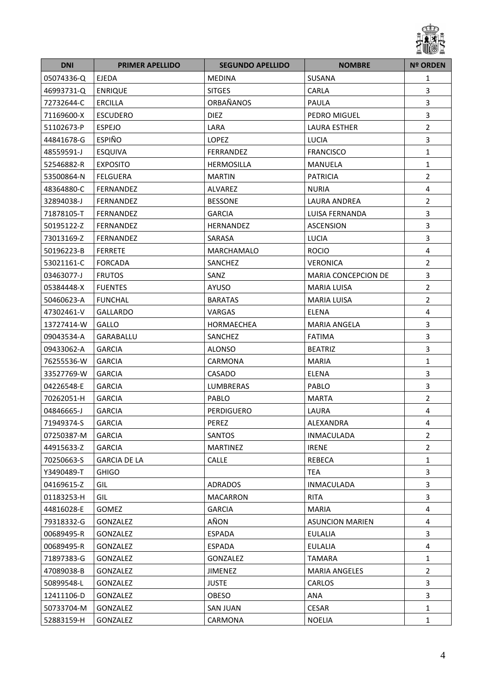

| <b>DNI</b> | <b>PRIMER APELLIDO</b> | <b>SEGUNDO APELLIDO</b> | <b>NOMBRE</b>              | <b>Nº ORDEN</b>         |
|------------|------------------------|-------------------------|----------------------------|-------------------------|
| 05074336-Q | <b>EJEDA</b>           | <b>MEDINA</b>           | SUSANA                     | 1                       |
| 46993731-Q | <b>ENRIQUE</b>         | <b>SITGES</b>           | CARLA                      | 3                       |
| 72732644-C | <b>ERCILLA</b>         | ORBAÑANOS               | <b>PAULA</b>               | 3                       |
| 71169600-X | <b>ESCUDERO</b>        | <b>DIEZ</b>             | PEDRO MIGUEL               | 3                       |
| 51102673-P | <b>ESPEJO</b>          | LARA                    | LAURA ESTHER               | $\overline{2}$          |
| 44841678-G | <b>ESPIÑO</b>          | LOPEZ                   | <b>LUCIA</b>               | 3                       |
| 48559591-J | <b>ESQUIVA</b>         | <b>FERRANDEZ</b>        | <b>FRANCISCO</b>           | $\mathbf{1}$            |
| 52546882-R | <b>EXPOSITO</b>        | <b>HERMOSILLA</b>       | MANUELA                    | $\mathbf{1}$            |
| 53500864-N | <b>FELGUERA</b>        | <b>MARTIN</b>           | <b>PATRICIA</b>            | $\overline{2}$          |
| 48364880-C | <b>FERNANDEZ</b>       | ALVAREZ                 | <b>NURIA</b>               | 4                       |
| 32894038-J | FERNANDEZ              | <b>BESSONE</b>          | <b>LAURA ANDREA</b>        | $\overline{2}$          |
| 71878105-T | FERNANDEZ              | <b>GARCIA</b>           | LUISA FERNANDA             | 3                       |
| 50195122-Z | FERNANDEZ              | HERNANDEZ               | <b>ASCENSION</b>           | 3                       |
| 73013169-Z | FERNANDEZ              | SARASA                  | LUCIA                      | 3                       |
| 50196223-B | <b>FERRETE</b>         | MARCHAMALO              | <b>ROCIO</b>               | $\overline{\mathbf{4}}$ |
| 53021161-C | <b>FORCADA</b>         | SANCHEZ                 | <b>VERONICA</b>            | $\overline{2}$          |
| 03463077-J | <b>FRUTOS</b>          | SANZ                    | <b>MARIA CONCEPCION DE</b> | 3                       |
| 05384448-X | <b>FUENTES</b>         | AYUSO                   | <b>MARIA LUISA</b>         | $\overline{2}$          |
| 50460623-A | <b>FUNCHAL</b>         | <b>BARATAS</b>          | <b>MARIA LUISA</b>         | $\overline{2}$          |
| 47302461-V | <b>GALLARDO</b>        | VARGAS                  | <b>ELENA</b>               | 4                       |
| 13727414-W | GALLO                  | HORMAECHEA              | <b>MARIA ANGELA</b>        | 3                       |
| 09043534-A | GARABALLU              | SANCHEZ                 | <b>FATIMA</b>              | $\overline{3}$          |
| 09433062-A | <b>GARCIA</b>          | <b>ALONSO</b>           | <b>BEATRIZ</b>             | 3                       |
| 76255536-W | <b>GARCIA</b>          | CARMONA                 | <b>MARIA</b>               | $\mathbf{1}$            |
| 33527769-W | <b>GARCIA</b>          | CASADO                  | <b>ELENA</b>               | 3                       |
| 04226548-E | <b>GARCIA</b>          | LUMBRERAS               | PABLO                      | $\overline{3}$          |
| 70262051-H | <b>GARCIA</b>          | PABLO                   | <b>MARTA</b>               | $\overline{2}$          |
| 04846665-J | <b>GARCIA</b>          | <b>PERDIGUERO</b>       | LAURA                      | 4                       |
| 71949374-S | <b>GARCIA</b>          | PEREZ                   | ALEXANDRA                  | 4                       |
| 07250387-M | <b>GARCIA</b>          | SANTOS                  | INMACULADA                 | $\overline{2}$          |
| 44915633-Z | <b>GARCIA</b>          | <b>MARTINEZ</b>         | <b>IRENE</b>               | $\overline{2}$          |
| 70250663-S | <b>GARCIA DE LA</b>    | <b>CALLE</b>            | REBECA                     | $\mathbf{1}$            |
| Y3490489-T | <b>GHIGO</b>           |                         | <b>TEA</b>                 | 3                       |
| 04169615-Z | GIL                    | <b>ADRADOS</b>          | <b>INMACULADA</b>          | 3                       |
| 01183253-H | GIL                    | MACARRON                | <b>RITA</b>                | 3                       |
| 44816028-E | <b>GOMEZ</b>           | <b>GARCIA</b>           | <b>MARIA</b>               | 4                       |
| 79318332-G | GONZALEZ               | AÑON                    | <b>ASUNCION MARIEN</b>     | 4                       |
| 00689495-R | GONZALEZ               | ESPADA                  | <b>EULALIA</b>             | 3                       |
| 00689495-R | GONZALEZ               | ESPADA                  | <b>EULALIA</b>             | 4                       |
| 71897383-G | GONZALEZ               | GONZALEZ                | TAMARA                     | $\mathbf{1}$            |
| 47089038-B | GONZALEZ               | <b>JIMENEZ</b>          | <b>MARIA ANGELES</b>       | $\overline{2}$          |
| 50899548-L | GONZALEZ               | <b>JUSTE</b>            | <b>CARLOS</b>              | 3                       |
| 12411106-D | GONZALEZ               | OBESO                   | ANA                        | 3                       |
| 50733704-M | GONZALEZ               | <b>SAN JUAN</b>         | <b>CESAR</b>               | $\mathbf{1}$            |
| 52883159-H | GONZALEZ               | CARMONA                 | <b>NOELIA</b>              | 1                       |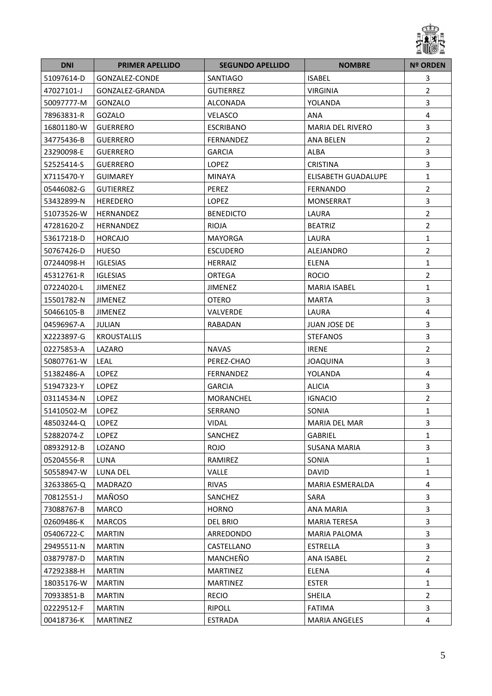

| <b>DNI</b> | <b>PRIMER APELLIDO</b> | <b>SEGUNDO APELLIDO</b> | <b>NOMBRE</b>           | <b>Nº ORDEN</b>         |
|------------|------------------------|-------------------------|-------------------------|-------------------------|
| 51097614-D | GONZALEZ-CONDE         | SANTIAGO                | <b>ISABEL</b>           | 3                       |
| 47027101-J | GONZALEZ-GRANDA        | <b>GUTIERREZ</b>        | <b>VIRGINIA</b>         | $\overline{2}$          |
| 50097777-M | GONZALO                | ALCONADA                | YOLANDA                 | $\overline{3}$          |
| 78963831-R | GOZALO                 | VELASCO                 | <b>ANA</b>              | 4                       |
| 16801180-W | <b>GUERRERO</b>        | <b>ESCRIBANO</b>        | <b>MARIA DEL RIVERO</b> | $\overline{\mathbf{3}}$ |
| 34775436-B | <b>GUERRERO</b>        | FERNANDEZ               | <b>ANA BELEN</b>        | $\overline{2}$          |
| 23290098-E | <b>GUERRERO</b>        | <b>GARCIA</b>           | ALBA                    | 3                       |
| 52525414-S | <b>GUERRERO</b>        | LOPEZ                   | <b>CRISTINA</b>         | 3                       |
| X7115470-Y | <b>GUIMAREY</b>        | <b>MINAYA</b>           | ELISABETH GUADALUPE     | $\mathbf 1$             |
| 05446082-G | <b>GUTIERREZ</b>       | PEREZ                   | <b>FERNANDO</b>         | $\overline{2}$          |
| 53432899-N | <b>HEREDERO</b>        | LOPEZ                   | MONSERRAT               | 3                       |
| 51073526-W | <b>HERNANDEZ</b>       | <b>BENEDICTO</b>        | LAURA                   | $\overline{2}$          |
| 47281620-Z | <b>HERNANDEZ</b>       | <b>RIOJA</b>            | <b>BEATRIZ</b>          | $\overline{2}$          |
| 53617218-D | <b>HORCAJO</b>         | <b>MAYORGA</b>          | LAURA                   | $\mathbf{1}$            |
| 50767426-D | <b>HUESO</b>           | <b>ESCUDERO</b>         | ALEJANDRO               | $\overline{2}$          |
| 07244098-H | <b>IGLESIAS</b>        | <b>HERRAIZ</b>          | <b>ELENA</b>            | $\mathbf{1}$            |
| 45312761-R | <b>IGLESIAS</b>        | ORTEGA                  | <b>ROCIO</b>            | $\overline{2}$          |
| 07224020-L | <b>JIMENEZ</b>         | <b>JIMENEZ</b>          | <b>MARIA ISABEL</b>     | $\mathbf{1}$            |
| 15501782-N | JIMENEZ                | <b>OTERO</b>            | <b>MARTA</b>            | 3                       |
| 50466105-B | <b>JIMENEZ</b>         | VALVERDE                | LAURA                   | $\overline{4}$          |
| 04596967-A | JULIAN                 | RABADAN                 | <b>JUAN JOSE DE</b>     | 3                       |
| X2223897-G | <b>KROUSTALLIS</b>     |                         | <b>STEFANOS</b>         | $\overline{3}$          |
| 02275853-A | LAZARO                 | <b>NAVAS</b>            | <b>IRENE</b>            | $\overline{2}$          |
| 50807761-W | <b>LEAL</b>            | PEREZ-CHAO              | <b>JOAQUINA</b>         | $\overline{3}$          |
| 51382486-A | <b>LOPEZ</b>           | FERNANDEZ               | YOLANDA                 | 4                       |
| 51947323-Y | <b>LOPEZ</b>           | <b>GARCIA</b>           | <b>ALICIA</b>           | 3                       |
| 03114534-N | LOPEZ                  | MORANCHEL               | <b>IGNACIO</b>          | $\overline{2}$          |
| 51410502-M | <b>LOPEZ</b>           | SERRANO                 | SONIA                   | $\mathbf{1}$            |
| 48503244-Q | <b>LOPEZ</b>           | <b>VIDAL</b>            | <b>MARIA DEL MAR</b>    | 3                       |
| 52882074-Z | LOPEZ                  | SANCHEZ                 | GABRIEL                 | 1                       |
| 08932912-B | LOZANO                 | <b>ROJO</b>             | <b>SUSANA MARIA</b>     | 3                       |
| 05204556-R | LUNA                   | RAMIREZ                 | SONIA                   | $\mathbf{1}$            |
| 50558947-W | LUNA DEL               | VALLE                   | <b>DAVID</b>            | $\mathbf{1}$            |
| 32633865-Q | <b>MADRAZO</b>         | <b>RIVAS</b>            | <b>MARIA ESMERALDA</b>  | 4                       |
| 70812551-J | MAÑOSO                 | SANCHEZ                 | SARA                    | 3                       |
| 73088767-B | MARCO                  | <b>HORNO</b>            | ANA MARIA               | 3                       |
| 02609486-K | <b>MARCOS</b>          | <b>DEL BRIO</b>         | <b>MARIA TERESA</b>     | 3                       |
| 05406722-C | <b>MARTIN</b>          | ARREDONDO               | MARIA PALOMA            | 3                       |
| 29495511-N | <b>MARTIN</b>          | CASTELLANO              | ESTRELLA                | 3                       |
| 03879787-D | <b>MARTIN</b>          | MANCHEÑO                | ANA ISABEL              | $\overline{2}$          |
| 47292388-H | <b>MARTIN</b>          | <b>MARTINEZ</b>         | ELENA                   | 4                       |
| 18035176-W | <b>MARTIN</b>          | <b>MARTINEZ</b>         | ESTER                   | $\mathbf{1}$            |
| 70933851-B | <b>MARTIN</b>          | <b>RECIO</b>            | SHEILA                  | $\overline{2}$          |
| 02229512-F | <b>MARTIN</b>          | RIPOLL                  | <b>FATIMA</b>           | 3                       |
| 00418736-K | <b>MARTINEZ</b>        | ESTRADA                 | <b>MARIA ANGELES</b>    | 4                       |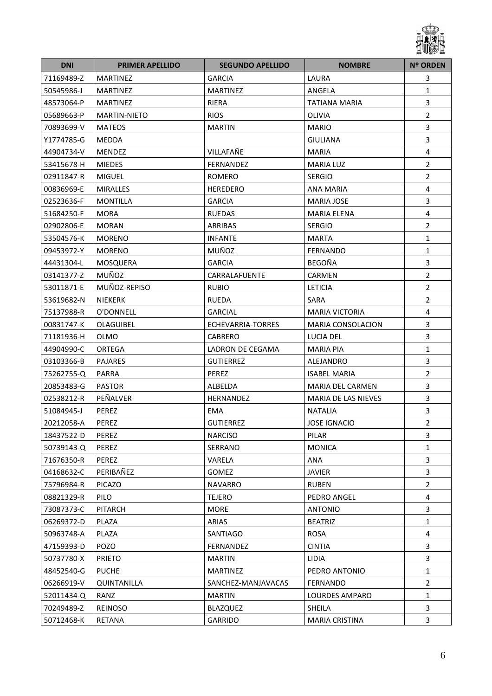

| <b>DNI</b> | <b>PRIMER APELLIDO</b> | <b>SEGUNDO APELLIDO</b> | <b>NOMBRE</b>            | <b>Nº ORDEN</b> |
|------------|------------------------|-------------------------|--------------------------|-----------------|
| 71169489-Z | <b>MARTINEZ</b>        | <b>GARCIA</b>           | LAURA                    | 3               |
| 50545986-J | <b>MARTINEZ</b>        | <b>MARTINEZ</b>         | ANGELA                   | $\mathbf{1}$    |
| 48573064-P | <b>MARTINEZ</b>        | RIERA                   | TATIANA MARIA            | 3               |
| 05689663-P | <b>MARTIN-NIETO</b>    | <b>RIOS</b>             | <b>OLIVIA</b>            | $\overline{2}$  |
| 70893699-V | <b>MATEOS</b>          | <b>MARTIN</b>           | <b>MARIO</b>             | 3               |
| Y1774785-G | <b>MEDDA</b>           |                         | <b>GIULIANA</b>          | 3               |
| 44904734-V | <b>MENDEZ</b>          | VILLAFAÑE               | <b>MARIA</b>             | 4               |
| 53415678-H | <b>MIEDES</b>          | FERNANDEZ               | <b>MARIA LUZ</b>         | $\overline{2}$  |
| 02911847-R | <b>MIGUEL</b>          | <b>ROMERO</b>           | <b>SERGIO</b>            | $\overline{2}$  |
| 00836969-E | <b>MIRALLES</b>        | <b>HEREDERO</b>         | <b>ANA MARIA</b>         | 4               |
| 02523636-F | <b>MONTILLA</b>        | <b>GARCIA</b>           | <b>MARIA JOSE</b>        | 3               |
| 51684250-F | <b>MORA</b>            | <b>RUEDAS</b>           | <b>MARIA ELENA</b>       | 4               |
| 02902806-E | <b>MORAN</b>           | ARRIBAS                 | <b>SERGIO</b>            | $\overline{2}$  |
| 53504576-K | <b>MORENO</b>          | <b>INFANTE</b>          | <b>MARTA</b>             | $\mathbf{1}$    |
| 09453972-Y | <b>MORENO</b>          | MUÑOZ                   | <b>FERNANDO</b>          | $\mathbf{1}$    |
| 44431304-L | MOSQUERA               | <b>GARCIA</b>           | <b>BEGOÑA</b>            | 3               |
| 03141377-Z | MUÑOZ                  | CARRALAFUENTE           | <b>CARMEN</b>            | $\overline{2}$  |
| 53011871-E | MUÑOZ-REPISO           | <b>RUBIO</b>            | <b>LETICIA</b>           | $\overline{2}$  |
| 53619682-N | <b>NIEKERK</b>         | <b>RUEDA</b>            | SARA                     | $\overline{2}$  |
| 75137988-R | O'DONNELL              | <b>GARCIAL</b>          | <b>MARIA VICTORIA</b>    | 4               |
| 00831747-K | OLAGUIBEL              | ECHEVARRIA-TORRES       | <b>MARIA CONSOLACION</b> | 3               |
| 71181936-H | OLMO                   | <b>CABRERO</b>          | LUCIA DEL                | 3               |
| 44904990-C | <b>ORTEGA</b>          | LADRON DE CEGAMA        | <b>MARIA PIA</b>         | $\mathbf{1}$    |
| 03103366-B | <b>PAJARES</b>         | <b>GUTIERREZ</b>        | ALEJANDRO                | 3               |
| 75262755-Q | <b>PARRA</b>           | PEREZ                   | <b>ISABEL MARIA</b>      | $\overline{2}$  |
| 20853483-G | <b>PASTOR</b>          | ALBELDA                 | MARIA DEL CARMEN         | 3               |
| 02538212-R | PEÑALVER               | HERNANDEZ               | MARIA DE LAS NIEVES      | 3               |
| 51084945-J | PEREZ                  | EMA                     | <b>NATALIA</b>           | 3               |
| 20212058-A | PEREZ                  | <b>GUTIERREZ</b>        | <b>JOSE IGNACIO</b>      | $\overline{2}$  |
| 18437522-D | PEREZ                  | <b>NARCISO</b>          | PILAR                    | 3               |
| 50739143-Q | PEREZ                  | SERRANO                 | <b>MONICA</b>            | 1               |
| 71676350-R | PEREZ                  | <b>VARELA</b>           | ANA                      | 3               |
| 04168632-C | PERIBAÑEZ              | GOMEZ                   | <b>JAVIER</b>            | 3               |
| 75796984-R | <b>PICAZO</b>          | <b>NAVARRO</b>          | <b>RUBEN</b>             | $\overline{2}$  |
| 08821329-R | PILO                   | <b>TEJERO</b>           | PEDRO ANGEL              | 4               |
| 73087373-C | <b>PITARCH</b>         | <b>MORE</b>             | <b>ANTONIO</b>           | 3               |
| 06269372-D | PLAZA                  | ARIAS                   | <b>BEATRIZ</b>           | $\mathbf{1}$    |
| 50963748-A | PLAZA                  | SANTIAGO                | ROSA                     | 4               |
| 47159393-D | POZO                   | FERNANDEZ               | <b>CINTIA</b>            | 3               |
| 50737780-X | <b>PRIETO</b>          | <b>MARTIN</b>           | LIDIA                    | 3               |
| 48452540-G | <b>PUCHE</b>           | <b>MARTINEZ</b>         | PEDRO ANTONIO            | 1               |
| 06266919-V | QUINTANILLA            | SANCHEZ-MANJAVACAS      | <b>FERNANDO</b>          | $\overline{2}$  |
| 52011434-Q | RANZ                   | <b>MARTIN</b>           | LOURDES AMPARO           | $\mathbf{1}$    |
| 70249489-Z | <b>REINOSO</b>         | <b>BLAZQUEZ</b>         | SHEILA                   | 3               |
| 50712468-K | RETANA                 | <b>GARRIDO</b>          | <b>MARIA CRISTINA</b>    | 3               |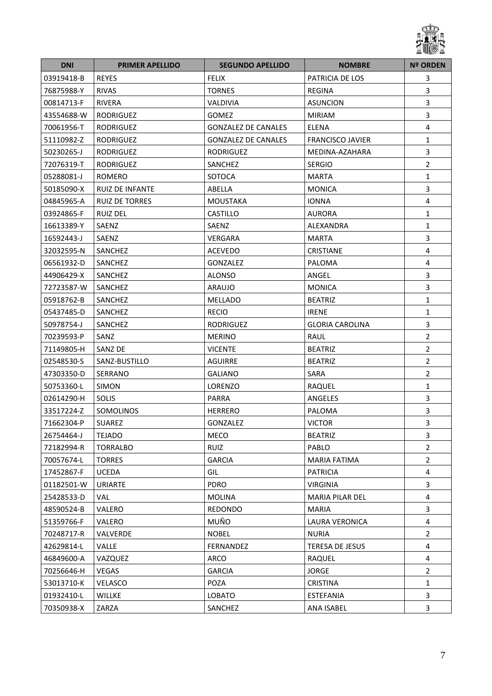

| <b>DNI</b> | <b>PRIMER APELLIDO</b> | <b>SEGUNDO APELLIDO</b>    | <b>NOMBRE</b>           | <b>Nº ORDEN</b>         |
|------------|------------------------|----------------------------|-------------------------|-------------------------|
| 03919418-B | <b>REYES</b>           | <b>FELIX</b>               | PATRICIA DE LOS         | 3                       |
| 76875988-Y | <b>RIVAS</b>           | <b>TORNES</b>              | REGINA                  | 3                       |
| 00814713-F | <b>RIVERA</b>          | <b>VALDIVIA</b>            | ASUNCION                | $\overline{3}$          |
| 43554688-W | <b>RODRIGUEZ</b>       | <b>GOMEZ</b>               | <b>MIRIAM</b>           | 3                       |
| 70061956-T | <b>RODRIGUEZ</b>       | <b>GONZALEZ DE CANALES</b> | ELENA                   | 4                       |
| 51110982-Z | <b>RODRIGUEZ</b>       | <b>GONZALEZ DE CANALES</b> | <b>FRANCISCO JAVIER</b> | $\mathbf{1}$            |
| 50230265-J | <b>RODRIGUEZ</b>       | <b>RODRIGUEZ</b>           | MEDINA-AZAHARA          | $\overline{3}$          |
| 72076319-T | RODRIGUEZ              | SANCHEZ                    | <b>SERGIO</b>           | $\overline{2}$          |
| 05288081-J | <b>ROMERO</b>          | SOTOCA                     | <b>MARTA</b>            | $\mathbf 1$             |
| 50185090-X | <b>RUIZ DE INFANTE</b> | ABELLA                     | <b>MONICA</b>           | 3                       |
| 04845965-A | <b>RUIZ DE TORRES</b>  | <b>MOUSTAKA</b>            | <b>IONNA</b>            | $\overline{\mathbf{4}}$ |
| 03924865-F | <b>RUIZ DEL</b>        | CASTILLO                   | <b>AURORA</b>           | $\mathbf{1}$            |
| 16613389-Y | SAENZ                  | SAENZ                      | ALEXANDRA               | $\mathbf{1}$            |
| 16592443-J | SAENZ                  | <b>VERGARA</b>             | <b>MARTA</b>            | 3                       |
| 32032595-N | SANCHEZ                | ACEVEDO                    | <b>CRISTIANE</b>        | 4                       |
| 06561932-D | SANCHEZ                | GONZALEZ                   | PALOMA                  | 4                       |
| 44906429-X | SANCHEZ                | ALONSO                     | ANGEL                   | $\mathbf{3}$            |
| 72723587-W | SANCHEZ                | ARAUJO                     | <b>MONICA</b>           | $\overline{3}$          |
| 05918762-B | SANCHEZ                | MELLADO                    | <b>BEATRIZ</b>          | $\mathbf{1}$            |
| 05437485-D | SANCHEZ                | <b>RECIO</b>               | <b>IRENE</b>            | $\mathbf{1}$            |
| 50978754-J | SANCHEZ                | RODRIGUEZ                  | <b>GLORIA CAROLINA</b>  | 3                       |
| 70239593-P | SANZ                   | <b>MERINO</b>              | RAUL                    | $\overline{2}$          |
| 71149805-H | SANZ DE                | <b>VICENTE</b>             | <b>BEATRIZ</b>          | $\overline{2}$          |
| 02548530-S | SANZ-BUSTILLO          | AGUIRRE                    | <b>BEATRIZ</b>          | $\overline{2}$          |
| 47303350-D | SERRANO                | <b>GALIANO</b>             | SARA                    | $\overline{2}$          |
| 50753360-L | <b>SIMON</b>           | LORENZO                    | RAQUEL                  | $\mathbf{1}$            |
| 02614290-H | <b>SOLIS</b>           | PARRA                      | ANGELES                 | 3                       |
| 33517224-Z | SOMOLINOS              | <b>HERRERO</b>             | PALOMA                  | $\overline{\mathbf{3}}$ |
| 71662304-P | <b>SUAREZ</b>          | GONZALEZ                   | <b>VICTOR</b>           | 3                       |
| 26754464-J | <b>TEJADO</b>          | MECO                       | <b>BEATRIZ</b>          | 3                       |
| 72182994-R | <b>TORRALBO</b>        | <b>RUIZ</b>                | PABLO                   | $\overline{2}$          |
| 70057674-L | <b>TORRES</b>          | <b>GARCIA</b>              | <b>MARIA FATIMA</b>     | $\overline{2}$          |
| 17452867-F | <b>UCEDA</b>           | GIL                        | <b>PATRICIA</b>         | 4                       |
| 01182501-W | <b>URIARTE</b>         | <b>PDRO</b>                | <b>VIRGINIA</b>         | $\overline{3}$          |
| 25428533-D | VAL                    | <b>MOLINA</b>              | MARIA PILAR DEL         | 4                       |
| 48590524-B | VALERO                 | <b>REDONDO</b>             | <b>MARIA</b>            | $\overline{\mathbf{3}}$ |
| 51359766-F | VALERO                 | MUÑO                       | LAURA VERONICA          | 4                       |
| 70248717-R | VALVERDE               | <b>NOBEL</b>               | <b>NURIA</b>            | $\overline{2}$          |
| 42629814-L | VALLE                  | FERNANDEZ                  | TERESA DE JESUS         | 4                       |
| 46849600-A | VAZQUEZ                | ARCO                       | RAQUEL                  | $\overline{4}$          |
| 70256646-H | VEGAS                  | <b>GARCIA</b>              | <b>JORGE</b>            | $\overline{2}$          |
| 53013710-K | VELASCO                | POZA                       | <b>CRISTINA</b>         | $\mathbf{1}$            |
| 01932410-L | WILLKE                 | LOBATO                     | <b>ESTEFANIA</b>        | $\overline{3}$          |
| 70350938-X | ZARZA                  | SANCHEZ                    | ANA ISABEL              | 3                       |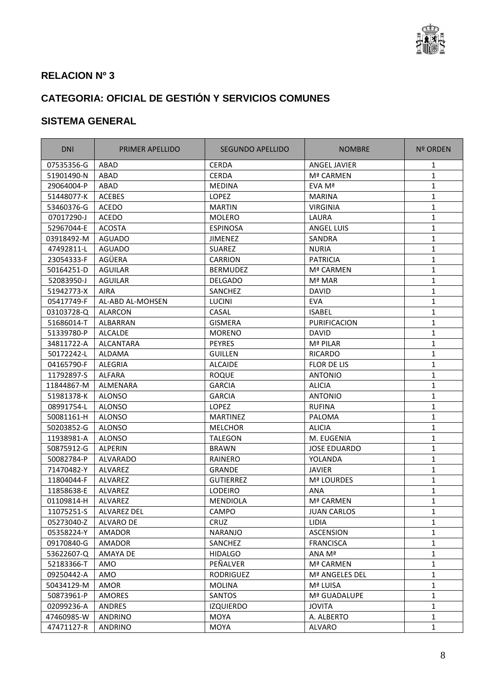

## **CATEGORIA: OFICIAL DE GESTIÓN Y SERVICIOS COMUNES**

| <b>DNI</b> | PRIMER APELLIDO          | SEGUNDO APELLIDO | <b>NOMBRE</b>       | Nº ORDEN     |
|------------|--------------------------|------------------|---------------------|--------------|
| 07535356-G | ABAD                     | <b>CERDA</b>     | <b>ANGEL JAVIER</b> | 1            |
| 51901490-N | ABAD                     | CERDA            | Mª CARMEN           | $\mathbf{1}$ |
| 29064004-P | ABAD                     | <b>MEDINA</b>    | EVA Mª              | 1            |
| 51448077-K | <b>ACEBES</b>            | LOPEZ            | <b>MARINA</b>       | $\mathbf{1}$ |
| 53460376-G | <b>ACEDO</b>             | <b>MARTIN</b>    | <b>VIRGINIA</b>     | 1            |
| 07017290-J | <b>ACEDO</b>             | <b>MOLERO</b>    | LAURA               | 1            |
| 52967044-E | <b>ACOSTA</b>            | <b>ESPINOSA</b>  | <b>ANGEL LUIS</b>   | 1            |
| 03918492-M | <b>AGUADO</b>            | <b>JIMENEZ</b>   | SANDRA              | $\mathbf{1}$ |
| 47492811-L | <b>AGUADO</b>            | <b>SUAREZ</b>    | <b>NURIA</b>        | 1            |
| 23054333-F | AGÜERA                   | <b>CARRION</b>   | <b>PATRICIA</b>     | $\mathbf{1}$ |
| 50164251-D | <b>AGUILAR</b>           | <b>BERMUDEZ</b>  | Mª CARMEN           | 1            |
| 52083950-J | <b>AGUILAR</b>           | <b>DELGADO</b>   | Mª MAR              | 1            |
| 51942773-X | AIRA                     | SANCHEZ          | <b>DAVID</b>        | 1            |
| 05417749-F | AL-ABD AL-MOHSEN         | LUCINI           | <b>EVA</b>          | 1            |
| 03103728-Q | ALARCON                  | CASAL            | <b>ISABEL</b>       | 1            |
| 51686014-T | <b>ALBARRAN</b>          | <b>GISMERA</b>   | PURIFICACION        | $\mathbf{1}$ |
| 51339780-P | <b>ALCALDE</b>           | <b>MORENO</b>    | <b>DAVID</b>        | 1            |
| 34811722-A | ALCANTARA                | <b>PEYRES</b>    | Mª PILAR            | 1            |
| 50172242-L | ALDAMA                   | <b>GUILLEN</b>   | <b>RICARDO</b>      | $\mathbf{1}$ |
| 04165790-F | <b>ALEGRIA</b>           | <b>ALCAIDE</b>   | <b>FLOR DE LIS</b>  | 1            |
| 11792897-S | ALFARA                   | <b>ROQUE</b>     | <b>ANTONIO</b>      | $\mathbf{1}$ |
| 11844867-M | <b>ALMENARA</b>          | <b>GARCIA</b>    | <b>ALICIA</b>       | 1            |
| 51981378-K | <b>ALONSO</b>            | <b>GARCIA</b>    | <b>ANTONIO</b>      | 1            |
| 08991754-L | ALONSO                   | <b>LOPEZ</b>     | <b>RUFINA</b>       | 1            |
| 50081161-H | <b>ALONSO</b>            | <b>MARTINEZ</b>  | PALOMA              | 1            |
| 50203852-G | <b>ALONSO</b>            | <b>MELCHOR</b>   | <b>ALICIA</b>       | $\mathbf{1}$ |
| 11938981-A | <b>ALONSO</b>            | <b>TALEGON</b>   | M. EUGENIA          | $\mathbf{1}$ |
| 50875912-G | ALPERIN                  | <b>BRAWN</b>     | <b>JOSE EDUARDO</b> | 1            |
| 50082784-P | <b>ALVARADO</b>          | RAINERO          | YOLANDA             | 1            |
| 71470482-Y | ALVAREZ                  | <b>GRANDE</b>    | JAVIER              | 1            |
| 11804044-F | ALVAREZ                  | <b>GUTIERREZ</b> | Mª LOURDES          | 1            |
| 11858638-E | ALVAREZ                  | <b>LODEIRO</b>   | ANA                 | 1            |
| 01109814-H | ALVAREZ                  | <b>MENDIOLA</b>  | Mª CARMEN           | 1            |
|            | 11075251-S   ALVAREZ DEL | CAMPO            | <b>JUAN CARLOS</b>  | $\mathbf 1$  |
| 05273040-Z | ALVARO DE                | CRUZ             | LIDIA               | 1            |
| 05358224-Y | AMADOR                   | <b>NARANJO</b>   | <b>ASCENSION</b>    | 1            |
| 09170840-G | AMADOR                   | SANCHEZ          | <b>FRANCISCA</b>    | 1            |
| 53622607-Q | AMAYA DE                 | <b>HIDALGO</b>   | ANA Mª              | 1            |
| 52183366-T | AMO                      | PEÑALVER         | Mª CARMEN           | 1            |
| 09250442-A | AMO                      | RODRIGUEZ        | Mª ANGELES DEL      | 1            |
| 50434129-M | AMOR                     | <b>MOLINA</b>    | Mª LUISA            | 1            |
| 50873961-P | AMORES                   | <b>SANTOS</b>    | Mª GUADALUPE        | 1            |
| 02099236-A | ANDRES                   | <b>IZQUIERDO</b> | <b>JOVITA</b>       | 1            |
| 47460985-W | ANDRINO                  | MOYA             | A. ALBERTO          | 1            |
| 47471127-R | ANDRINO                  | MOYA             | ALVARO              | $\mathbf{1}$ |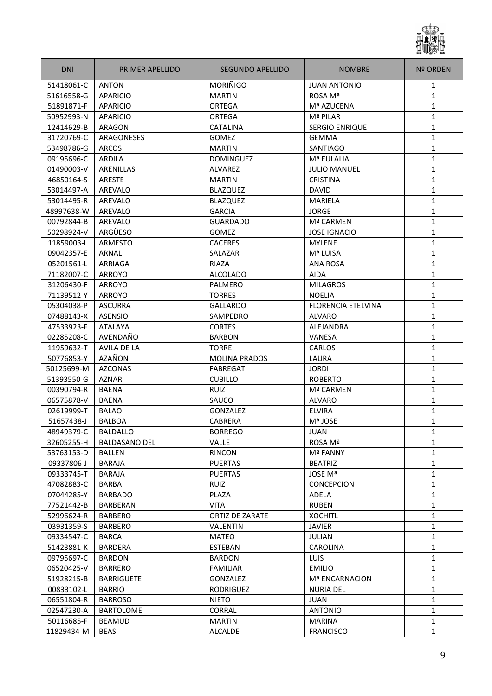

| <b>DNI</b> | <b>PRIMER APELLIDO</b> | SEGUNDO APELLIDO       | <b>NOMBRE</b>             | <b>Nº ORDEN</b> |
|------------|------------------------|------------------------|---------------------------|-----------------|
| 51418061-C | <b>ANTON</b>           | <b>MORIÑIGO</b>        | <b>JUAN ANTONIO</b>       | 1               |
| 51616558-G | APARICIO               | <b>MARTIN</b>          | ROSA Mª                   | 1               |
| 51891871-F | <b>APARICIO</b>        | <b>ORTEGA</b>          | Mª AZUCENA                | 1               |
| 50952993-N | <b>APARICIO</b>        | ORTEGA                 | Mª PILAR                  | 1               |
| 12414629-B | ARAGON                 | <b>CATALINA</b>        | <b>SERGIO ENRIQUE</b>     | $\mathbf{1}$    |
| 31720769-C | ARAGONESES             | GOMEZ                  | <b>GEMMA</b>              | $\mathbf{1}$    |
| 53498786-G | <b>ARCOS</b>           | <b>MARTIN</b>          | <b>SANTIAGO</b>           | $\mathbf{1}$    |
| 09195696-C | ARDILA                 | <b>DOMINGUEZ</b>       | Mª EULALIA                | $\mathbf{1}$    |
| 01490003-V | <b>ARENILLAS</b>       | ALVAREZ                | <b>JULIO MANUEL</b>       | $\mathbf{1}$    |
| 46850164-S | <b>ARESTE</b>          | <b>MARTIN</b>          | <b>CRISTINA</b>           | 1               |
| 53014497-A | AREVALO                | <b>BLAZQUEZ</b>        | <b>DAVID</b>              | 1               |
| 53014495-R | AREVALO                | <b>BLAZQUEZ</b>        | MARIELA                   | 1               |
| 48997638-W | AREVALO                | <b>GARCIA</b>          | <b>JORGE</b>              | 1               |
| 00792844-B | AREVALO                | <b>GUARDADO</b>        | Mª CARMEN                 | $\mathbf{1}$    |
| 50298924-V | ARGÜESO                | GOMEZ                  | <b>JOSE IGNACIO</b>       | 1               |
| 11859003-L | <b>ARMESTO</b>         | <b>CACERES</b>         | <b>MYLENE</b>             | $\mathbf{1}$    |
| 09042357-E | ARNAL                  | SALAZAR                | Mª LUISA                  | 1               |
| 05201561-L | ARRIAGA                | RIAZA                  | <b>ANA ROSA</b>           | 1               |
| 71182007-C | ARROYO                 | <b>ALCOLADO</b>        | <b>AIDA</b>               | 1               |
| 31206430-F | <b>ARROYO</b>          | PALMERO                | <b>MILAGROS</b>           | 1               |
| 71139512-Y | ARROYO                 | <b>TORRES</b>          | <b>NOELIA</b>             | 1               |
| 05304038-P | <b>ASCURRA</b>         | <b>GALLARDO</b>        | <b>FLORENCIA ETELVINA</b> | 1               |
| 07488143-X | <b>ASENSIO</b>         | SAMPEDRO               | <b>ALVARO</b>             | $\mathbf{1}$    |
| 47533923-F | <b>ATALAYA</b>         | <b>CORTES</b>          | <b>ALEJANDRA</b>          | $\mathbf{1}$    |
| 02285208-C | AVENDAÑO               | <b>BARBON</b>          | VANESA                    | $\mathbf{1}$    |
| 11959632-T | AVILA DE LA            | <b>TORRE</b>           | <b>CARLOS</b>             | 1               |
| 50776853-Y | AZAÑON                 | <b>MOLINA PRADOS</b>   | LAURA                     | $\mathbf{1}$    |
| 50125699-M | <b>AZCONAS</b>         | <b>FABREGAT</b>        | <b>JORDI</b>              | $\mathbf{1}$    |
| 51393550-G | <b>AZNAR</b>           | <b>CUBILLO</b>         | <b>ROBERTO</b>            | 1               |
| 00390794-R | <b>BAENA</b>           | <b>RUIZ</b>            | Mª CARMEN                 | 1               |
| 06575878-V | <b>BAENA</b>           | SAUCO                  | <b>ALVARO</b>             | 1               |
| 02619999-T | <b>BALAO</b>           | GONZALEZ               | <b>ELVIRA</b>             | $\mathbf{1}$    |
| 51657438-J | <b>BALBOA</b>          | <b>CABRERA</b>         | Mª JOSE                   | $\mathbf{1}$    |
| 48949379-C | <b>BALDALLO</b>        | <b>BORREGO</b>         | JUAN                      | 1               |
| 32605255-H | <b>BALDASANO DEL</b>   | <b>VALLE</b>           | ROSA Mª                   | $\mathbf{1}$    |
| 53763153-D | BALLEN                 | <b>RINCON</b>          | <b>Mª FANNY</b>           | 1               |
| 09337806-J | <b>BARAJA</b>          | <b>PUERTAS</b>         | <b>BEATRIZ</b>            | 1               |
| 09333745-T | <b>BARAJA</b>          | <b>PUERTAS</b>         | JOSE Mª                   | 1               |
| 47082883-C | BARBA                  | <b>RUIZ</b>            | <b>CONCEPCION</b>         | 1               |
| 07044285-Y | <b>BARBADO</b>         | PLAZA                  | ADELA                     | 1               |
| 77521442-B | <b>BARBERAN</b>        | <b>VITA</b>            | <b>RUBEN</b>              | $\mathbf{1}$    |
| 52996624-R | <b>BARBERO</b>         | <b>ORTIZ DE ZARATE</b> | <b>XOCHITL</b>            | $\mathbf{1}$    |
| 03931359-S | <b>BARBERO</b>         | VALENTIN               | <b>JAVIER</b>             | 1               |
| 09334547-C | <b>BARCA</b>           | <b>MATEO</b>           | <b>JULIAN</b>             | $\mathbf{1}$    |
| 51423881-K | <b>BARDERA</b>         | <b>ESTEBAN</b>         | CAROLINA                  | $\mathbf{1}$    |
| 09795697-C | <b>BARDON</b>          | <b>BARDON</b>          | <b>LUIS</b>               | $\mathbf{1}$    |
| 06520425-V | <b>BARRERO</b>         | <b>FAMILIAR</b>        | <b>EMILIO</b>             | 1               |
| 51928215-B | <b>BARRIGUETE</b>      | GONZALEZ               | <b>Mª ENCARNACION</b>     | $\mathbf{1}$    |
| 00833102-L | <b>BARRIO</b>          | RODRIGUEZ              | <b>NURIA DEL</b>          | $\mathbf{1}$    |
| 06551804-R | <b>BARROSO</b>         | <b>NIETO</b>           | <b>JUAN</b>               | $\mathbf{1}$    |
| 02547230-A | <b>BARTOLOME</b>       | CORRAL                 | <b>ANTONIO</b>            | $\mathbf{1}$    |
| 50116685-F | <b>BEAMUD</b>          | MARTIN                 | <b>MARINA</b>             | $\mathbf{1}$    |
| 11829434-M | <b>BEAS</b>            | ALCALDE                | <b>FRANCISCO</b>          | 1               |
|            |                        |                        |                           |                 |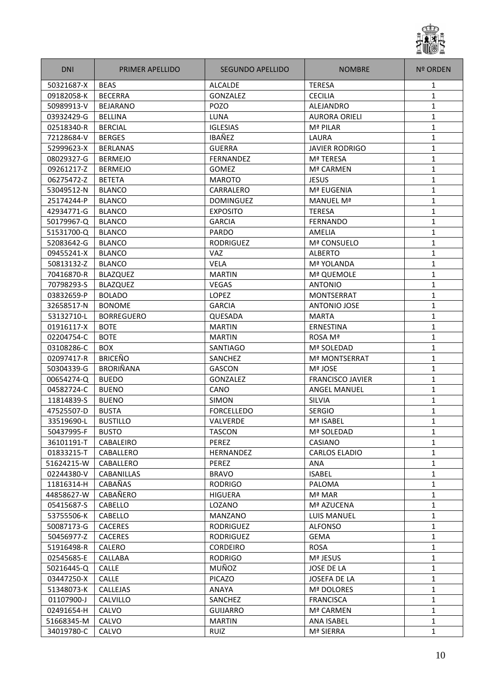

| <b>DNI</b> | PRIMER APELLIDO   | SEGUNDO APELLIDO  | <b>NOMBRE</b>           | <b>Nº ORDEN</b> |
|------------|-------------------|-------------------|-------------------------|-----------------|
| 50321687-X | <b>BEAS</b>       | <b>ALCALDE</b>    | <b>TERESA</b>           | 1               |
| 09182058-K | <b>BECERRA</b>    | GONZALEZ          | <b>CECILIA</b>          | $\mathbf{1}$    |
| 50989913-V | <b>BEJARANO</b>   | POZO              | <b>ALEJANDRO</b>        | 1               |
| 03932429-G | <b>BELLINA</b>    | LUNA              | <b>AURORA ORIELI</b>    | 1               |
| 02518340-R | <b>BERCIAL</b>    | IGLESIAS          | Mª PILAR                | 1               |
| 72128684-V | <b>BERGES</b>     | IBAÑEZ            | LAURA                   | $\mathbf{1}$    |
| 52999623-X | <b>BERLANAS</b>   | <b>GUERRA</b>     | <b>JAVIER RODRIGO</b>   | 1               |
| 08029327-G | <b>BERMEJO</b>    | <b>FERNANDEZ</b>  | Mª TERESA               | $\mathbf{1}$    |
| 09261217-Z | <b>BERMEJO</b>    | GOMEZ             | Mª CARMEN               | 1               |
| 06275472-Z | <b>BETETA</b>     | <b>MAROTO</b>     | <b>JESUS</b>            | $\mathbf{1}$    |
| 53049512-N | <b>BLANCO</b>     | CARRALERO         | Mª EUGENIA              | 1               |
| 25174244-P | <b>BLANCO</b>     | <b>DOMINGUEZ</b>  | MANUEL Mª               | 1               |
| 42934771-G | <b>BLANCO</b>     | <b>EXPOSITO</b>   | <b>TERESA</b>           | 1               |
| 50179967-Q | <b>BLANCO</b>     | <b>GARCIA</b>     | <b>FERNANDO</b>         | 1               |
| 51531700-Q | <b>BLANCO</b>     | <b>PARDO</b>      | AMELIA                  | $\mathbf{1}$    |
| 52083642-G | <b>BLANCO</b>     | <b>RODRIGUEZ</b>  | Mª CONSUELO             | $\mathbf{1}$    |
| 09455241-X | <b>BLANCO</b>     | VAZ               | <b>ALBERTO</b>          | $\mathbf{1}$    |
| 50813132-Z | <b>BLANCO</b>     | <b>VELA</b>       | Mª YOLANDA              | 1               |
| 70416870-R | <b>BLAZQUEZ</b>   | <b>MARTIN</b>     | Mª QUEMOLE              | 1               |
| 70798293-S | <b>BLAZQUEZ</b>   | VEGAS             | <b>ANTONIO</b>          | 1               |
| 03832659-P | <b>BOLADO</b>     | <b>LOPEZ</b>      | <b>MONTSERRAT</b>       | 1               |
| 32658517-N | <b>BONOME</b>     | <b>GARCIA</b>     | <b>ANTONIO JOSE</b>     | 1               |
| 53132710-L | <b>BORREGUERO</b> | QUESADA           | <b>MARTA</b>            | 1               |
| 01916117-X | <b>BOTE</b>       | <b>MARTIN</b>     | ERNESTINA               | 1               |
| 02204754-C | <b>BOTE</b>       | <b>MARTIN</b>     | ROSA Mª                 | $\mathbf{1}$    |
| 03108286-C | <b>BOX</b>        | SANTIAGO          | Mª SOLEDAD              | 1               |
| 02097417-R | <b>BRICEÑO</b>    | SANCHEZ           | <b>Mª MONTSERRAT</b>    | 1               |
| 50304339-G | <b>BRORIÑANA</b>  | GASCON            | Mª JOSE                 | 1               |
| 00654274-Q | <b>BUEDO</b>      | GONZALEZ          | <b>FRANCISCO JAVIER</b> | 1               |
| 04582724-C | <b>BUENO</b>      | CANO              | <b>ANGEL MANUEL</b>     | 1               |
| 11814839-S | <b>BUENO</b>      | <b>SIMON</b>      | SILVIA                  | 1               |
| 47525507-D | <b>BUSTA</b>      | <b>FORCELLEDO</b> | <b>SERGIO</b>           | 1               |
| 33519690-L | <b>BUSTILLO</b>   | VALVERDE          | Mª ISABEL               | $\mathbf{1}$    |
| 50437995-F | <b>BUSTO</b>      | <b>TASCON</b>     | Mª SOLEDAD              | 1               |
| 36101191-T | CABALEIRO         | PEREZ             | CASIANO                 | $\mathbf{1}$    |
| 01833215-T | CABALLERO         | <b>HERNANDEZ</b>  | <b>CARLOS ELADIO</b>    | $\mathbf{1}$    |
| 51624215-W | CABALLERO         | PEREZ             | ANA                     | $\mathbf{1}$    |
| 02244380-V | CABANILLAS        | <b>BRAVO</b>      | <b>ISABEL</b>           | $\mathbf{1}$    |
| 11816314-H | CABAÑAS           | <b>RODRIGO</b>    | PALOMA                  | $\mathbf{1}$    |
| 44858627-W | CABAÑERO          | <b>HIGUERA</b>    | Mª MAR                  | $\mathbf{1}$    |
| 05415687-S | CABELLO           | LOZANO            | Mª AZUCENA              | 1               |
| 53755506-K | CABELLO           | MANZANO           | LUIS MANUEL             | $\mathbf{1}$    |
| 50087173-G | <b>CACERES</b>    | RODRIGUEZ         | <b>ALFONSO</b>          | 1               |
| 50456977-Z | <b>CACERES</b>    | RODRIGUEZ         | <b>GEMA</b>             | 1               |
| 51916498-R | <b>CALERO</b>     | <b>CORDEIRO</b>   | <b>ROSA</b>             | 1               |
| 02545685-E | CALLABA           | <b>RODRIGO</b>    | Mª JESUS                | $\mathbf{1}$    |
| 50216445-Q | <b>CALLE</b>      | MUÑOZ             | JOSE DE LA              | 1               |
| 03447250-X | CALLE             | PICAZO            | JOSEFA DE LA            | $\mathbf{1}$    |
| 51348073-K | <b>CALLEJAS</b>   | <b>ANAYA</b>      | Mª DOLORES              | 1               |
| 01107900-J | CALVILLO          | SANCHEZ           | <b>FRANCISCA</b>        | $\mathbf{1}$    |
| 02491654-H | CALVO             | GUIJARRO          | Mª CARMEN               | $\mathbf{1}$    |
| 51668345-M | CALVO             | <b>MARTIN</b>     | ANA ISABEL              | $\mathbf{1}$    |
| 34019780-C | CALVO             | RUIZ              | Mª SIERRA               | $\mathbf{1}$    |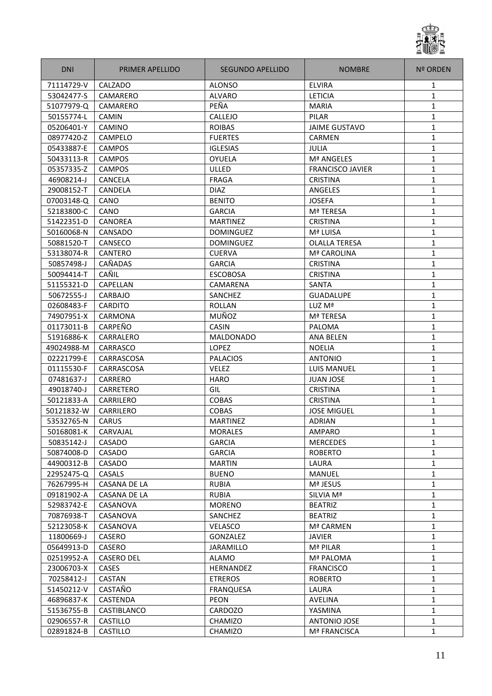

| <b>DNI</b> | <b>PRIMER APELLIDO</b> | <b>SEGUNDO APELLIDO</b> | <b>NOMBRE</b>           | <b>Nº ORDEN</b> |
|------------|------------------------|-------------------------|-------------------------|-----------------|
| 71114729-V | CALZADO                | <b>ALONSO</b>           | <b>ELVIRA</b>           | 1               |
| 53042477-S | CAMARERO               | <b>ALVARO</b>           | <b>LETICIA</b>          | 1               |
| 51077979-Q | CAMARERO               | PEÑA                    | <b>MARIA</b>            | 1               |
| 50155774-L | <b>CAMIN</b>           | <b>CALLEJO</b>          | PILAR                   | $\mathbf{1}$    |
| 05206401-Y | CAMINO                 | <b>ROIBAS</b>           | <b>JAIME GUSTAVO</b>    | $\mathbf{1}$    |
| 08977420-Z | CAMPELO                | <b>FUERTES</b>          | <b>CARMEN</b>           | $\mathbf{1}$    |
| 05433887-E | <b>CAMPOS</b>          | <b>IGLESIAS</b>         | <b>JULIA</b>            | 1               |
| 50433113-R | <b>CAMPOS</b>          | OYUELA                  | Mª ANGELES              | $\mathbf{1}$    |
| 05357335-Z | <b>CAMPOS</b>          | ULLED                   | <b>FRANCISCO JAVIER</b> | $\mathbf{1}$    |
| 46908214-J | <b>CANCELA</b>         | <b>FRAGA</b>            | <b>CRISTINA</b>         | 1               |
| 29008152-T | <b>CANDELA</b>         | <b>DIAZ</b>             | <b>ANGELES</b>          | 1               |
| 07003148-Q | CANO                   | <b>BENITO</b>           | <b>JOSEFA</b>           | $\mathbf{1}$    |
| 52183800-C | CANO                   | <b>GARCIA</b>           | Mª TERESA               | $\mathbf{1}$    |
| 51422351-D | <b>CANOREA</b>         | <b>MARTINEZ</b>         | <b>CRISTINA</b>         | $\mathbf{1}$    |
| 50160068-N | CANSADO                | <b>DOMINGUEZ</b>        | Mª LUISA                | 1               |
| 50881520-T | CANSECO                | <b>DOMINGUEZ</b>        | <b>OLALLA TERESA</b>    | 1               |
| 53138074-R | <b>CANTERO</b>         | <b>CUERVA</b>           | Mª CAROLINA             | 1               |
| 50857498-J | CAÑADAS                | <b>GARCIA</b>           | <b>CRISTINA</b>         | 1               |
| 50094414-T | CAÑIL                  | <b>ESCOBOSA</b>         | <b>CRISTINA</b>         | 1               |
| 51155321-D | <b>CAPELLAN</b>        | CAMARENA                | <b>SANTA</b>            | 1               |
| 50672555-J | <b>CARBAJO</b>         | <b>SANCHEZ</b>          | <b>GUADALUPE</b>        | $\mathbf{1}$    |
| 02608483-F | <b>CARDITO</b>         | <b>ROLLAN</b>           | LUZ Mª                  | 1               |
| 74907951-X | CARMONA                | MUÑOZ                   | <b>Mª TERESA</b>        | $\mathbf{1}$    |
| 01173011-B | CARPEÑO                | <b>CASIN</b>            | PALOMA                  | $\mathbf{1}$    |
| 51916886-K | CARRALERO              | <b>MALDONADO</b>        | <b>ANA BELEN</b>        | 1               |
| 49024988-M | CARRASCO               | <b>LOPEZ</b>            | <b>NOELIA</b>           | 1               |
| 02221799-E | CARRASCOSA             | <b>PALACIOS</b>         | <b>ANTONIO</b>          | $\mathbf{1}$    |
| 01115530-F | CARRASCOSA             | <b>VELEZ</b>            | <b>LUIS MANUEL</b>      | 1               |
| 07481637-J | CARRERO                | <b>HARO</b>             | <b>JUAN JOSE</b>        | $\mathbf{1}$    |
| 49018740-J | CARRETERO              | GIL                     | <b>CRISTINA</b>         | $\mathbf{1}$    |
| 50121833-A | CARRILERO              | <b>COBAS</b>            | <b>CRISTINA</b>         | $\mathbf{1}$    |
| 50121832-W | <b>CARRILERO</b>       | <b>COBAS</b>            | <b>JOSE MIGUEL</b>      | $\mathbf{1}$    |
| 53532765-N | <b>CARUS</b>           | <b>MARTINEZ</b>         | <b>ADRIAN</b>           | 1               |
| 50168081-K | CARVAJAL               | <b>MORALES</b>          | AMPARO                  | 1               |
| 50835142-J | CASADO                 | <b>GARCIA</b>           | <b>MERCEDES</b>         | 1               |
| 50874008-D | CASADO                 | <b>GARCIA</b>           | <b>ROBERTO</b>          | 1               |
| 44900312-B | CASADO                 | <b>MARTIN</b>           | LAURA                   | 1               |
| 22952475-Q | <b>CASALS</b>          | <b>BUENO</b>            | MANUEL                  | $\mathbf{1}$    |
| 76267995-H | <b>CASANA DE LA</b>    | <b>RUBIA</b>            | Mª JESUS                | 1               |
| 09181902-A | CASANA DE LA           | <b>RUBIA</b>            | SILVIA Mª               | $\mathbf{1}$    |
| 52983742-E | CASANOVA               | <b>MORENO</b>           | <b>BEATRIZ</b>          | 1               |
| 70876938-T | CASANOVA               | SANCHEZ                 | <b>BEATRIZ</b>          | 1               |
| 52123058-K | CASANOVA               | <b>VELASCO</b>          | Mª CARMEN               | $\mathbf{1}$    |
| 11800669-J | CASERO                 | GONZALEZ                | <b>JAVIER</b>           | $\mathbf{1}$    |
| 05649913-D | CASERO                 | <b>JARAMILLO</b>        | Mª PILAR                | $\mathbf{1}$    |
| 02519952-A | <b>CASERO DEL</b>      | ALAMO                   | Mª PALOMA               | 1               |
| 23006703-X | CASES                  | HERNANDEZ               | <b>FRANCISCO</b>        | $\mathbf{1}$    |
| 70258412-J | <b>CASTAN</b>          | <b>ETREROS</b>          | <b>ROBERTO</b>          | $\mathbf{1}$    |
| 51450212-V | CASTAÑO                | <b>FRANQUESA</b>        | LAURA                   | $\mathbf{1}$    |
| 46896837-K | CASTENDA               | <b>PEON</b>             | AVELINA                 | 1               |
| 51536755-B | CASTIBLANCO            | CARDOZO                 | YASMINA                 | 1               |
| 02906557-R | <b>CASTILLO</b>        | <b>CHAMIZO</b>          | ANTONIO JOSE            | $\mathbf{1}$    |
| 02891824-B | CASTILLO               | CHAMIZO                 | Mª FRANCISCA            | 1               |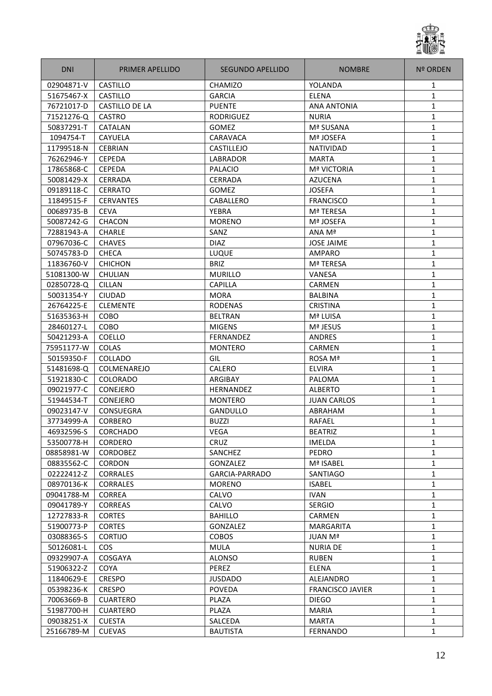

| <b>DNI</b> | <b>PRIMER APELLIDO</b> | SEGUNDO APELLIDO | <b>NOMBRE</b>           | <b>Nº ORDEN</b> |
|------------|------------------------|------------------|-------------------------|-----------------|
| 02904871-V | CASTILLO               | <b>CHAMIZO</b>   | YOLANDA                 | 1               |
| 51675467-X | CASTILLO               | <b>GARCIA</b>    | <b>ELENA</b>            | 1               |
| 76721017-D | CASTILLO DE LA         | <b>PUENTE</b>    | <b>ANA ANTONIA</b>      | 1               |
| 71521276-Q | <b>CASTRO</b>          | <b>RODRIGUEZ</b> | <b>NURIA</b>            | 1               |
| 50837291-T | <b>CATALAN</b>         | <b>GOMEZ</b>     | Mª SUSANA               | $\mathbf{1}$    |
| 1094754-T  | <b>CAYUELA</b>         | CARAVACA         | Mª JOSEFA               | 1               |
| 11799518-N | <b>CEBRIAN</b>         | CASTILLEJO       | <b>NATIVIDAD</b>        | $\mathbf{1}$    |
| 76262946-Y | <b>CEPEDA</b>          | LABRADOR         | <b>MARTA</b>            | 1               |
| 17865868-C | <b>CEPEDA</b>          | <b>PALACIO</b>   | <b>Mª VICTORIA</b>      | $\mathbf{1}$    |
| 50081429-X | <b>CERRADA</b>         | <b>CERRADA</b>   | <b>AZUCENA</b>          | 1               |
| 09189118-C | <b>CERRATO</b>         | GOMEZ            | <b>JOSEFA</b>           | 1               |
| 11849515-F | <b>CERVANTES</b>       | CABALLERO        | <b>FRANCISCO</b>        | 1               |
| 00689735-B | <b>CEVA</b>            | YEBRA            | <b>Mª TERESA</b>        | $\mathbf{1}$    |
| 50087242-G | <b>CHACON</b>          | <b>MORENO</b>    | Mª JOSEFA               | $\mathbf{1}$    |
| 72881943-A | <b>CHARLE</b>          | SANZ             | ANA Mª                  | $\mathbf{1}$    |
| 07967036-C | <b>CHAVES</b>          | <b>DIAZ</b>      | <b>JOSE JAIME</b>       | 1               |
| 50745783-D | <b>CHECA</b>           | <b>LUQUE</b>     | <b>AMPARO</b>           | 1               |
| 11836760-V | <b>CHICHON</b>         | <b>BRIZ</b>      | Mª TERESA               | 1               |
| 51081300-W | <b>CHULIAN</b>         | <b>MURILLO</b>   | <b>VANESA</b>           | 1               |
| 02850728-Q | <b>CILLAN</b>          | <b>CAPILLA</b>   | <b>CARMEN</b>           | 1               |
| 50031354-Y | <b>CIUDAD</b>          | <b>MORA</b>      | <b>BALBINA</b>          | 1               |
| 26764225-E | <b>CLEMENTE</b>        | <b>RODENAS</b>   | <b>CRISTINA</b>         | $\mathbf{1}$    |
| 51635363-H | <b>COBO</b>            | <b>BELTRAN</b>   | Mª LUISA                | 1               |
| 28460127-L | <b>COBO</b>            | <b>MIGENS</b>    | Mª JESUS                | $\mathbf{1}$    |
| 50421293-A | <b>COELLO</b>          | <b>FERNANDEZ</b> | <b>ANDRES</b>           | 1               |
| 75951177-W | <b>COLAS</b>           | <b>MONTERO</b>   | <b>CARMEN</b>           | 1               |
| 50159350-F | <b>COLLADO</b>         | GIL              | ROSA Mª                 | 1               |
| 51481698-Q | COLMENAREJO            | CALERO           | <b>ELVIRA</b>           | 1               |
| 51921830-C | <b>COLORADO</b>        | ARGIBAY          | PALOMA                  | 1               |
| 09021977-C | <b>CONEJERO</b>        | <b>HERNANDEZ</b> | <b>ALBERTO</b>          | 1               |
| 51944534-T | CONEJERO               | <b>MONTERO</b>   | <b>JUAN CARLOS</b>      | 1               |
| 09023147-V | CONSUEGRA              | <b>GANDULLO</b>  | ABRAHAM                 | $\mathbf{1}$    |
| 37734999-A | <b>CORBERO</b>         | <b>BUZZI</b>     | RAFAEL                  | 1               |
| 46932596-S | <b>CORCHADO</b>        | VEGA             | <b>BEATRIZ</b>          | 1               |
| 53500778-H | <b>CORDERO</b>         | CRUZ             | IMELDA                  | $\mathbf{1}$    |
| 08858981-W | <b>CORDOBEZ</b>        | <b>SANCHEZ</b>   | PEDRO                   | $\mathbf{1}$    |
| 08835562-C | <b>CORDON</b>          | GONZALEZ         | Mª ISABEL               | $\mathbf{1}$    |
| 02222412-Z | <b>CORRALES</b>        | GARCIA-PARRADO   | <b>SANTIAGO</b>         | 1               |
| 08970136-K | <b>CORRALES</b>        | <b>MORENO</b>    | <b>ISABEL</b>           | 1               |
| 09041788-M | <b>CORREA</b>          | CALVO            | <b>IVAN</b>             | 1               |
| 09041789-Y | <b>CORREAS</b>         | CALVO            | <b>SERGIO</b>           | $\mathbf{1}$    |
| 12727833-R | <b>CORTES</b>          | <b>BAHILLO</b>   | <b>CARMEN</b>           | $\mathbf{1}$    |
| 51900773-P | <b>CORTES</b>          | <b>GONZALEZ</b>  | MARGARITA               | $\mathbf{1}$    |
| 03088365-S | <b>CORTIJO</b>         | <b>COBOS</b>     | JUAN Mª                 | 1               |
| 50126081-L | <b>COS</b>             | <b>MULA</b>      | <b>NURIA DE</b>         | 1               |
| 09329907-A | COSGAYA                | <b>ALONSO</b>    | <b>RUBEN</b>            | 1               |
| 51906322-Z | <b>COYA</b>            | PEREZ            | <b>ELENA</b>            | 1               |
| 11840629-E | <b>CRESPO</b>          | JUSDADO          | ALEJANDRO               | $\mathbf{1}$    |
| 05398236-K | <b>CRESPO</b>          | <b>POVEDA</b>    | <b>FRANCISCO JAVIER</b> | $\mathbf{1}$    |
| 70063669-B | <b>CUARTERO</b>        | PLAZA            | <b>DIEGO</b>            | 1               |
| 51987700-H | <b>CUARTERO</b>        | PLAZA            | <b>MARIA</b>            | $\mathbf{1}$    |
| 09038251-X | <b>CUESTA</b>          | SALCEDA          | <b>MARTA</b>            | 1               |
| 25166789-M | <b>CUEVAS</b>          | <b>BAUTISTA</b>  | <b>FERNANDO</b>         | 1               |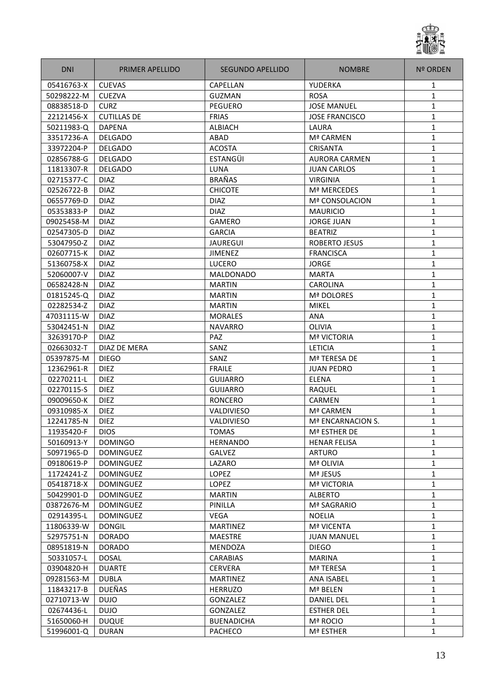

| <b>DNI</b> | <b>PRIMER APELLIDO</b> | SEGUNDO APELLIDO  | <b>NOMBRE</b>         | <b>Nº ORDEN</b> |
|------------|------------------------|-------------------|-----------------------|-----------------|
| 05416763-X | <b>CUEVAS</b>          | <b>CAPELLAN</b>   | YUDERKA               | 1               |
| 50298222-M | <b>CUEZVA</b>          | <b>GUZMAN</b>     | <b>ROSA</b>           | 1               |
| 08838518-D | <b>CURZ</b>            | <b>PEGUERO</b>    | <b>JOSE MANUEL</b>    | 1               |
| 22121456-X | <b>CUTILLAS DE</b>     | <b>FRIAS</b>      | <b>JOSE FRANCISCO</b> | 1               |
| 50211983-Q | <b>DAPENA</b>          | <b>ALBIACH</b>    | LAURA                 | $\mathbf{1}$    |
| 33517236-A | <b>DELGADO</b>         | ABAD              | Mª CARMEN             | 1               |
| 33972204-P | <b>DELGADO</b>         | <b>ACOSTA</b>     | CRISANTA              | $\mathbf{1}$    |
| 02856788-G | <b>DELGADO</b>         | <b>ESTANGÜI</b>   | AURORA CARMEN         | 1               |
| 11813307-R | <b>DELGADO</b>         | LUNA              | <b>JUAN CARLOS</b>    | $\mathbf{1}$    |
| 02715377-C | <b>DIAZ</b>            | <b>BRAÑAS</b>     | <b>VIRGINIA</b>       | 1               |
| 02526722-B | <b>DIAZ</b>            | <b>CHICOTE</b>    | Mª MERCEDES           | 1               |
| 06557769-D | <b>DIAZ</b>            | <b>DIAZ</b>       | <b>Mª CONSOLACION</b> | 1               |
| 05353833-P | <b>DIAZ</b>            | <b>DIAZ</b>       | <b>MAURICIO</b>       | $\mathbf{1}$    |
| 09025458-M | <b>DIAZ</b>            | <b>GAMERO</b>     | <b>JORGE JUAN</b>     | $\mathbf{1}$    |
| 02547305-D | <b>DIAZ</b>            | <b>GARCIA</b>     | <b>BEATRIZ</b>        | $\mathbf{1}$    |
| 53047950-Z | <b>DIAZ</b>            | <b>JAUREGUI</b>   | <b>ROBERTO JESUS</b>  | $\mathbf{1}$    |
| 02607715-K | <b>DIAZ</b>            | <b>JIMENEZ</b>    | <b>FRANCISCA</b>      | 1               |
| 51360758-X | <b>DIAZ</b>            | LUCERO            | <b>JORGE</b>          | 1               |
| 52060007-V | <b>DIAZ</b>            | <b>MALDONADO</b>  | <b>MARTA</b>          | 1               |
| 06582428-N | <b>DIAZ</b>            | <b>MARTIN</b>     | CAROLINA              | 1               |
| 01815245-Q | <b>DIAZ</b>            | <b>MARTIN</b>     | <b>Mª DOLORES</b>     | 1               |
| 02282534-Z | <b>DIAZ</b>            | <b>MARTIN</b>     | <b>MIKEL</b>          | $\mathbf{1}$    |
| 47031115-W | <b>DIAZ</b>            | <b>MORALES</b>    | ANA                   | $\mathbf{1}$    |
| 53042451-N | <b>DIAZ</b>            | <b>NAVARRO</b>    | OLIVIA                | $\mathbf{1}$    |
| 32639170-P | <b>DIAZ</b>            | PAZ               | <b>Mª VICTORIA</b>    | 1               |
| 02663032-T | <b>DIAZ DE MERA</b>    | SANZ              | <b>LETICIA</b>        | 1               |
| 05397875-M | <b>DIEGO</b>           | SANZ              | Mª TERESA DE          | 1               |
| 12362961-R | <b>DIEZ</b>            | <b>FRAILE</b>     | <b>JUAN PEDRO</b>     | 1               |
| 02270211-L | <b>DIEZ</b>            | <b>GUIJARRO</b>   | <b>ELENA</b>          | 1               |
| 02270115-S | <b>DIEZ</b>            | <b>GUIJARRO</b>   | RAQUEL                | 1               |
| 09009650-K | <b>DIEZ</b>            | <b>RONCERO</b>    | <b>CARMEN</b>         | 1               |
| 09310985-X | <b>DIEZ</b>            | VALDIVIESO        | Mª CARMEN             | $\mathbf{1}$    |
| 12241785-N | <b>DIEZ</b>            | VALDIVIESO        | Mª ENCARNACION S.     | 1               |
| 11935420-F | <b>DIOS</b>            | TOMAS             | Mª ESTHER DE          | 1               |
| 50160913-Y | <b>DOMINGO</b>         | <b>HERNANDO</b>   | <b>HENAR FELISA</b>   | $\mathbf{1}$    |
| 50971965-D | <b>DOMINGUEZ</b>       | <b>GALVEZ</b>     | <b>ARTURO</b>         | $\mathbf{1}$    |
| 09180619-P | <b>DOMINGUEZ</b>       | LAZARO            | Mª OLIVIA             | 1               |
| 11724241-Z | <b>DOMINGUEZ</b>       | <b>LOPEZ</b>      | Mª JESUS              | 1               |
| 05418718-X | <b>DOMINGUEZ</b>       | LOPEZ             | <b>Mª VICTORIA</b>    | 1               |
| 50429901-D | <b>DOMINGUEZ</b>       | <b>MARTIN</b>     | <b>ALBERTO</b>        | 1               |
| 03872676-M | <b>DOMINGUEZ</b>       | PINILLA           | Mª SAGRARIO           | $\mathbf{1}$    |
| 02914395-L | DOMINGUEZ              | <b>VEGA</b>       | <b>NOELIA</b>         | 1               |
| 11806339-W | <b>DONGIL</b>          | <b>MARTINEZ</b>   | Mª VICENTA            | $\mathbf{1}$    |
| 52975751-N | <b>DORADO</b>          | <b>MAESTRE</b>    | <b>JUAN MANUEL</b>    | 1               |
| 08951819-N | <b>DORADO</b>          | <b>MENDOZA</b>    | <b>DIEGO</b>          | 1               |
| 50331057-L | <b>DOSAL</b>           | <b>CARABIAS</b>   | <b>MARINA</b>         | 1               |
| 03904820-H | <b>DUARTE</b>          | <b>CERVERA</b>    | Mª TERESA             | 1               |
| 09281563-M | <b>DUBLA</b>           | MARTINEZ          | ANA ISABEL            | 1               |
| 11843217-B | <b>DUEÑAS</b>          | <b>HERRUZO</b>    | Mª BELEN              | $\mathbf{1}$    |
| 02710713-W | <b>DUJO</b>            | GONZALEZ          | <b>DANIEL DEL</b>     | 1               |
| 02674436-L | <b>DUJO</b>            | GONZALEZ          | <b>ESTHER DEL</b>     | $\mathbf{1}$    |
| 51650060-H | <b>DUQUE</b>           | <b>BUENADICHA</b> | Mª ROCIO              | 1               |
| 51996001-Q | <b>DURAN</b>           | PACHECO           | Mª ESTHER             | 1               |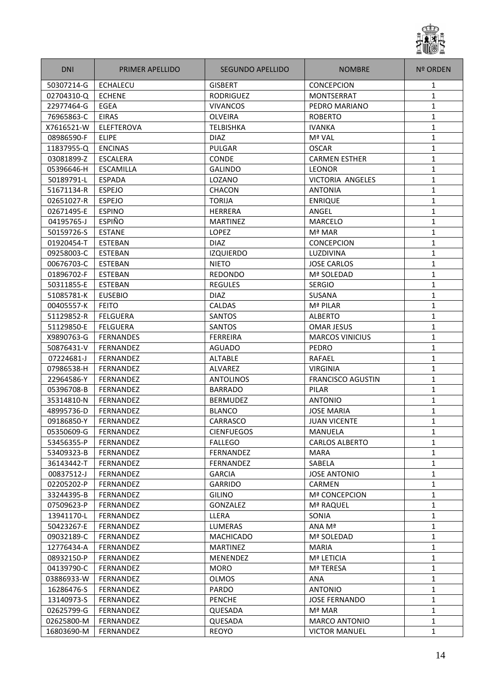

| <b>DNI</b> | <b>PRIMER APELLIDO</b> | SEGUNDO APELLIDO  | <b>NOMBRE</b>            | Nº ORDEN     |
|------------|------------------------|-------------------|--------------------------|--------------|
| 50307214-G | ECHALECU               | <b>GISBERT</b>    | <b>CONCEPCION</b>        | 1            |
| 02704310-Q | <b>ECHENE</b>          | <b>RODRIGUEZ</b>  | MONTSERRAT               | 1            |
| 22977464-G | EGEA                   | <b>VIVANCOS</b>   | PEDRO MARIANO            | 1            |
| 76965863-C | <b>EIRAS</b>           | <b>OLVEIRA</b>    | <b>ROBERTO</b>           | 1            |
| X7616521-W | ELEFTEROVA             | <b>TELBISHKA</b>  | <b>IVANKA</b>            | 1            |
| 08986590-F | <b>ELIPE</b>           | <b>DIAZ</b>       | Mª VAL                   | 1            |
| 11837955-Q | <b>ENCINAS</b>         | PULGAR            | <b>OSCAR</b>             | $\mathbf{1}$ |
| 03081899-Z | <b>ESCALERA</b>        | <b>CONDE</b>      | <b>CARMEN ESTHER</b>     | $\mathbf{1}$ |
| 05396646-H | ESCAMILLA              | <b>GALINDO</b>    | <b>LEONOR</b>            | $\mathbf{1}$ |
| 50189791-L | <b>ESPADA</b>          | LOZANO            | VICTORIA ANGELES         | 1            |
| 51671134-R | <b>ESPEJO</b>          | CHACON            | <b>ANTONIA</b>           | 1            |
| 02651027-R | <b>ESPEJO</b>          | <b>TORIJA</b>     | <b>ENRIQUE</b>           | 1            |
| 02671495-E | <b>ESPINO</b>          | <b>HERRERA</b>    | ANGEL                    | 1            |
| 04195765-J | <b>ESPIÑO</b>          | <b>MARTINEZ</b>   | <b>MARCELO</b>           | 1            |
| 50159726-S | <b>ESTANE</b>          | LOPEZ             | Mª MAR                   | $\mathbf{1}$ |
| 01920454-T | ESTEBAN                | <b>DIAZ</b>       | <b>CONCEPCION</b>        | 1            |
| 09258003-C | <b>ESTEBAN</b>         | <b>IZQUIERDO</b>  | LUZDIVINA                | 1            |
| 00676703-C | <b>ESTEBAN</b>         | <b>NIETO</b>      | <b>JOSE CARLOS</b>       | 1            |
| 01896702-F | <b>ESTEBAN</b>         | <b>REDONDO</b>    | Mª SOLEDAD               | 1            |
| 50311855-E | <b>ESTEBAN</b>         | <b>REGULES</b>    | <b>SERGIO</b>            | 1            |
| 51085781-K | <b>EUSEBIO</b>         | <b>DIAZ</b>       | SUSANA                   | 1            |
| 00405557-K | <b>FEITO</b>           | CALDAS            | Mª PILAR                 | 1            |
| 51129852-R | <b>FELGUERA</b>        | SANTOS            | <b>ALBERTO</b>           | 1            |
| 51129850-E | <b>FELGUERA</b>        | SANTOS            | <b>OMAR JESUS</b>        | 1            |
| X9890763-G | <b>FERNANDES</b>       | <b>FERREIRA</b>   | <b>MARCOS VINICIUS</b>   | $\mathbf{1}$ |
| 50876431-V | FERNANDEZ              | <b>AGUADO</b>     | PEDRO                    | $\mathbf{1}$ |
| 07224681-J | <b>FERNANDEZ</b>       | <b>ALTABLE</b>    | RAFAEL                   | 1            |
| 07986538-H | FERNANDEZ              | ALVAREZ           | <b>VIRGINIA</b>          | $\mathbf{1}$ |
| 22964586-Y | FERNANDEZ              | <b>ANTOLINOS</b>  | <b>FRANCISCO AGUSTIN</b> | 1            |
| 05396708-B | FERNANDEZ              | <b>BARRADO</b>    | PILAR                    | 1            |
| 35314810-N | FERNANDEZ              | <b>BERMUDEZ</b>   | <b>ANTONIO</b>           | 1            |
| 48995736-D | <b>FERNANDEZ</b>       | <b>BLANCO</b>     | <b>JOSE MARIA</b>        | 1            |
| 09186850-Y | FERNANDEZ              | CARRASCO          | <b>JUAN VICENTE</b>      | 1            |
| 05350609-G | FERNANDEZ              | <b>CIENFUEGOS</b> | MANUELA                  | 1            |
| 53456355-P | <b>FERNANDEZ</b>       | <b>FALLEGO</b>    | <b>CARLOS ALBERTO</b>    | 1            |
| 53409323-B | FERNANDEZ              | FERNANDEZ         | <b>MARA</b>              | $\mathbf{1}$ |
| 36143442-T | FERNANDEZ              | FERNANDEZ         | SABELA                   | 1            |
| 00837512-J | <b>FERNANDEZ</b>       | <b>GARCIA</b>     | <b>JOSE ANTONIO</b>      | 1            |
| 02205202-P | FERNANDEZ              | <b>GARRIDO</b>    | CARMEN                   | 1            |
| 33244395-B | FERNANDEZ              | <b>GILINO</b>     | <b>Mª CONCEPCION</b>     | 1            |
| 07509623-P | FERNANDEZ              | GONZALEZ          | Mª RAQUEL                | 1            |
| 13941170-L | FERNANDEZ              | LLERA             | SONIA                    | 1            |
| 50423267-E | <b>FERNANDEZ</b>       | <b>LUMERAS</b>    | ANA Mª                   | 1            |
| 09032189-C | FERNANDEZ              | <b>MACHICADO</b>  | Mª SOLEDAD               | 1            |
| 12776434-A | FERNANDEZ              | <b>MARTINEZ</b>   | <b>MARIA</b>             | $\mathbf{1}$ |
| 08932150-P | FERNANDEZ              | MENENDEZ          | Mª LETICIA               | 1            |
| 04139790-C | FERNANDEZ              | <b>MORO</b>       | Mª TERESA                | $\mathbf{1}$ |
| 03886933-W | FERNANDEZ              | <b>OLMOS</b>      | ANA                      | 1            |
| 16286476-S | FERNANDEZ              | <b>PARDO</b>      | <b>ANTONIO</b>           | $\mathbf{1}$ |
| 13140973-S | FERNANDEZ              | <b>PENCHE</b>     | <b>JOSE FERNANDO</b>     | $\mathbf{1}$ |
| 02625799-G | FERNANDEZ              | QUESADA           | Mª MAR                   | $\mathbf{1}$ |
| 02625800-M | FERNANDEZ              | QUESADA           | <b>MARCO ANTONIO</b>     | 1            |
| 16803690-M | FERNANDEZ              | <b>REOYO</b>      | <b>VICTOR MANUEL</b>     | $\mathbf{1}$ |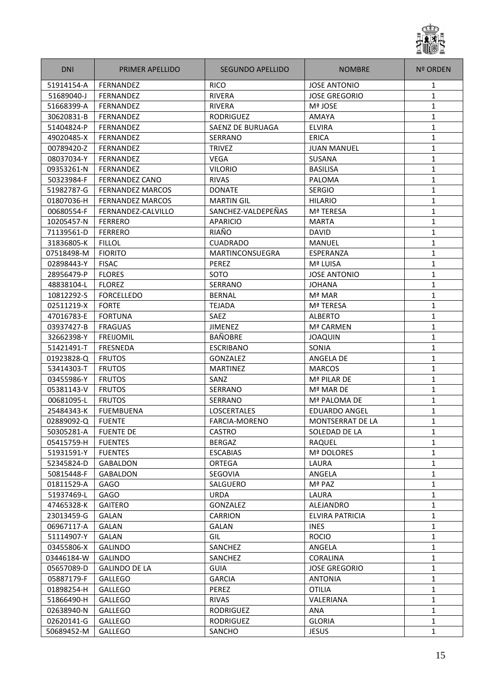

| <b>DNI</b> | PRIMER APELLIDO         | <b>SEGUNDO APELLIDO</b> | <b>NOMBRE</b>           | <b>Nº ORDEN</b> |
|------------|-------------------------|-------------------------|-------------------------|-----------------|
| 51914154-A | <b>FERNANDEZ</b>        | <b>RICO</b>             | <b>JOSE ANTONIO</b>     | 1               |
| 51689040-J | <b>FERNANDEZ</b>        | <b>RIVERA</b>           | <b>JOSE GREGORIO</b>    | $\mathbf{1}$    |
| 51668399-A | <b>FERNANDEZ</b>        | <b>RIVERA</b>           | Mª JOSE                 | 1               |
| 30620831-B | FERNANDEZ               | <b>RODRIGUEZ</b>        | AMAYA                   | 1               |
| 51404824-P | <b>FERNANDEZ</b>        | SAENZ DE BURUAGA        | <b>ELVIRA</b>           | 1               |
| 49020485-X | FERNANDEZ               | SERRANO                 | <b>ERICA</b>            | $\mathbf{1}$    |
| 00789420-Z | FERNANDEZ               | <b>TRIVEZ</b>           | <b>JUAN MANUEL</b>      | 1               |
| 08037034-Y | <b>FERNANDEZ</b>        | <b>VEGA</b>             | SUSANA                  | $\mathbf{1}$    |
| 09353261-N | FERNANDEZ               | <b>VILORIO</b>          | <b>BASILISA</b>         | 1               |
| 50323984-F | <b>FERNANDEZ CANO</b>   | <b>RIVAS</b>            | PALOMA                  | $\mathbf{1}$    |
| 51982787-G | <b>FERNANDEZ MARCOS</b> | <b>DONATE</b>           | <b>SERGIO</b>           | 1               |
| 01807036-H | <b>FERNANDEZ MARCOS</b> | <b>MARTIN GIL</b>       | <b>HILARIO</b>          | 1               |
| 00680554-F | FERNANDEZ-CALVILLO      | SANCHEZ-VALDEPEÑAS      | Mª TERESA               | 1               |
| 10205457-N | <b>FERRERO</b>          | <b>APARICIO</b>         | <b>MARTA</b>            | 1               |
| 71139561-D | <b>FERRERO</b>          | RIAÑO                   | <b>DAVID</b>            | $\mathbf{1}$    |
| 31836805-K | <b>FILLOL</b>           | <b>CUADRADO</b>         | <b>MANUEL</b>           | $\mathbf{1}$    |
| 07518498-M | <b>FIORITO</b>          | <b>MARTINCONSUEGRA</b>  | ESPERANZA               | $\mathbf{1}$    |
| 02898443-Y | <b>FISAC</b>            | <b>PEREZ</b>            | Mª LUISA                | 1               |
| 28956479-P | <b>FLORES</b>           | SOTO                    | <b>JOSE ANTONIO</b>     | 1               |
| 48838104-L | <b>FLOREZ</b>           | <b>SERRANO</b>          | <b>JOHANA</b>           | 1               |
| 10812292-S | <b>FORCELLEDO</b>       | <b>BERNAL</b>           | Mª MAR                  | 1               |
| 02511219-X | <b>FORTE</b>            | <b>TEJADA</b>           | Mª TERESA               | 1               |
| 47016783-E | <b>FORTUNA</b>          | SAEZ                    | <b>ALBERTO</b>          | 1               |
| 03937427-B | <b>FRAGUAS</b>          | <b>JIMENEZ</b>          | Mª CARMEN               | 1               |
| 32662398-Y | <b>FREIJOMIL</b>        | <b>BAÑOBRE</b>          | <b>JOAQUIN</b>          | $\mathbf{1}$    |
| 51421491-T | <b>FRESNEDA</b>         | <b>ESCRIBANO</b>        | SONIA                   | 1               |
| 01923828-Q | <b>FRUTOS</b>           | GONZALEZ                | ANGELA DE               | 1               |
| 53414303-T | <b>FRUTOS</b>           | <b>MARTINEZ</b>         | <b>MARCOS</b>           | 1               |
| 03455986-Y | <b>FRUTOS</b>           | SANZ                    | Mª PILAR DE             | 1               |
| 05381143-V | <b>FRUTOS</b>           | SERRANO                 | Mª MAR DE               | 1               |
| 00681095-L | <b>FRUTOS</b>           | <b>SERRANO</b>          | Mª PALOMA DE            | 1               |
| 25484343-K | <b>FUEMBUENA</b>        | <b>LOSCERTALES</b>      | <b>EDUARDO ANGEL</b>    | 1               |
| 02889092-Q | <b>FUENTE</b>           | <b>FARCIA-MORENO</b>    | <b>MONTSERRAT DE LA</b> | $\mathbf{1}$    |
| 50305281-A | <b>FUENTE DE</b>        | <b>CASTRO</b>           | SOLEDAD DE LA           | 1               |
| 05415759-H | <b>FUENTES</b>          | <b>BERGAZ</b>           | RAQUEL                  | $\mathbf{1}$    |
| 51931591-Y | <b>FUENTES</b>          | <b>ESCABIAS</b>         | Mª DOLORES              | 1               |
| 52345824-D | <b>GABALDON</b>         | <b>ORTEGA</b>           | LAURA                   | $\mathbf{1}$    |
| 50815448-F | GABALDON                | SEGOVIA                 | ANGELA                  | $\mathbf{1}$    |
| 01811529-A | <b>GAGO</b>             | SALGUERO                | Mª PAZ                  | $\mathbf{1}$    |
| 51937469-L | <b>GAGO</b>             | <b>URDA</b>             | LAURA                   | $\mathbf{1}$    |
| 47465328-K | <b>GAITERO</b>          | GONZALEZ                | ALEJANDRO               | $\mathbf{1}$    |
| 23013459-G | GALAN                   | <b>CARRION</b>          | <b>ELVIRA PATRICIA</b>  | 1               |
| 06967117-A | GALAN                   | GALAN                   | <b>INES</b>             | 1               |
| 51114907-Y | GALAN                   | GIL                     | <b>ROCIO</b>            | $\mathbf{1}$    |
| 03455806-X | <b>GALINDO</b>          | SANCHEZ                 | ANGELA                  | 1               |
| 03446184-W | <b>GALINDO</b>          | SANCHEZ                 | CORALINA                | $\mathbf{1}$    |
| 05657089-D | <b>GALINDO DE LA</b>    | <b>GUIA</b>             | <b>JOSE GREGORIO</b>    | 1               |
| 05887179-F | <b>GALLEGO</b>          | <b>GARCIA</b>           | <b>ANTONIA</b>          | $\mathbf{1}$    |
| 01898254-H | <b>GALLEGO</b>          | PEREZ                   | <b>OTILIA</b>           | 1               |
| 51866490-H | GALLEGO                 | <b>RIVAS</b>            | VALERIANA               | $\mathbf{1}$    |
| 02638940-N | <b>GALLEGO</b>          | RODRIGUEZ               | ANA                     | 1               |
| 02620141-G | <b>GALLEGO</b>          | RODRIGUEZ               | <b>GLORIA</b>           | 1               |
| 50689452-M | <b>GALLEGO</b>          | SANCHO                  | <b>JESUS</b>            | 1               |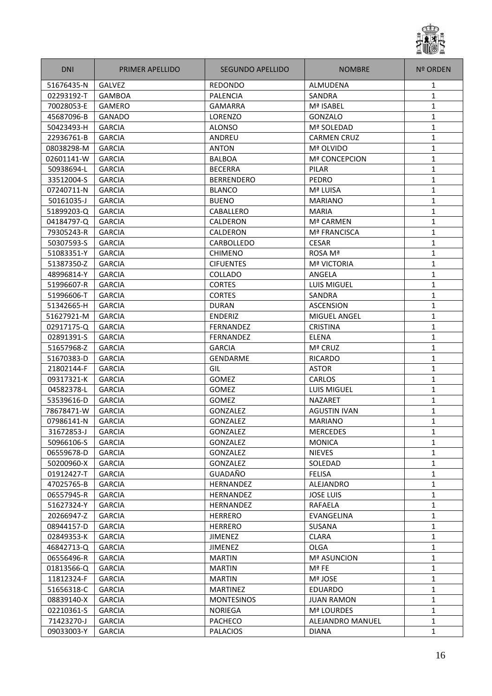

| <b>GALVEZ</b><br>51676435-N<br><b>REDONDO</b><br>ALMUDENA<br>1<br>02293192-T<br><b>PALENCIA</b><br><b>SANDRA</b><br>$\mathbf{1}$<br><b>GAMBOA</b><br>70028053-E<br>Mª ISABEL<br>1<br><b>GAMERO</b><br><b>GAMARRA</b><br>45687096-B<br><b>GANADO</b><br>LORENZO<br>GONZALO<br>1<br><b>GARCIA</b><br>1<br>50423493-H<br><b>ALONSO</b><br>Mª SOLEDAD<br>$\mathbf{1}$<br><b>GARCIA</b><br>22936761-B<br>ANDREU<br><b>CARMEN CRUZ</b><br>1<br>08038298-M<br><b>GARCIA</b><br><b>ANTON</b><br>Mª OLVIDO<br>$\mathbf{1}$<br><b>GARCIA</b><br><b>BALBOA</b><br>Mª CONCEPCION<br>02601141-W<br>1<br>50938694-L<br><b>GARCIA</b><br><b>BECERRA</b><br>PILAR<br>$\mathbf{1}$<br><b>GARCIA</b><br><b>BERRENDERO</b><br>33512004-S<br><b>PEDRO</b><br><b>GARCIA</b><br>07240711-N<br><b>BLANCO</b><br>Mª LUISA<br>1<br>50161035-J<br><b>GARCIA</b><br><b>BUENO</b><br><b>MARIANO</b><br>1<br><b>GARCIA</b><br>CABALLERO<br>1<br>51899203-Q<br><b>MARIA</b><br>1<br>04184797-Q<br><b>GARCIA</b><br><b>CALDERON</b><br>Mª CARMEN<br>$\mathbf{1}$<br>79305243-R<br><b>GARCIA</b><br><b>CALDERON</b><br><b>Mª FRANCISCA</b><br>$\mathbf{1}$<br><b>GARCIA</b><br><b>CESAR</b><br>50307593-S<br>CARBOLLEDO<br>$\mathbf{1}$<br><b>GARCIA</b><br>51083351-Y<br><b>CHIMENO</b><br>ROSA Mª<br>1<br>51387350-Z<br><b>GARCIA</b><br><b>CIFUENTES</b><br><b>Mª VICTORIA</b><br>48996814-Y<br><b>GARCIA</b><br>COLLADO<br>ANGELA<br>1<br>51996607-R<br><b>GARCIA</b><br><b>CORTES</b><br><b>LUIS MIGUEL</b><br>1<br>51996606-T<br><b>GARCIA</b><br><b>CORTES</b><br>SANDRA<br>1<br>51342665-H<br><b>GARCIA</b><br><b>DURAN</b><br><b>ASCENSION</b><br>1<br><b>GARCIA</b><br>1<br>51627921-M<br><b>ENDERIZ</b><br><b>MIGUEL ANGEL</b><br>1<br>02917175-Q<br><b>GARCIA</b><br><b>CRISTINA</b><br>FERNANDEZ<br>$\mathbf{1}$<br>02891391-S<br><b>GARCIA</b><br><b>ELENA</b><br><b>FERNANDEZ</b><br>1<br>51657968-Z<br><b>GARCIA</b><br><b>GARCIA</b><br>Mª CRUZ<br>1<br>51670383-D<br><b>GARCIA</b><br><b>GENDARME</b><br><b>RICARDO</b><br>21802144-F<br><b>GARCIA</b><br>GIL<br><b>ASTOR</b><br>1<br>09317321-K<br><b>GARCIA</b><br>GOMEZ<br>CARLOS<br>1<br><b>LUIS MIGUEL</b><br>1<br>04582378-L<br><b>GARCIA</b><br>GOMEZ<br>1<br>53539616-D<br><b>GARCIA</b><br>GOMEZ<br><b>NAZARET</b><br>1<br>78678471-W<br><b>GARCIA</b><br>GONZALEZ<br><b>AGUSTIN IVAN</b><br>$\mathbf{1}$<br>07986141-N<br><b>GARCIA</b><br><b>GONZALEZ</b><br><b>MARIANO</b><br><b>GARCIA</b><br>GONZALEZ<br>31672853-J<br><b>MERCEDES</b><br>1<br>50966106-S<br><b>GARCIA</b><br>GONZALEZ<br>$\mathbf{1}$<br><b>MONICA</b><br>GONZALEZ<br>06559678-D<br><b>GARCIA</b><br><b>NIEVES</b><br>$\mathbf{1}$<br>GONZALEZ<br>50200960-X<br><b>GARCIA</b><br>SOLEDAD<br>$\mathbf{1}$<br>GUADAÑO<br><b>FELISA</b><br>01912427-T<br><b>GARCIA</b><br>$\mathbf{1}$<br>1<br>47025765-B<br><b>GARCIA</b><br>HERNANDEZ<br>ALEJANDRO<br><b>GARCIA</b><br>$\mathbf{1}$<br>06557945-R<br><b>HERNANDEZ</b><br><b>JOSE LUIS</b><br>1<br>51627324-Y<br><b>GARCIA</b><br><b>HERNANDEZ</b><br>RAFAELA<br>$\mathbf{1}$<br>20266947-Z<br><b>GARCIA</b><br><b>HERRERO</b><br>EVANGELINA<br>08944157-D<br><b>GARCIA</b><br><b>HERRERO</b><br>SUSANA<br>1<br>$\mathbf{1}$<br>02849353-K<br><b>GARCIA</b><br><b>JIMENEZ</b><br><b>CLARA</b><br>46842713-Q<br><b>GARCIA</b><br><b>JIMENEZ</b><br><b>OLGA</b><br>1<br><b>GARCIA</b><br><b>Mª ASUNCION</b><br>06556496-R<br><b>MARTIN</b><br>1<br>01813566-Q<br><b>GARCIA</b><br>Mª FE<br>1<br>MARTIN<br>1<br>11812324-F<br><b>GARCIA</b><br><b>MARTIN</b><br>Mª JOSE<br>51656318-C<br><b>GARCIA</b><br><b>MARTINEZ</b><br>1<br>EDUARDO<br>08839140-X<br>$\mathbf{1}$<br><b>GARCIA</b><br><b>MONTESINOS</b><br><b>JUAN RAMON</b><br>02210361-S<br><b>GARCIA</b><br><b>NORIEGA</b><br>Mª LOURDES<br>$\mathbf{1}$<br>71423270-J<br><b>GARCIA</b><br><b>PACHECO</b><br>ALEJANDRO MANUEL<br>1<br>09033003-Y<br><b>GARCIA</b><br><b>PALACIOS</b><br>$\mathbf{1}$<br><b>DIANA</b> | <b>DNI</b> | PRIMER APELLIDO | SEGUNDO APELLIDO | <b>NOMBRE</b> | <b>Nº ORDEN</b> |
|-------------------------------------------------------------------------------------------------------------------------------------------------------------------------------------------------------------------------------------------------------------------------------------------------------------------------------------------------------------------------------------------------------------------------------------------------------------------------------------------------------------------------------------------------------------------------------------------------------------------------------------------------------------------------------------------------------------------------------------------------------------------------------------------------------------------------------------------------------------------------------------------------------------------------------------------------------------------------------------------------------------------------------------------------------------------------------------------------------------------------------------------------------------------------------------------------------------------------------------------------------------------------------------------------------------------------------------------------------------------------------------------------------------------------------------------------------------------------------------------------------------------------------------------------------------------------------------------------------------------------------------------------------------------------------------------------------------------------------------------------------------------------------------------------------------------------------------------------------------------------------------------------------------------------------------------------------------------------------------------------------------------------------------------------------------------------------------------------------------------------------------------------------------------------------------------------------------------------------------------------------------------------------------------------------------------------------------------------------------------------------------------------------------------------------------------------------------------------------------------------------------------------------------------------------------------------------------------------------------------------------------------------------------------------------------------------------------------------------------------------------------------------------------------------------------------------------------------------------------------------------------------------------------------------------------------------------------------------------------------------------------------------------------------------------------------------------------------------------------------------------------------------------------------------------------------------------------------------------------------------------------------------------------------------------------------------------------------------------------------------------------------------------------------------------------------------------------------------------------------------------------------------------------------------------------------------------------------------------------------------------------------------------------------------------------------------------------------------------------------------------------------------------------------------------------------------------------------------------------------------------------------------------------------------------------------|------------|-----------------|------------------|---------------|-----------------|
|                                                                                                                                                                                                                                                                                                                                                                                                                                                                                                                                                                                                                                                                                                                                                                                                                                                                                                                                                                                                                                                                                                                                                                                                                                                                                                                                                                                                                                                                                                                                                                                                                                                                                                                                                                                                                                                                                                                                                                                                                                                                                                                                                                                                                                                                                                                                                                                                                                                                                                                                                                                                                                                                                                                                                                                                                                                                                                                                                                                                                                                                                                                                                                                                                                                                                                                                                                                                                                                                                                                                                                                                                                                                                                                                                                                                                                                                                                                                           |            |                 |                  |               |                 |
|                                                                                                                                                                                                                                                                                                                                                                                                                                                                                                                                                                                                                                                                                                                                                                                                                                                                                                                                                                                                                                                                                                                                                                                                                                                                                                                                                                                                                                                                                                                                                                                                                                                                                                                                                                                                                                                                                                                                                                                                                                                                                                                                                                                                                                                                                                                                                                                                                                                                                                                                                                                                                                                                                                                                                                                                                                                                                                                                                                                                                                                                                                                                                                                                                                                                                                                                                                                                                                                                                                                                                                                                                                                                                                                                                                                                                                                                                                                                           |            |                 |                  |               |                 |
|                                                                                                                                                                                                                                                                                                                                                                                                                                                                                                                                                                                                                                                                                                                                                                                                                                                                                                                                                                                                                                                                                                                                                                                                                                                                                                                                                                                                                                                                                                                                                                                                                                                                                                                                                                                                                                                                                                                                                                                                                                                                                                                                                                                                                                                                                                                                                                                                                                                                                                                                                                                                                                                                                                                                                                                                                                                                                                                                                                                                                                                                                                                                                                                                                                                                                                                                                                                                                                                                                                                                                                                                                                                                                                                                                                                                                                                                                                                                           |            |                 |                  |               |                 |
|                                                                                                                                                                                                                                                                                                                                                                                                                                                                                                                                                                                                                                                                                                                                                                                                                                                                                                                                                                                                                                                                                                                                                                                                                                                                                                                                                                                                                                                                                                                                                                                                                                                                                                                                                                                                                                                                                                                                                                                                                                                                                                                                                                                                                                                                                                                                                                                                                                                                                                                                                                                                                                                                                                                                                                                                                                                                                                                                                                                                                                                                                                                                                                                                                                                                                                                                                                                                                                                                                                                                                                                                                                                                                                                                                                                                                                                                                                                                           |            |                 |                  |               |                 |
|                                                                                                                                                                                                                                                                                                                                                                                                                                                                                                                                                                                                                                                                                                                                                                                                                                                                                                                                                                                                                                                                                                                                                                                                                                                                                                                                                                                                                                                                                                                                                                                                                                                                                                                                                                                                                                                                                                                                                                                                                                                                                                                                                                                                                                                                                                                                                                                                                                                                                                                                                                                                                                                                                                                                                                                                                                                                                                                                                                                                                                                                                                                                                                                                                                                                                                                                                                                                                                                                                                                                                                                                                                                                                                                                                                                                                                                                                                                                           |            |                 |                  |               |                 |
|                                                                                                                                                                                                                                                                                                                                                                                                                                                                                                                                                                                                                                                                                                                                                                                                                                                                                                                                                                                                                                                                                                                                                                                                                                                                                                                                                                                                                                                                                                                                                                                                                                                                                                                                                                                                                                                                                                                                                                                                                                                                                                                                                                                                                                                                                                                                                                                                                                                                                                                                                                                                                                                                                                                                                                                                                                                                                                                                                                                                                                                                                                                                                                                                                                                                                                                                                                                                                                                                                                                                                                                                                                                                                                                                                                                                                                                                                                                                           |            |                 |                  |               |                 |
|                                                                                                                                                                                                                                                                                                                                                                                                                                                                                                                                                                                                                                                                                                                                                                                                                                                                                                                                                                                                                                                                                                                                                                                                                                                                                                                                                                                                                                                                                                                                                                                                                                                                                                                                                                                                                                                                                                                                                                                                                                                                                                                                                                                                                                                                                                                                                                                                                                                                                                                                                                                                                                                                                                                                                                                                                                                                                                                                                                                                                                                                                                                                                                                                                                                                                                                                                                                                                                                                                                                                                                                                                                                                                                                                                                                                                                                                                                                                           |            |                 |                  |               |                 |
|                                                                                                                                                                                                                                                                                                                                                                                                                                                                                                                                                                                                                                                                                                                                                                                                                                                                                                                                                                                                                                                                                                                                                                                                                                                                                                                                                                                                                                                                                                                                                                                                                                                                                                                                                                                                                                                                                                                                                                                                                                                                                                                                                                                                                                                                                                                                                                                                                                                                                                                                                                                                                                                                                                                                                                                                                                                                                                                                                                                                                                                                                                                                                                                                                                                                                                                                                                                                                                                                                                                                                                                                                                                                                                                                                                                                                                                                                                                                           |            |                 |                  |               |                 |
|                                                                                                                                                                                                                                                                                                                                                                                                                                                                                                                                                                                                                                                                                                                                                                                                                                                                                                                                                                                                                                                                                                                                                                                                                                                                                                                                                                                                                                                                                                                                                                                                                                                                                                                                                                                                                                                                                                                                                                                                                                                                                                                                                                                                                                                                                                                                                                                                                                                                                                                                                                                                                                                                                                                                                                                                                                                                                                                                                                                                                                                                                                                                                                                                                                                                                                                                                                                                                                                                                                                                                                                                                                                                                                                                                                                                                                                                                                                                           |            |                 |                  |               |                 |
|                                                                                                                                                                                                                                                                                                                                                                                                                                                                                                                                                                                                                                                                                                                                                                                                                                                                                                                                                                                                                                                                                                                                                                                                                                                                                                                                                                                                                                                                                                                                                                                                                                                                                                                                                                                                                                                                                                                                                                                                                                                                                                                                                                                                                                                                                                                                                                                                                                                                                                                                                                                                                                                                                                                                                                                                                                                                                                                                                                                                                                                                                                                                                                                                                                                                                                                                                                                                                                                                                                                                                                                                                                                                                                                                                                                                                                                                                                                                           |            |                 |                  |               |                 |
|                                                                                                                                                                                                                                                                                                                                                                                                                                                                                                                                                                                                                                                                                                                                                                                                                                                                                                                                                                                                                                                                                                                                                                                                                                                                                                                                                                                                                                                                                                                                                                                                                                                                                                                                                                                                                                                                                                                                                                                                                                                                                                                                                                                                                                                                                                                                                                                                                                                                                                                                                                                                                                                                                                                                                                                                                                                                                                                                                                                                                                                                                                                                                                                                                                                                                                                                                                                                                                                                                                                                                                                                                                                                                                                                                                                                                                                                                                                                           |            |                 |                  |               |                 |
|                                                                                                                                                                                                                                                                                                                                                                                                                                                                                                                                                                                                                                                                                                                                                                                                                                                                                                                                                                                                                                                                                                                                                                                                                                                                                                                                                                                                                                                                                                                                                                                                                                                                                                                                                                                                                                                                                                                                                                                                                                                                                                                                                                                                                                                                                                                                                                                                                                                                                                                                                                                                                                                                                                                                                                                                                                                                                                                                                                                                                                                                                                                                                                                                                                                                                                                                                                                                                                                                                                                                                                                                                                                                                                                                                                                                                                                                                                                                           |            |                 |                  |               |                 |
|                                                                                                                                                                                                                                                                                                                                                                                                                                                                                                                                                                                                                                                                                                                                                                                                                                                                                                                                                                                                                                                                                                                                                                                                                                                                                                                                                                                                                                                                                                                                                                                                                                                                                                                                                                                                                                                                                                                                                                                                                                                                                                                                                                                                                                                                                                                                                                                                                                                                                                                                                                                                                                                                                                                                                                                                                                                                                                                                                                                                                                                                                                                                                                                                                                                                                                                                                                                                                                                                                                                                                                                                                                                                                                                                                                                                                                                                                                                                           |            |                 |                  |               |                 |
|                                                                                                                                                                                                                                                                                                                                                                                                                                                                                                                                                                                                                                                                                                                                                                                                                                                                                                                                                                                                                                                                                                                                                                                                                                                                                                                                                                                                                                                                                                                                                                                                                                                                                                                                                                                                                                                                                                                                                                                                                                                                                                                                                                                                                                                                                                                                                                                                                                                                                                                                                                                                                                                                                                                                                                                                                                                                                                                                                                                                                                                                                                                                                                                                                                                                                                                                                                                                                                                                                                                                                                                                                                                                                                                                                                                                                                                                                                                                           |            |                 |                  |               |                 |
|                                                                                                                                                                                                                                                                                                                                                                                                                                                                                                                                                                                                                                                                                                                                                                                                                                                                                                                                                                                                                                                                                                                                                                                                                                                                                                                                                                                                                                                                                                                                                                                                                                                                                                                                                                                                                                                                                                                                                                                                                                                                                                                                                                                                                                                                                                                                                                                                                                                                                                                                                                                                                                                                                                                                                                                                                                                                                                                                                                                                                                                                                                                                                                                                                                                                                                                                                                                                                                                                                                                                                                                                                                                                                                                                                                                                                                                                                                                                           |            |                 |                  |               |                 |
|                                                                                                                                                                                                                                                                                                                                                                                                                                                                                                                                                                                                                                                                                                                                                                                                                                                                                                                                                                                                                                                                                                                                                                                                                                                                                                                                                                                                                                                                                                                                                                                                                                                                                                                                                                                                                                                                                                                                                                                                                                                                                                                                                                                                                                                                                                                                                                                                                                                                                                                                                                                                                                                                                                                                                                                                                                                                                                                                                                                                                                                                                                                                                                                                                                                                                                                                                                                                                                                                                                                                                                                                                                                                                                                                                                                                                                                                                                                                           |            |                 |                  |               |                 |
|                                                                                                                                                                                                                                                                                                                                                                                                                                                                                                                                                                                                                                                                                                                                                                                                                                                                                                                                                                                                                                                                                                                                                                                                                                                                                                                                                                                                                                                                                                                                                                                                                                                                                                                                                                                                                                                                                                                                                                                                                                                                                                                                                                                                                                                                                                                                                                                                                                                                                                                                                                                                                                                                                                                                                                                                                                                                                                                                                                                                                                                                                                                                                                                                                                                                                                                                                                                                                                                                                                                                                                                                                                                                                                                                                                                                                                                                                                                                           |            |                 |                  |               |                 |
|                                                                                                                                                                                                                                                                                                                                                                                                                                                                                                                                                                                                                                                                                                                                                                                                                                                                                                                                                                                                                                                                                                                                                                                                                                                                                                                                                                                                                                                                                                                                                                                                                                                                                                                                                                                                                                                                                                                                                                                                                                                                                                                                                                                                                                                                                                                                                                                                                                                                                                                                                                                                                                                                                                                                                                                                                                                                                                                                                                                                                                                                                                                                                                                                                                                                                                                                                                                                                                                                                                                                                                                                                                                                                                                                                                                                                                                                                                                                           |            |                 |                  |               |                 |
|                                                                                                                                                                                                                                                                                                                                                                                                                                                                                                                                                                                                                                                                                                                                                                                                                                                                                                                                                                                                                                                                                                                                                                                                                                                                                                                                                                                                                                                                                                                                                                                                                                                                                                                                                                                                                                                                                                                                                                                                                                                                                                                                                                                                                                                                                                                                                                                                                                                                                                                                                                                                                                                                                                                                                                                                                                                                                                                                                                                                                                                                                                                                                                                                                                                                                                                                                                                                                                                                                                                                                                                                                                                                                                                                                                                                                                                                                                                                           |            |                 |                  |               |                 |
|                                                                                                                                                                                                                                                                                                                                                                                                                                                                                                                                                                                                                                                                                                                                                                                                                                                                                                                                                                                                                                                                                                                                                                                                                                                                                                                                                                                                                                                                                                                                                                                                                                                                                                                                                                                                                                                                                                                                                                                                                                                                                                                                                                                                                                                                                                                                                                                                                                                                                                                                                                                                                                                                                                                                                                                                                                                                                                                                                                                                                                                                                                                                                                                                                                                                                                                                                                                                                                                                                                                                                                                                                                                                                                                                                                                                                                                                                                                                           |            |                 |                  |               |                 |
|                                                                                                                                                                                                                                                                                                                                                                                                                                                                                                                                                                                                                                                                                                                                                                                                                                                                                                                                                                                                                                                                                                                                                                                                                                                                                                                                                                                                                                                                                                                                                                                                                                                                                                                                                                                                                                                                                                                                                                                                                                                                                                                                                                                                                                                                                                                                                                                                                                                                                                                                                                                                                                                                                                                                                                                                                                                                                                                                                                                                                                                                                                                                                                                                                                                                                                                                                                                                                                                                                                                                                                                                                                                                                                                                                                                                                                                                                                                                           |            |                 |                  |               |                 |
|                                                                                                                                                                                                                                                                                                                                                                                                                                                                                                                                                                                                                                                                                                                                                                                                                                                                                                                                                                                                                                                                                                                                                                                                                                                                                                                                                                                                                                                                                                                                                                                                                                                                                                                                                                                                                                                                                                                                                                                                                                                                                                                                                                                                                                                                                                                                                                                                                                                                                                                                                                                                                                                                                                                                                                                                                                                                                                                                                                                                                                                                                                                                                                                                                                                                                                                                                                                                                                                                                                                                                                                                                                                                                                                                                                                                                                                                                                                                           |            |                 |                  |               |                 |
|                                                                                                                                                                                                                                                                                                                                                                                                                                                                                                                                                                                                                                                                                                                                                                                                                                                                                                                                                                                                                                                                                                                                                                                                                                                                                                                                                                                                                                                                                                                                                                                                                                                                                                                                                                                                                                                                                                                                                                                                                                                                                                                                                                                                                                                                                                                                                                                                                                                                                                                                                                                                                                                                                                                                                                                                                                                                                                                                                                                                                                                                                                                                                                                                                                                                                                                                                                                                                                                                                                                                                                                                                                                                                                                                                                                                                                                                                                                                           |            |                 |                  |               |                 |
|                                                                                                                                                                                                                                                                                                                                                                                                                                                                                                                                                                                                                                                                                                                                                                                                                                                                                                                                                                                                                                                                                                                                                                                                                                                                                                                                                                                                                                                                                                                                                                                                                                                                                                                                                                                                                                                                                                                                                                                                                                                                                                                                                                                                                                                                                                                                                                                                                                                                                                                                                                                                                                                                                                                                                                                                                                                                                                                                                                                                                                                                                                                                                                                                                                                                                                                                                                                                                                                                                                                                                                                                                                                                                                                                                                                                                                                                                                                                           |            |                 |                  |               |                 |
|                                                                                                                                                                                                                                                                                                                                                                                                                                                                                                                                                                                                                                                                                                                                                                                                                                                                                                                                                                                                                                                                                                                                                                                                                                                                                                                                                                                                                                                                                                                                                                                                                                                                                                                                                                                                                                                                                                                                                                                                                                                                                                                                                                                                                                                                                                                                                                                                                                                                                                                                                                                                                                                                                                                                                                                                                                                                                                                                                                                                                                                                                                                                                                                                                                                                                                                                                                                                                                                                                                                                                                                                                                                                                                                                                                                                                                                                                                                                           |            |                 |                  |               |                 |
|                                                                                                                                                                                                                                                                                                                                                                                                                                                                                                                                                                                                                                                                                                                                                                                                                                                                                                                                                                                                                                                                                                                                                                                                                                                                                                                                                                                                                                                                                                                                                                                                                                                                                                                                                                                                                                                                                                                                                                                                                                                                                                                                                                                                                                                                                                                                                                                                                                                                                                                                                                                                                                                                                                                                                                                                                                                                                                                                                                                                                                                                                                                                                                                                                                                                                                                                                                                                                                                                                                                                                                                                                                                                                                                                                                                                                                                                                                                                           |            |                 |                  |               |                 |
|                                                                                                                                                                                                                                                                                                                                                                                                                                                                                                                                                                                                                                                                                                                                                                                                                                                                                                                                                                                                                                                                                                                                                                                                                                                                                                                                                                                                                                                                                                                                                                                                                                                                                                                                                                                                                                                                                                                                                                                                                                                                                                                                                                                                                                                                                                                                                                                                                                                                                                                                                                                                                                                                                                                                                                                                                                                                                                                                                                                                                                                                                                                                                                                                                                                                                                                                                                                                                                                                                                                                                                                                                                                                                                                                                                                                                                                                                                                                           |            |                 |                  |               |                 |
|                                                                                                                                                                                                                                                                                                                                                                                                                                                                                                                                                                                                                                                                                                                                                                                                                                                                                                                                                                                                                                                                                                                                                                                                                                                                                                                                                                                                                                                                                                                                                                                                                                                                                                                                                                                                                                                                                                                                                                                                                                                                                                                                                                                                                                                                                                                                                                                                                                                                                                                                                                                                                                                                                                                                                                                                                                                                                                                                                                                                                                                                                                                                                                                                                                                                                                                                                                                                                                                                                                                                                                                                                                                                                                                                                                                                                                                                                                                                           |            |                 |                  |               |                 |
|                                                                                                                                                                                                                                                                                                                                                                                                                                                                                                                                                                                                                                                                                                                                                                                                                                                                                                                                                                                                                                                                                                                                                                                                                                                                                                                                                                                                                                                                                                                                                                                                                                                                                                                                                                                                                                                                                                                                                                                                                                                                                                                                                                                                                                                                                                                                                                                                                                                                                                                                                                                                                                                                                                                                                                                                                                                                                                                                                                                                                                                                                                                                                                                                                                                                                                                                                                                                                                                                                                                                                                                                                                                                                                                                                                                                                                                                                                                                           |            |                 |                  |               |                 |
|                                                                                                                                                                                                                                                                                                                                                                                                                                                                                                                                                                                                                                                                                                                                                                                                                                                                                                                                                                                                                                                                                                                                                                                                                                                                                                                                                                                                                                                                                                                                                                                                                                                                                                                                                                                                                                                                                                                                                                                                                                                                                                                                                                                                                                                                                                                                                                                                                                                                                                                                                                                                                                                                                                                                                                                                                                                                                                                                                                                                                                                                                                                                                                                                                                                                                                                                                                                                                                                                                                                                                                                                                                                                                                                                                                                                                                                                                                                                           |            |                 |                  |               |                 |
|                                                                                                                                                                                                                                                                                                                                                                                                                                                                                                                                                                                                                                                                                                                                                                                                                                                                                                                                                                                                                                                                                                                                                                                                                                                                                                                                                                                                                                                                                                                                                                                                                                                                                                                                                                                                                                                                                                                                                                                                                                                                                                                                                                                                                                                                                                                                                                                                                                                                                                                                                                                                                                                                                                                                                                                                                                                                                                                                                                                                                                                                                                                                                                                                                                                                                                                                                                                                                                                                                                                                                                                                                                                                                                                                                                                                                                                                                                                                           |            |                 |                  |               |                 |
|                                                                                                                                                                                                                                                                                                                                                                                                                                                                                                                                                                                                                                                                                                                                                                                                                                                                                                                                                                                                                                                                                                                                                                                                                                                                                                                                                                                                                                                                                                                                                                                                                                                                                                                                                                                                                                                                                                                                                                                                                                                                                                                                                                                                                                                                                                                                                                                                                                                                                                                                                                                                                                                                                                                                                                                                                                                                                                                                                                                                                                                                                                                                                                                                                                                                                                                                                                                                                                                                                                                                                                                                                                                                                                                                                                                                                                                                                                                                           |            |                 |                  |               |                 |
|                                                                                                                                                                                                                                                                                                                                                                                                                                                                                                                                                                                                                                                                                                                                                                                                                                                                                                                                                                                                                                                                                                                                                                                                                                                                                                                                                                                                                                                                                                                                                                                                                                                                                                                                                                                                                                                                                                                                                                                                                                                                                                                                                                                                                                                                                                                                                                                                                                                                                                                                                                                                                                                                                                                                                                                                                                                                                                                                                                                                                                                                                                                                                                                                                                                                                                                                                                                                                                                                                                                                                                                                                                                                                                                                                                                                                                                                                                                                           |            |                 |                  |               |                 |
|                                                                                                                                                                                                                                                                                                                                                                                                                                                                                                                                                                                                                                                                                                                                                                                                                                                                                                                                                                                                                                                                                                                                                                                                                                                                                                                                                                                                                                                                                                                                                                                                                                                                                                                                                                                                                                                                                                                                                                                                                                                                                                                                                                                                                                                                                                                                                                                                                                                                                                                                                                                                                                                                                                                                                                                                                                                                                                                                                                                                                                                                                                                                                                                                                                                                                                                                                                                                                                                                                                                                                                                                                                                                                                                                                                                                                                                                                                                                           |            |                 |                  |               |                 |
|                                                                                                                                                                                                                                                                                                                                                                                                                                                                                                                                                                                                                                                                                                                                                                                                                                                                                                                                                                                                                                                                                                                                                                                                                                                                                                                                                                                                                                                                                                                                                                                                                                                                                                                                                                                                                                                                                                                                                                                                                                                                                                                                                                                                                                                                                                                                                                                                                                                                                                                                                                                                                                                                                                                                                                                                                                                                                                                                                                                                                                                                                                                                                                                                                                                                                                                                                                                                                                                                                                                                                                                                                                                                                                                                                                                                                                                                                                                                           |            |                 |                  |               |                 |
|                                                                                                                                                                                                                                                                                                                                                                                                                                                                                                                                                                                                                                                                                                                                                                                                                                                                                                                                                                                                                                                                                                                                                                                                                                                                                                                                                                                                                                                                                                                                                                                                                                                                                                                                                                                                                                                                                                                                                                                                                                                                                                                                                                                                                                                                                                                                                                                                                                                                                                                                                                                                                                                                                                                                                                                                                                                                                                                                                                                                                                                                                                                                                                                                                                                                                                                                                                                                                                                                                                                                                                                                                                                                                                                                                                                                                                                                                                                                           |            |                 |                  |               |                 |
|                                                                                                                                                                                                                                                                                                                                                                                                                                                                                                                                                                                                                                                                                                                                                                                                                                                                                                                                                                                                                                                                                                                                                                                                                                                                                                                                                                                                                                                                                                                                                                                                                                                                                                                                                                                                                                                                                                                                                                                                                                                                                                                                                                                                                                                                                                                                                                                                                                                                                                                                                                                                                                                                                                                                                                                                                                                                                                                                                                                                                                                                                                                                                                                                                                                                                                                                                                                                                                                                                                                                                                                                                                                                                                                                                                                                                                                                                                                                           |            |                 |                  |               |                 |
|                                                                                                                                                                                                                                                                                                                                                                                                                                                                                                                                                                                                                                                                                                                                                                                                                                                                                                                                                                                                                                                                                                                                                                                                                                                                                                                                                                                                                                                                                                                                                                                                                                                                                                                                                                                                                                                                                                                                                                                                                                                                                                                                                                                                                                                                                                                                                                                                                                                                                                                                                                                                                                                                                                                                                                                                                                                                                                                                                                                                                                                                                                                                                                                                                                                                                                                                                                                                                                                                                                                                                                                                                                                                                                                                                                                                                                                                                                                                           |            |                 |                  |               |                 |
|                                                                                                                                                                                                                                                                                                                                                                                                                                                                                                                                                                                                                                                                                                                                                                                                                                                                                                                                                                                                                                                                                                                                                                                                                                                                                                                                                                                                                                                                                                                                                                                                                                                                                                                                                                                                                                                                                                                                                                                                                                                                                                                                                                                                                                                                                                                                                                                                                                                                                                                                                                                                                                                                                                                                                                                                                                                                                                                                                                                                                                                                                                                                                                                                                                                                                                                                                                                                                                                                                                                                                                                                                                                                                                                                                                                                                                                                                                                                           |            |                 |                  |               |                 |
|                                                                                                                                                                                                                                                                                                                                                                                                                                                                                                                                                                                                                                                                                                                                                                                                                                                                                                                                                                                                                                                                                                                                                                                                                                                                                                                                                                                                                                                                                                                                                                                                                                                                                                                                                                                                                                                                                                                                                                                                                                                                                                                                                                                                                                                                                                                                                                                                                                                                                                                                                                                                                                                                                                                                                                                                                                                                                                                                                                                                                                                                                                                                                                                                                                                                                                                                                                                                                                                                                                                                                                                                                                                                                                                                                                                                                                                                                                                                           |            |                 |                  |               |                 |
|                                                                                                                                                                                                                                                                                                                                                                                                                                                                                                                                                                                                                                                                                                                                                                                                                                                                                                                                                                                                                                                                                                                                                                                                                                                                                                                                                                                                                                                                                                                                                                                                                                                                                                                                                                                                                                                                                                                                                                                                                                                                                                                                                                                                                                                                                                                                                                                                                                                                                                                                                                                                                                                                                                                                                                                                                                                                                                                                                                                                                                                                                                                                                                                                                                                                                                                                                                                                                                                                                                                                                                                                                                                                                                                                                                                                                                                                                                                                           |            |                 |                  |               |                 |
|                                                                                                                                                                                                                                                                                                                                                                                                                                                                                                                                                                                                                                                                                                                                                                                                                                                                                                                                                                                                                                                                                                                                                                                                                                                                                                                                                                                                                                                                                                                                                                                                                                                                                                                                                                                                                                                                                                                                                                                                                                                                                                                                                                                                                                                                                                                                                                                                                                                                                                                                                                                                                                                                                                                                                                                                                                                                                                                                                                                                                                                                                                                                                                                                                                                                                                                                                                                                                                                                                                                                                                                                                                                                                                                                                                                                                                                                                                                                           |            |                 |                  |               |                 |
|                                                                                                                                                                                                                                                                                                                                                                                                                                                                                                                                                                                                                                                                                                                                                                                                                                                                                                                                                                                                                                                                                                                                                                                                                                                                                                                                                                                                                                                                                                                                                                                                                                                                                                                                                                                                                                                                                                                                                                                                                                                                                                                                                                                                                                                                                                                                                                                                                                                                                                                                                                                                                                                                                                                                                                                                                                                                                                                                                                                                                                                                                                                                                                                                                                                                                                                                                                                                                                                                                                                                                                                                                                                                                                                                                                                                                                                                                                                                           |            |                 |                  |               |                 |
|                                                                                                                                                                                                                                                                                                                                                                                                                                                                                                                                                                                                                                                                                                                                                                                                                                                                                                                                                                                                                                                                                                                                                                                                                                                                                                                                                                                                                                                                                                                                                                                                                                                                                                                                                                                                                                                                                                                                                                                                                                                                                                                                                                                                                                                                                                                                                                                                                                                                                                                                                                                                                                                                                                                                                                                                                                                                                                                                                                                                                                                                                                                                                                                                                                                                                                                                                                                                                                                                                                                                                                                                                                                                                                                                                                                                                                                                                                                                           |            |                 |                  |               |                 |
|                                                                                                                                                                                                                                                                                                                                                                                                                                                                                                                                                                                                                                                                                                                                                                                                                                                                                                                                                                                                                                                                                                                                                                                                                                                                                                                                                                                                                                                                                                                                                                                                                                                                                                                                                                                                                                                                                                                                                                                                                                                                                                                                                                                                                                                                                                                                                                                                                                                                                                                                                                                                                                                                                                                                                                                                                                                                                                                                                                                                                                                                                                                                                                                                                                                                                                                                                                                                                                                                                                                                                                                                                                                                                                                                                                                                                                                                                                                                           |            |                 |                  |               |                 |
|                                                                                                                                                                                                                                                                                                                                                                                                                                                                                                                                                                                                                                                                                                                                                                                                                                                                                                                                                                                                                                                                                                                                                                                                                                                                                                                                                                                                                                                                                                                                                                                                                                                                                                                                                                                                                                                                                                                                                                                                                                                                                                                                                                                                                                                                                                                                                                                                                                                                                                                                                                                                                                                                                                                                                                                                                                                                                                                                                                                                                                                                                                                                                                                                                                                                                                                                                                                                                                                                                                                                                                                                                                                                                                                                                                                                                                                                                                                                           |            |                 |                  |               |                 |
|                                                                                                                                                                                                                                                                                                                                                                                                                                                                                                                                                                                                                                                                                                                                                                                                                                                                                                                                                                                                                                                                                                                                                                                                                                                                                                                                                                                                                                                                                                                                                                                                                                                                                                                                                                                                                                                                                                                                                                                                                                                                                                                                                                                                                                                                                                                                                                                                                                                                                                                                                                                                                                                                                                                                                                                                                                                                                                                                                                                                                                                                                                                                                                                                                                                                                                                                                                                                                                                                                                                                                                                                                                                                                                                                                                                                                                                                                                                                           |            |                 |                  |               |                 |
|                                                                                                                                                                                                                                                                                                                                                                                                                                                                                                                                                                                                                                                                                                                                                                                                                                                                                                                                                                                                                                                                                                                                                                                                                                                                                                                                                                                                                                                                                                                                                                                                                                                                                                                                                                                                                                                                                                                                                                                                                                                                                                                                                                                                                                                                                                                                                                                                                                                                                                                                                                                                                                                                                                                                                                                                                                                                                                                                                                                                                                                                                                                                                                                                                                                                                                                                                                                                                                                                                                                                                                                                                                                                                                                                                                                                                                                                                                                                           |            |                 |                  |               |                 |
|                                                                                                                                                                                                                                                                                                                                                                                                                                                                                                                                                                                                                                                                                                                                                                                                                                                                                                                                                                                                                                                                                                                                                                                                                                                                                                                                                                                                                                                                                                                                                                                                                                                                                                                                                                                                                                                                                                                                                                                                                                                                                                                                                                                                                                                                                                                                                                                                                                                                                                                                                                                                                                                                                                                                                                                                                                                                                                                                                                                                                                                                                                                                                                                                                                                                                                                                                                                                                                                                                                                                                                                                                                                                                                                                                                                                                                                                                                                                           |            |                 |                  |               |                 |
|                                                                                                                                                                                                                                                                                                                                                                                                                                                                                                                                                                                                                                                                                                                                                                                                                                                                                                                                                                                                                                                                                                                                                                                                                                                                                                                                                                                                                                                                                                                                                                                                                                                                                                                                                                                                                                                                                                                                                                                                                                                                                                                                                                                                                                                                                                                                                                                                                                                                                                                                                                                                                                                                                                                                                                                                                                                                                                                                                                                                                                                                                                                                                                                                                                                                                                                                                                                                                                                                                                                                                                                                                                                                                                                                                                                                                                                                                                                                           |            |                 |                  |               |                 |
|                                                                                                                                                                                                                                                                                                                                                                                                                                                                                                                                                                                                                                                                                                                                                                                                                                                                                                                                                                                                                                                                                                                                                                                                                                                                                                                                                                                                                                                                                                                                                                                                                                                                                                                                                                                                                                                                                                                                                                                                                                                                                                                                                                                                                                                                                                                                                                                                                                                                                                                                                                                                                                                                                                                                                                                                                                                                                                                                                                                                                                                                                                                                                                                                                                                                                                                                                                                                                                                                                                                                                                                                                                                                                                                                                                                                                                                                                                                                           |            |                 |                  |               |                 |
|                                                                                                                                                                                                                                                                                                                                                                                                                                                                                                                                                                                                                                                                                                                                                                                                                                                                                                                                                                                                                                                                                                                                                                                                                                                                                                                                                                                                                                                                                                                                                                                                                                                                                                                                                                                                                                                                                                                                                                                                                                                                                                                                                                                                                                                                                                                                                                                                                                                                                                                                                                                                                                                                                                                                                                                                                                                                                                                                                                                                                                                                                                                                                                                                                                                                                                                                                                                                                                                                                                                                                                                                                                                                                                                                                                                                                                                                                                                                           |            |                 |                  |               |                 |
|                                                                                                                                                                                                                                                                                                                                                                                                                                                                                                                                                                                                                                                                                                                                                                                                                                                                                                                                                                                                                                                                                                                                                                                                                                                                                                                                                                                                                                                                                                                                                                                                                                                                                                                                                                                                                                                                                                                                                                                                                                                                                                                                                                                                                                                                                                                                                                                                                                                                                                                                                                                                                                                                                                                                                                                                                                                                                                                                                                                                                                                                                                                                                                                                                                                                                                                                                                                                                                                                                                                                                                                                                                                                                                                                                                                                                                                                                                                                           |            |                 |                  |               |                 |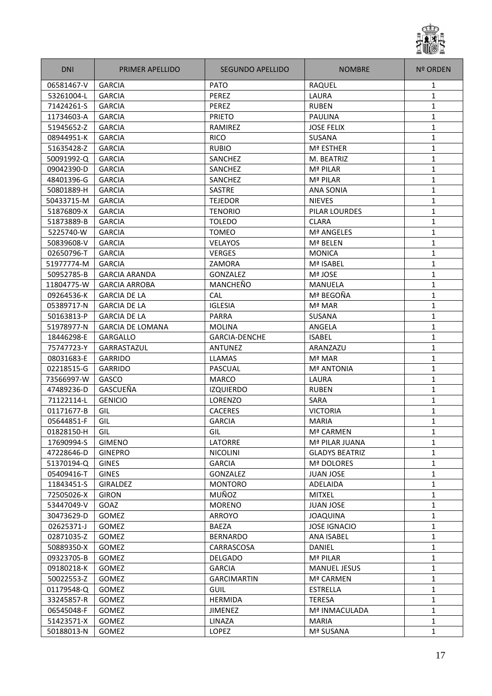

| <b>DNI</b> | <b>PRIMER APELLIDO</b>  | SEGUNDO APELLIDO     | <b>NOMBRE</b>         | <b>Nº ORDEN</b> |
|------------|-------------------------|----------------------|-----------------------|-----------------|
| 06581467-V | <b>GARCIA</b>           | <b>PATO</b>          | RAQUEL                | 1               |
| 53261004-L | <b>GARCIA</b>           | PEREZ                | LAURA                 | 1               |
| 71424261-S | <b>GARCIA</b>           | PEREZ                | <b>RUBEN</b>          | 1               |
| 11734603-A | <b>GARCIA</b>           | <b>PRIETO</b>        | <b>PAULINA</b>        | 1               |
| 51945652-Z | <b>GARCIA</b>           | RAMIREZ              | <b>JOSE FELIX</b>     | 1               |
| 08944951-K | <b>GARCIA</b>           | <b>RICO</b>          | <b>SUSANA</b>         | $\mathbf{1}$    |
| 51635428-Z | <b>GARCIA</b>           | <b>RUBIO</b>         | Mª ESTHER             | $\mathbf{1}$    |
| 50091992-Q | <b>GARCIA</b>           | SANCHEZ              | M. BEATRIZ            | $\mathbf{1}$    |
| 09042390-D | <b>GARCIA</b>           | SANCHEZ              | Mª PILAR              | 1               |
| 48401396-G | <b>GARCIA</b>           | SANCHEZ              | Mª PILAR              | 1               |
| 50801889-H | <b>GARCIA</b>           | <b>SASTRE</b>        | <b>ANA SONIA</b>      | 1               |
| 50433715-M | <b>GARCIA</b>           | <b>TEJEDOR</b>       | <b>NIEVES</b>         | 1               |
| 51876809-X | <b>GARCIA</b>           | <b>TENORIO</b>       | PILAR LOURDES         | 1               |
| 51873889-B | <b>GARCIA</b>           | <b>TOLEDO</b>        | <b>CLARA</b>          | $\mathbf{1}$    |
| 5225740-W  | <b>GARCIA</b>           | <b>TOMEO</b>         | Mª ANGELES            | 1               |
| 50839608-V | <b>GARCIA</b>           | VELAYOS              | Mª BELEN              | 1               |
| 02650796-T | <b>GARCIA</b>           | <b>VERGES</b>        | <b>MONICA</b>         | 1               |
| 51977774-M | <b>GARCIA</b>           | ZAMORA               | Mª ISABEL             | 1               |
| 50952785-B | <b>GARCIA ARANDA</b>    | GONZALEZ             | Mª JOSE               | 1               |
| 11804775-W | <b>GARCIA ARROBA</b>    | MANCHEÑO             | <b>MANUELA</b>        | 1               |
| 09264536-K | <b>GARCIA DE LA</b>     | CAL                  | Mª BEGOÑA             | 1               |
| 05389717-N | <b>GARCIA DE LA</b>     | <b>IGLESIA</b>       | Mª MAR                | 1               |
| 50163813-P | <b>GARCIA DE LA</b>     | <b>PARRA</b>         | SUSANA                | $\mathbf{1}$    |
| 51978977-N | <b>GARCIA DE LOMANA</b> | <b>MOLINA</b>        | ANGELA                | $\mathbf{1}$    |
| 18446298-E | <b>GARGALLO</b>         | <b>GARCIA-DENCHE</b> | <b>ISABEL</b>         | $\mathbf{1}$    |
| 75747723-Y | <b>GARRASTAZUL</b>      | <b>ANTUNEZ</b>       | ARANZAZU              | 1               |
| 08031683-E | <b>GARRIDO</b>          | <b>LLAMAS</b>        | Mª MAR                | $\mathbf{1}$    |
| 02218515-G | <b>GARRIDO</b>          | PASCUAL              | <b>Mª ANTONIA</b>     | 1               |
| 73566997-W | GASCO                   | <b>MARCO</b>         | LAURA                 | 1               |
| 47489236-D | GASCUEÑA                | <b>IZQUIERDO</b>     | <b>RUBEN</b>          | 1               |
| 71122114-L | <b>GENICIO</b>          | LORENZO              | <b>SARA</b>           | 1               |
| 01171677-B | GIL                     | <b>CACERES</b>       | <b>VICTORIA</b>       | $\mathbf{1}$    |
| 05644851-F | GIL                     | <b>GARCIA</b>        | <b>MARIA</b>          | $\mathbf{1}$    |
| 01828150-H | GIL                     | GIL                  | Mª CARMEN             | 1               |
| 17690994-S | <b>GIMENO</b>           | <b>LATORRE</b>       | Mª PILAR JUANA        | $\mathbf{1}$    |
| 47228646-D | <b>GINEPRO</b>          | <b>NICOLINI</b>      | <b>GLADYS BEATRIZ</b> | 1               |
| 51370194-Q | <b>GINES</b>            | <b>GARCIA</b>        | Mª DOLORES            | 1               |
| 05409416-T | <b>GINES</b>            | GONZALEZ             | <b>JUAN JOSE</b>      | 1               |
| 11843451-S | <b>GIRALDEZ</b>         | <b>MONTORO</b>       | ADELAIDA              | 1               |
| 72505026-X | <b>GIRON</b>            | MUÑOZ                | <b>MITXEL</b>         | $\mathbf{1}$    |
| 53447049-V | GOAZ                    | <b>MORENO</b>        | <b>JUAN JOSE</b>      | $\mathbf{1}$    |
| 30473629-D | <b>GOMEZ</b>            | ARROYO               | <b>JOAQUINA</b>       | $\mathbf{1}$    |
| 02625371-J | <b>GOMEZ</b>            | <b>BAEZA</b>         | <b>JOSE IGNACIO</b>   | 1               |
| 02871035-Z | <b>GOMEZ</b>            | <b>BERNARDO</b>      | ANA ISABEL            | $\mathbf{1}$    |
| 50889350-X | <b>GOMEZ</b>            | CARRASCOSA           | DANIEL                | $\mathbf{1}$    |
| 09323705-B | <b>GOMEZ</b>            | <b>DELGADO</b>       | Mª PILAR              | $\mathbf{1}$    |
| 09180218-K | <b>GOMEZ</b>            | <b>GARCIA</b>        | <b>MANUEL JESUS</b>   | 1               |
| 50022553-Z | <b>GOMEZ</b>            | <b>GARCIMARTIN</b>   | Mª CARMEN             | $\mathbf{1}$    |
| 01179548-Q | <b>GOMEZ</b>            | <b>GUIL</b>          | <b>ESTRELLA</b>       | $\mathbf{1}$    |
| 33245857-R | <b>GOMEZ</b>            | <b>HERMIDA</b>       | <b>TERESA</b>         | $\mathbf{1}$    |
| 06545048-F | <b>GOMEZ</b>            | <b>JIMENEZ</b>       | Mª INMACULADA         | $\mathbf{1}$    |
| 51423571-X | <b>GOMEZ</b>            | LINAZA               | <b>MARIA</b>          | $\mathbf{1}$    |
| 50188013-N | GOMEZ                   | <b>LOPEZ</b>         | Mª SUSANA             | 1               |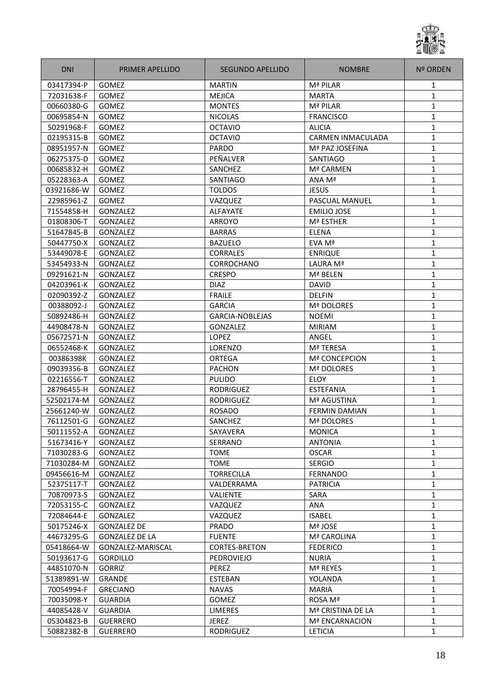

| <b>DNI</b> | PRIMER APELLIDO       | SEGUNDO APELLIDO     | <b>NOMBRE</b>         | <b>Nº ORDEN</b> |
|------------|-----------------------|----------------------|-----------------------|-----------------|
| 03417394-P | <b>GOMEZ</b>          | <b>MARTIN</b>        | Mª PILAR              | 1               |
| 72031638-F | <b>GOMEZ</b>          | <b>MEJICA</b>        | <b>MARTA</b>          | 1               |
| 00660380-G | <b>GOMEZ</b>          | <b>MONTES</b>        | Mª PILAR              | 1               |
| 00695854-N | GOMEZ                 | <b>NICOLAS</b>       | <b>FRANCISCO</b>      | 1               |
| 50291968-F | <b>GOMEZ</b>          | <b>OCTAVIO</b>       | <b>ALICIA</b>         | 1               |
| 02195315-B | GOMEZ                 | <b>OCTAVIO</b>       | CARMEN INMACULADA     | $\mathbf{1}$    |
| 08951957-N | GOMEZ                 | <b>PARDO</b>         | Mª PAZ JOSEFINA       | $\mathbf{1}$    |
| 06275375-D | <b>GOMEZ</b>          | PEÑALVER             | <b>SANTIAGO</b>       | $\mathbf{1}$    |
| 00685832-H | <b>GOMEZ</b>          | SANCHEZ              | Mª CARMEN             | $\mathbf{1}$    |
| 05228363-A | <b>GOMEZ</b>          | <b>SANTIAGO</b>      | ANA Mª                | 1               |
| 03921686-W | <b>GOMEZ</b>          | <b>TOLDOS</b>        | <b>JESUS</b>          | 1               |
| 22985961-Z | <b>GOMEZ</b>          | VAZQUEZ              | <b>PASCUAL MANUEL</b> | 1               |
| 71554858-H | <b>GONZALEZ</b>       | <b>ALFAYATE</b>      | <b>EMILIO JOSE</b>    | 1               |
| 01808306-T | GONZALEZ              | <b>ARROYO</b>        | Mª ESTHER             | 1               |
| 51647845-B | <b>GONZALEZ</b>       | <b>BARRAS</b>        | <b>ELENA</b>          | 1               |
| 50447750-X | GONZALEZ              | <b>BAZUELO</b>       | EVA Mª                | $\mathbf{1}$    |
| 53449078-E | <b>GONZALEZ</b>       | <b>CORRALES</b>      | <b>ENRIQUE</b>        | 1               |
| 53454933-N | GONZALEZ              | <b>CORROCHANO</b>    | LAURA Mª              | 1               |
| 09291621-N | <b>GONZALEZ</b>       | <b>CRESPO</b>        | Mª BELEN              | 1               |
| 04203961-K | GONZALEZ              | <b>DIAZ</b>          | <b>DAVID</b>          | 1               |
| 02090392-Z | <b>GONZALEZ</b>       | <b>FRAILE</b>        | <b>DELFIN</b>         | 1               |
| 00388092-J | GONZALEZ              | <b>GARCIA</b>        | <b>Mª DOLORES</b>     | 1               |
| 50892486-H | <b>GONZALEZ</b>       | GARCIA-NOBLEJAS      | <b>NOEMI</b>          | 1               |
| 44908478-N | <b>GONZALEZ</b>       | <b>GONZALEZ</b>      | <b>MIRIAM</b>         | $\mathbf{1}$    |
| 05672571-N | GONZALEZ              | LOPEZ                | ANGEL                 | $\mathbf{1}$    |
| 06552468-K | <b>GONZALEZ</b>       | <b>LORENZO</b>       | <b>Mª TERESA</b>      | $\mathbf{1}$    |
| 00386398K  | <b>GONZALEZ</b>       | <b>ORTEGA</b>        | <b>Mª CONCEPCION</b>  | 1               |
| 09039356-B | <b>GONZALEZ</b>       | <b>PACHON</b>        | <b>Mª DOLORES</b>     | 1               |
| 02216556-T | GONZALEZ              | <b>PULIDO</b>        | <b>ELOY</b>           | 1               |
| 28796455-H | <b>GONZALEZ</b>       | <b>RODRIGUEZ</b>     | <b>ESTEFANIA</b>      | $\mathbf{1}$    |
| 52502174-M | GONZALEZ              | <b>RODRIGUEZ</b>     | Mª AGUSTINA           | 1               |
| 25661240-W | GONZALEZ              | <b>ROSADO</b>        | <b>FERMIN DAMIAN</b>  | 1               |
| 76112501-G | <b>GONZALEZ</b>       | SANCHEZ              | Mª DOLORES            | $\mathbf{1}$    |
| 50111552-A | GONZALEZ              | SAYAVERA             | <b>MONICA</b>         | 1               |
| 51673416-Y | <b>GONZALEZ</b>       | SERRANO              | <b>ANTONIA</b>        | $\mathbf{1}$    |
| 71030283-G | GONZALEZ              | <b>TOME</b>          | <b>OSCAR</b>          | 1               |
| 71030284-M | GONZALEZ              | <b>TOME</b>          | <b>SERGIO</b>         | 1               |
| 09456616-M | GONZALEZ              | <b>TORRECILLA</b>    | <b>FERNANDO</b>       | 1               |
| 52375117-T | GONZALEZ              | VALDERRAMA           | <b>PATRICIA</b>       | $\mathbf{1}$    |
| 70870973-S | GONZALEZ              | VALIENTE             | SARA                  | 1               |
| 72053155-C | <b>GONZALEZ</b>       | VAZQUEZ              | ANA                   | 1               |
| 72084644-E | GONZALEZ              | <b>VAZQUEZ</b>       | <b>ISABEL</b>         | 1               |
| 50175246-X | <b>GONZALEZ DE</b>    | <b>PRADO</b>         | Mª JOSE               | $\mathbf{1}$    |
| 44673295-G | <b>GONZALEZ DE LA</b> | <b>FUENTE</b>        | Mª CAROLINA           | $\mathbf{1}$    |
| 05418664-W | GONZALEZ-MARISCAL     | <b>CORTES-BRETON</b> | <b>FEDERICO</b>       | $\mathbf{1}$    |
| 50193617-G | <b>GORDILLO</b>       | PEDROVIEJO           | <b>NURIA</b>          | $\mathbf{1}$    |
| 44851070-N | <b>GORRIZ</b>         | PEREZ                | Mª REYES              | 1               |
| 51389891-W | <b>GRANDE</b>         | ESTEBAN              | YOLANDA               | $\mathbf{1}$    |
| 70054994-F | <b>GRECIANO</b>       | <b>NAVAS</b>         | <b>MARIA</b>          | $\mathbf{1}$    |
| 70035098-Y | <b>GUARDIA</b>        | <b>GOMEZ</b>         | ROSA Mª               | 1               |
| 44085428-V | <b>GUARDIA</b>        | <b>LIMERES</b>       | Mª CRISTINA DE LA     | 1               |
| 05304823-B | <b>GUERRERO</b>       | <b>JEREZ</b>         | Mª ENCARNACION        | $\mathbf{1}$    |
| 50882382-B | <b>GUERRERO</b>       | RODRIGUEZ            | <b>LETICIA</b>        | 1               |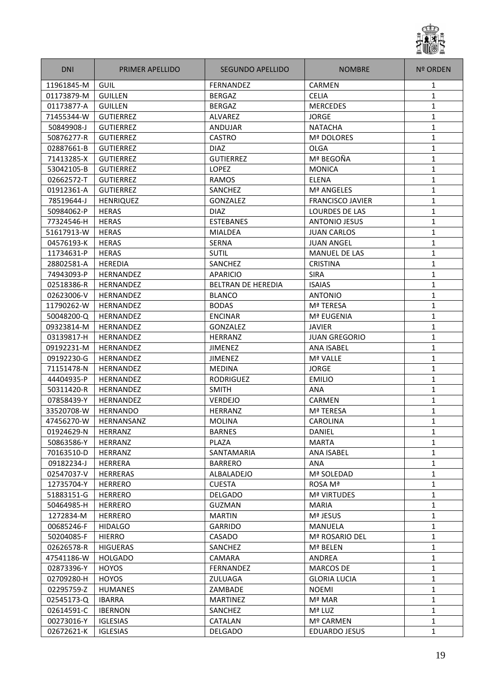

| <b>DNI</b> | PRIMER APELLIDO  | SEGUNDO APELLIDO          | <b>NOMBRE</b>           | <b>Nº ORDEN</b> |
|------------|------------------|---------------------------|-------------------------|-----------------|
| 11961845-M | GUIL             | <b>FERNANDEZ</b>          | <b>CARMEN</b>           | 1               |
| 01173879-M | <b>GUILLEN</b>   | <b>BERGAZ</b>             | <b>CELIA</b>            | $\mathbf{1}$    |
| 01173877-A | <b>GUILLEN</b>   | <b>BERGAZ</b>             | <b>MERCEDES</b>         | 1               |
| 71455344-W | <b>GUTIERREZ</b> | ALVAREZ                   | <b>JORGE</b>            | 1               |
| 50849908-J | <b>GUTIERREZ</b> | ANDUJAR                   | <b>NATACHA</b>          | 1               |
| 50876277-R | <b>GUTIERREZ</b> | <b>CASTRO</b>             | Mª DOLORES              | $\mathbf{1}$    |
| 02887661-B | <b>GUTIERREZ</b> | <b>DIAZ</b>               | <b>OLGA</b>             | 1               |
| 71413285-X | <b>GUTIERREZ</b> | <b>GUTIERREZ</b>          | Mª BEGOÑA               | $\mathbf{1}$    |
| 53042105-B | <b>GUTIERREZ</b> | <b>LOPEZ</b>              | <b>MONICA</b>           | 1               |
| 02662572-T | <b>GUTIERREZ</b> | <b>RAMOS</b>              | <b>ELENA</b>            | $\mathbf{1}$    |
| 01912361-A | <b>GUTIERREZ</b> | SANCHEZ                   | Mª ANGELES              | 1               |
| 78519644-J | <b>HENRIQUEZ</b> | GONZALEZ                  | <b>FRANCISCO JAVIER</b> | 1               |
| 50984062-P | <b>HERAS</b>     | <b>DIAZ</b>               | LOURDES DE LAS          | 1               |
| 77324546-H | <b>HERAS</b>     | <b>ESTEBANES</b>          | <b>ANTONIO JESUS</b>    | 1               |
| 51617913-W | <b>HERAS</b>     | <b>MIALDEA</b>            | <b>JUAN CARLOS</b>      | $\mathbf{1}$    |
| 04576193-K | <b>HERAS</b>     | SERNA                     | <b>JUAN ANGEL</b>       | $\mathbf{1}$    |
| 11734631-P | <b>HERAS</b>     | <b>SUTIL</b>              | MANUEL DE LAS           | $\mathbf{1}$    |
| 28802581-A | <b>HEREDIA</b>   | SANCHEZ                   | <b>CRISTINA</b>         | 1               |
| 74943093-P | HERNANDEZ        | <b>APARICIO</b>           | <b>SIRA</b>             | 1               |
| 02518386-R | <b>HERNANDEZ</b> | <b>BELTRAN DE HEREDIA</b> | <b>ISAIAS</b>           | 1               |
| 02623006-V | <b>HERNANDEZ</b> | <b>BLANCO</b>             | <b>ANTONIO</b>          | 1               |
| 11790262-W | HERNANDEZ        | <b>BODAS</b>              | Mª TERESA               | 1               |
| 50048200-Q | HERNANDEZ        | <b>ENCINAR</b>            | Mª EUGENIA              | 1               |
| 09323814-M | HERNANDEZ        | GONZALEZ                  | <b>JAVIER</b>           | 1               |
| 03139817-H | HERNANDEZ        | HERRANZ                   | <b>JUAN GREGORIO</b>    | $\mathbf{1}$    |
| 09192231-M | <b>HERNANDEZ</b> | JIMENEZ                   | <b>ANA ISABEL</b>       | 1               |
| 09192230-G | <b>HERNANDEZ</b> | <b>JIMENEZ</b>            | Mª VALLE                | 1               |
| 71151478-N | HERNANDEZ        | <b>MEDINA</b>             | <b>JORGE</b>            | 1               |
| 44404935-P | HERNANDEZ        | RODRIGUEZ                 | <b>EMILIO</b>           | 1               |
| 50311420-R | <b>HERNANDEZ</b> | SMITH                     | ANA                     | 1               |
| 07858439-Y | HERNANDEZ        | <b>VERDEJO</b>            | CARMEN                  | 1               |
| 33520708-W | <b>HERNANDO</b>  | HERRANZ                   | <b>Mª TERESA</b>        | 1               |
| 47456270-W | HERNANSANZ       | <b>MOLINA</b>             | <b>CAROLINA</b>         | $\mathbf{1}$    |
| 01924629-N | <b>HERRANZ</b>   | <b>BARNES</b>             | DANIEL                  | 1               |
| 50863586-Y | HERRANZ          | PLAZA                     | <b>MARTA</b>            | $\mathbf{1}$    |
| 70163510-D | HERRANZ          | SANTAMARIA                | ANA ISABEL              | $\mathbf{1}$    |
| 09182234-J | <b>HERRERA</b>   | <b>BARRERO</b>            | ANA                     | $\mathbf{1}$    |
| 02547037-V | <b>HERRERAS</b>  | ALBALADEJO                | Mª SOLEDAD              | $\mathbf{1}$    |
| 12735704-Y | <b>HERRERO</b>   | <b>CUESTA</b>             | ROSA Mª                 | 1               |
| 51883151-G | <b>HERRERO</b>   | <b>DELGADO</b>            | <b>Mª VIRTUDES</b>      | $\mathbf{1}$    |
| 50464985-H | <b>HERRERO</b>   | GUZMAN                    | <b>MARIA</b>            | 1               |
| 1272834-M  | <b>HERRERO</b>   | <b>MARTIN</b>             | Mª JESUS                | $\mathbf{1}$    |
| 00685246-F | <b>HIDALGO</b>   | <b>GARRIDO</b>            | MANUELA                 | 1               |
| 50204085-F | <b>HIERRO</b>    | CASADO                    | Mª ROSARIO DEL          | $\mathbf{1}$    |
| 02626578-R | <b>HIGUERAS</b>  | SANCHEZ                   | Mª BELEN                |                 |
|            |                  |                           |                         | 1               |
| 47541186-W | <b>HOLGADO</b>   | <b>CAMARA</b>             | ANDREA                  | 1               |
| 02873396-Y | <b>HOYOS</b>     | FERNANDEZ                 | <b>MARCOS DE</b>        | 1               |
| 02709280-H | <b>HOYOS</b>     | ZULUAGA                   | <b>GLORIA LUCIA</b>     | 1               |
| 02295759-Z | <b>HUMANES</b>   | ZAMBADE                   | <b>NOEMI</b>            | 1               |
| 02545173-Q | <b>IBARRA</b>    | <b>MARTINEZ</b>           | Mª MAR                  | $\mathbf{1}$    |
| 02614591-C | <b>IBERNON</b>   | SANCHEZ                   | Mª LUZ                  | $\mathbf{1}$    |
| 00273016-Y | <b>IGLESIAS</b>  | CATALAN                   | Mº CARMEN               | $\mathbf{1}$    |
| 02672621-K | <b>IGLESIAS</b>  | <b>DELGADO</b>            | <b>EDUARDO JESUS</b>    | $\mathbf{1}$    |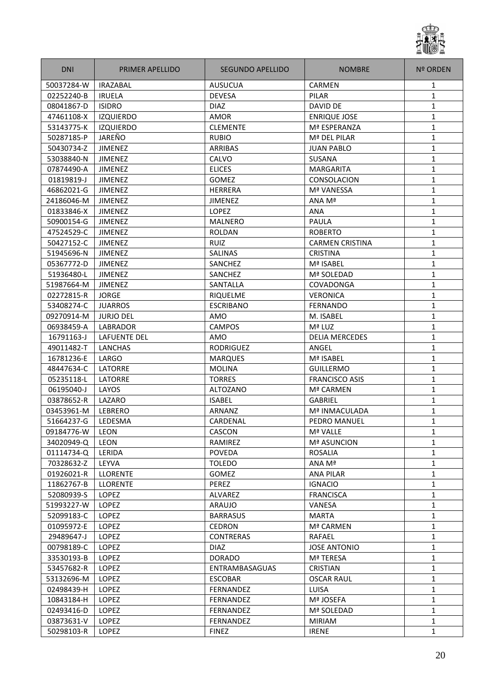

| <b>DNI</b> | <b>PRIMER APELLIDO</b> | SEGUNDO APELLIDO      | <b>NOMBRE</b>          | Nº ORDEN     |
|------------|------------------------|-----------------------|------------------------|--------------|
| 50037284-W | <b>IRAZABAL</b>        | <b>AUSUCUA</b>        | <b>CARMEN</b>          | 1            |
| 02252240-B | <b>IRUELA</b>          | <b>DEVESA</b>         | PILAR                  | 1            |
| 08041867-D | <b>ISIDRO</b>          | <b>DIAZ</b>           | DAVID DE               | 1            |
| 47461108-X | <b>IZQUIERDO</b>       | AMOR                  | <b>ENRIQUE JOSE</b>    | 1            |
| 53143775-K | <b>IZQUIERDO</b>       | <b>CLEMENTE</b>       | Mª ESPERANZA           | $\mathbf{1}$ |
| 50287185-P | JAREÑO                 | <b>RUBIO</b>          | Mª DEL PILAR           | $\mathbf{1}$ |
| 50430734-Z | <b>JIMENEZ</b>         | ARRIBAS               | <b>JUAN PABLO</b>      | $\mathbf{1}$ |
| 53038840-N | <b>JIMENEZ</b>         | CALVO                 | <b>SUSANA</b>          | 1            |
| 07874490-A | <b>JIMENEZ</b>         | <b>ELICES</b>         | <b>MARGARITA</b>       | $\mathbf{1}$ |
| 01819819-J | <b>JIMENEZ</b>         | GOMEZ                 | CONSOLACION            | $\mathbf{1}$ |
| 46862021-G | <b>JIMENEZ</b>         | <b>HERRERA</b>        | Mª VANESSA             | 1            |
| 24186046-M | <b>JIMENEZ</b>         | <b>JIMENEZ</b>        | ANA Mª                 | 1            |
| 01833846-X | <b>JIMENEZ</b>         | <b>LOPEZ</b>          | <b>ANA</b>             | $\mathbf{1}$ |
| 50900154-G | <b>JIMENEZ</b>         | <b>MALNERO</b>        | PAULA                  | $\mathbf{1}$ |
| 47524529-C | <b>JIMENEZ</b>         | <b>ROLDAN</b>         | <b>ROBERTO</b>         | $\mathbf{1}$ |
| 50427152-C | <b>JIMENEZ</b>         | <b>RUIZ</b>           | <b>CARMEN CRISTINA</b> | $\mathbf{1}$ |
| 51945696-N | <b>JIMENEZ</b>         | <b>SALINAS</b>        | <b>CRISTINA</b>        | 1            |
| 05367772-D | <b>JIMENEZ</b>         | SANCHEZ               | Mª ISABEL              | 1            |
| 51936480-L | <b>JIMENEZ</b>         | SANCHEZ               | Mª SOLEDAD             | 1            |
| 51987664-M | <b>JIMENEZ</b>         | SANTALLA              | COVADONGA              | 1            |
| 02272815-R | <b>JORGE</b>           | <b>RIQUELME</b>       | <b>VERONICA</b>        | 1            |
| 53408274-C | <b>JUARROS</b>         | <b>ESCRIBANO</b>      | <b>FERNANDO</b>        | $\mathbf{1}$ |
| 09270914-M | <b>JURJO DEL</b>       | AMO                   | M. ISABEL              | $\mathbf{1}$ |
| 06938459-A | <b>LABRADOR</b>        | <b>CAMPOS</b>         | Mª LUZ                 | $\mathbf{1}$ |
| 16791163-J | <b>LAFUENTE DEL</b>    | AMO                   | <b>DELIA MERCEDES</b>  | $\mathbf{1}$ |
| 49011482-T | LANCHAS                | <b>RODRIGUEZ</b>      | ANGEL                  | $\mathbf{1}$ |
| 16781236-E | LARGO                  | <b>MARQUES</b>        | Mª ISABEL              | 1            |
| 48447634-C | <b>LATORRE</b>         | <b>MOLINA</b>         | <b>GUILLERMO</b>       | $\mathbf{1}$ |
| 05235118-L | LATORRE                | <b>TORRES</b>         | <b>FRANCISCO ASIS</b>  | 1            |
| 06195040-J | LAYOS                  | <b>ALTOZANO</b>       | Mª CARMEN              | $\mathbf{1}$ |
| 03878652-R | LAZARO                 | <b>ISABEL</b>         | <b>GABRIEL</b>         | 1            |
| 03453961-M | LEBRERO                | <b>ARNANZ</b>         | Mª INMACULADA          | $\mathbf{1}$ |
| 51664237-G | LEDESMA                | CARDENAL              | PEDRO MANUEL           | $\mathbf{1}$ |
| 09184776-W | LEON                   | CASCON                | Mª VALLE               | 1            |
| 34020949-Q | <b>LEON</b>            | RAMIREZ               | <b>Mª ASUNCION</b>     | $\mathbf{1}$ |
| 01114734-Q | LERIDA                 | <b>POVEDA</b>         | ROSALIA                | 1            |
| 70328632-Z | LEYVA                  | <b>TOLEDO</b>         | ANA Mª                 | 1            |
| 01926021-R | <b>LLORENTE</b>        | <b>GOMEZ</b>          | <b>ANA PILAR</b>       | 1            |
| 11862767-B | <b>LLORENTE</b>        | PEREZ                 | <b>IGNACIO</b>         | $\mathbf{1}$ |
| 52080939-S | <b>LOPEZ</b>           | ALVAREZ               | <b>FRANCISCA</b>       | 1            |
| 51993227-W | LOPEZ                  | ARAUJO                | VANESA                 | $\mathbf{1}$ |
| 52099183-C | LOPEZ                  | <b>BARRASUS</b>       | <b>MARTA</b>           | 1            |
| 01095972-E | <b>LOPEZ</b>           | <b>CEDRON</b>         | Mª CARMEN              | 1            |
| 29489647-J | LOPEZ                  | <b>CONTRERAS</b>      | <b>RAFAEL</b>          | $\mathbf{1}$ |
| 00798189-C | LOPEZ                  | <b>DIAZ</b>           | <b>JOSE ANTONIO</b>    | $\mathbf{1}$ |
| 33530193-B | <b>LOPEZ</b>           | <b>DORADO</b>         | Mª TERESA              | $\mathbf{1}$ |
| 53457682-R | LOPEZ                  | <b>ENTRAMBASAGUAS</b> | <b>CRISTIAN</b>        | 1            |
| 53132696-M | <b>LOPEZ</b>           | <b>ESCOBAR</b>        | <b>OSCAR RAUL</b>      | $\mathbf{1}$ |
| 02498439-H | <b>LOPEZ</b>           | FERNANDEZ             | LUISA                  | $\mathbf{1}$ |
| 10843184-H | <b>LOPEZ</b>           | FERNANDEZ             | Mª JOSEFA              | $\mathbf{1}$ |
| 02493416-D | <b>LOPEZ</b>           | FERNANDEZ             | Mª SOLEDAD             | 1            |
| 03873631-V | LOPEZ                  | FERNANDEZ             | <b>MIRIAM</b>          | $\mathbf{1}$ |
| 50298103-R | <b>LOPEZ</b>           | <b>FINEZ</b>          | <b>IRENE</b>           | $\mathbf{1}$ |
|            |                        |                       |                        |              |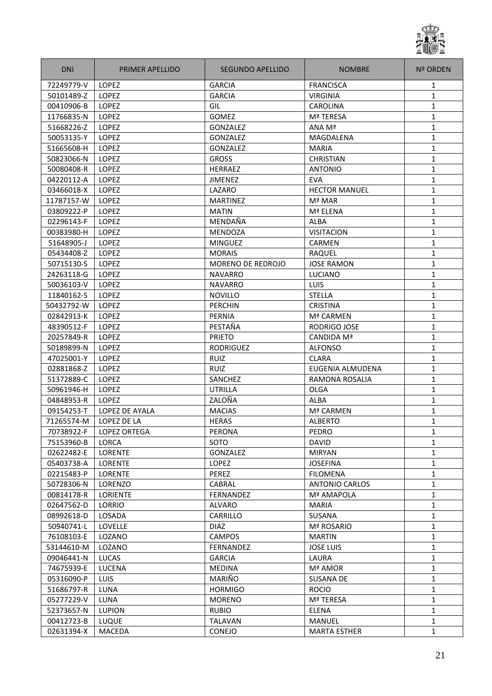

| <b>DNI</b> | PRIMER APELLIDO | SEGUNDO APELLIDO  | <b>NOMBRE</b>         | <b>Nº ORDEN</b> |
|------------|-----------------|-------------------|-----------------------|-----------------|
| 72249779-V | LOPEZ           | <b>GARCIA</b>     | <b>FRANCISCA</b>      | 1               |
| 50101489-Z | <b>LOPEZ</b>    | <b>GARCIA</b>     | <b>VIRGINIA</b>       | 1               |
| 00410906-B | <b>LOPEZ</b>    | GIL               | <b>CAROLINA</b>       | 1               |
| 11766835-N | LOPEZ           | GOMEZ             | Mª TERESA             | 1               |
| 51668226-Z | <b>LOPEZ</b>    | <b>GONZALEZ</b>   | ANA Mª                | $\mathbf{1}$    |
| 50053135-Y | <b>LOPEZ</b>    | GONZALEZ          | MAGDALENA             | $\mathbf{1}$    |
| 51665608-H | LOPEZ           | <b>GONZALEZ</b>   | <b>MARIA</b>          | $\mathbf{1}$    |
| 50823066-N | LOPEZ           | <b>GROSS</b>      | <b>CHRISTIAN</b>      | $\mathbf{1}$    |
| 50080408-R | <b>LOPEZ</b>    | <b>HERRAEZ</b>    | <b>ANTONIO</b>        | $\mathbf{1}$    |
| 04220112-A | <b>LOPEZ</b>    | <b>JIMENEZ</b>    | <b>EVA</b>            | 1               |
| 03466018-X | <b>LOPEZ</b>    | LAZARO            | <b>HECTOR MANUEL</b>  | 1               |
| 11787157-W | LOPEZ           | <b>MARTINEZ</b>   | Mª MAR                | 1               |
| 03809222-P | LOPEZ           | <b>MATIN</b>      | Mª ELENA              | 1               |
| 02296143-F | LOPEZ           | MENDAÑA           | <b>ALBA</b>           | 1               |
| 00383980-H | <b>LOPEZ</b>    | <b>MENDOZA</b>    | <b>VISITACION</b>     | 1               |
| 51648905-J | LOPEZ           | <b>MINGUEZ</b>    | CARMEN                | $\mathbf{1}$    |
| 05434408-Z | <b>LOPEZ</b>    | <b>MORAIS</b>     | RAQUEL                | 1               |
| 50715130-S | <b>LOPEZ</b>    | MORENO DE REDROJO | <b>JOSE RAMON</b>     | 1               |
| 24263118-G | <b>LOPEZ</b>    | <b>NAVARRO</b>    | LUCIANO               | 1               |
| 50036103-V | LOPEZ           | <b>NAVARRO</b>    | LUIS                  | 1               |
| 11840162-S | LOPEZ           | <b>NOVILLO</b>    | <b>STELLA</b>         | 1               |
| 50432792-W | LOPEZ           | <b>PERCHIN</b>    | <b>CRISTINA</b>       | $\mathbf{1}$    |
| 02842913-K | <b>LOPEZ</b>    | PERNIA            | Mª CARMEN             | $\mathbf{1}$    |
| 48390512-F | LOPEZ           | PESTAÑA           | RODRIGO JOSE          | $\mathbf{1}$    |
| 20257849-R | LOPEZ           | <b>PRIETO</b>     | CANDIDA Mª            | $\mathbf{1}$    |
| 50189899-N | <b>LOPEZ</b>    | <b>RODRIGUEZ</b>  | <b>ALFONSO</b>        | $\mathbf{1}$    |
| 47025001-Y | <b>LOPEZ</b>    | <b>RUIZ</b>       | <b>CLARA</b>          | 1               |
| 02881868-Z | <b>LOPEZ</b>    | <b>RUIZ</b>       | EUGENIA ALMUDENA      | 1               |
| 51372889-C | LOPEZ           | SANCHEZ           | RAMONA ROSALIA        | 1               |
| 50961946-H | LOPEZ           | <b>UTRILLA</b>    | <b>OLGA</b>           | $\mathbf{1}$    |
| 04848953-R | <b>LOPEZ</b>    | ZALOÑA            | <b>ALBA</b>           | 1               |
| 09154253-T | LOPEZ DE AYALA  | <b>MACIAS</b>     | Mª CARMEN             | 1               |
| 71265574-M | LOPEZ DE LA     | <b>HERAS</b>      | <b>ALBERTO</b>        | $\mathbf{1}$    |
| 70738922-F | LOPEZ ORTEGA    | PERONA            | <b>PEDRO</b>          | 1               |
| 75153960-B | <b>LORCA</b>    | SOTO              | <b>DAVID</b>          | $\mathbf{1}$    |
| 02622482-E | <b>LORENTE</b>  | GONZALEZ          | <b>MIRYAN</b>         | 1               |
| 05403738-A | <b>LORENTE</b>  | LOPEZ             | <b>JOSEFINA</b>       | 1               |
| 02215483-P | <b>LORENTE</b>  | PEREZ             | <b>FILOMENA</b>       | 1               |
| 50728306-N | LORENZO         | CABRAL            | <b>ANTONIO CARLOS</b> | $\mathbf{1}$    |
| 00814178-R | LORIENTE        | <b>FERNANDEZ</b>  | Mª AMAPOLA            | 1               |
| 02647562-D | LORRIO          | <b>ALVARO</b>     | <b>MARIA</b>          | 1               |
| 08992618-D | LOSADA          | CARRILLO          | SUSANA                | 1               |
| 50940741-L | <b>LOVELLE</b>  | <b>DIAZ</b>       | Mª ROSARIO            | 1               |
| 76108103-E | LOZANO          | <b>CAMPOS</b>     | <b>MARTIN</b>         | $\mathbf{1}$    |
| 53144610-M | LOZANO          | FERNANDEZ         | <b>JOSE LUIS</b>      | $\mathbf{1}$    |
| 09046441-N | <b>LUCAS</b>    | <b>GARCIA</b>     | LAURA                 | $\mathbf{1}$    |
| 74675939-E | LUCENA          | <b>MEDINA</b>     | Mª AMOR               | $\mathbf{1}$    |
| 05316090-P | <b>LUIS</b>     | MARIÑO            | SUSANA DE             | $\mathbf{1}$    |
| 51686797-R | LUNA            | <b>HORMIGO</b>    | <b>ROCIO</b>          | $\mathbf{1}$    |
| 05277229-V | LUNA            | <b>MORENO</b>     | Mª TERESA             | 1               |
| 52373657-N | <b>LUPION</b>   | <b>RUBIO</b>      | <b>ELENA</b>          | 1               |
| 00412723-B | LUQUE           | TALAVAN           | MANUEL                | $\mathbf{1}$    |
| 02631394-X | MACEDA          | <b>CONEJO</b>     | <b>MARTA ESTHER</b>   | 1               |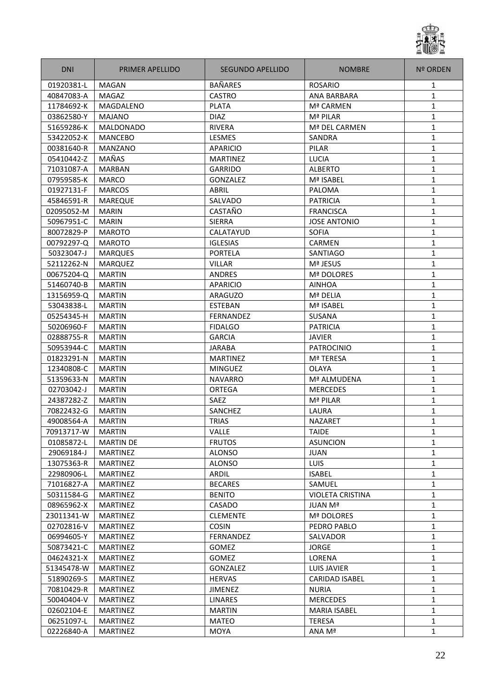

| <b>DNI</b> | PRIMER APELLIDO  | SEGUNDO APELLIDO | <b>NOMBRE</b>           | <b>Nº ORDEN</b> |
|------------|------------------|------------------|-------------------------|-----------------|
| 01920381-L | <b>MAGAN</b>     | <b>BAÑARES</b>   | <b>ROSARIO</b>          | 1               |
| 40847083-A | <b>MAGAZ</b>     | <b>CASTRO</b>    | <b>ANA BARBARA</b>      | 1               |
| 11784692-K | MAGDALENO        | <b>PLATA</b>     | Mª CARMEN               | 1               |
| 03862580-Y | <b>MAJANO</b>    | <b>DIAZ</b>      | Mª PILAR                | 1               |
| 51659286-K | <b>MALDONADO</b> | <b>RIVERA</b>    | Mª DEL CARMEN           | 1               |
| 53422052-K | <b>MANCEBO</b>   | LESMES           | SANDRA                  | $\mathbf{1}$    |
| 00381640-R | <b>MANZANO</b>   | <b>APARICIO</b>  | PILAR                   | 1               |
| 05410442-Z | MAÑAS            | <b>MARTINEZ</b>  | LUCIA                   | $\mathbf{1}$    |
| 71031087-A | <b>MARBAN</b>    | <b>GARRIDO</b>   | <b>ALBERTO</b>          | 1               |
| 07959585-K | <b>MARCO</b>     | GONZALEZ         | Mª ISABEL               | $\mathbf{1}$    |
| 01927131-F | <b>MARCOS</b>    | ABRIL            | PALOMA                  | 1               |
| 45846591-R | <b>MAREQUE</b>   | SALVADO          | <b>PATRICIA</b>         | 1               |
| 02095052-M | <b>MARIN</b>     | CASTAÑO          | <b>FRANCISCA</b>        | 1               |
| 50967951-C | <b>MARIN</b>     | <b>SIERRA</b>    | <b>JOSE ANTONIO</b>     | 1               |
| 80072829-P | <b>MAROTO</b>    | CALATAYUD        | <b>SOFIA</b>            | $\mathbf{1}$    |
| 00792297-Q | <b>MAROTO</b>    | <b>IGLESIAS</b>  | <b>CARMEN</b>           | $\mathbf{1}$    |
| 50323047-J | <b>MARQUES</b>   | <b>PORTELA</b>   | SANTIAGO                | $\mathbf{1}$    |
| 52112262-N | <b>MARQUEZ</b>   | <b>VILLAR</b>    | Mª JESUS                | 1               |
| 00675204-Q | <b>MARTIN</b>    | <b>ANDRES</b>    | Mª DOLORES              | 1               |
| 51460740-B | <b>MARTIN</b>    | <b>APARICIO</b>  | <b>AINHOA</b>           | 1               |
| 13156959-Q | <b>MARTIN</b>    | ARAGUZO          | Mª DELIA                | 1               |
| 53043838-L | <b>MARTIN</b>    | <b>ESTEBAN</b>   | Mª ISABEL               | 1               |
| 05254345-H | <b>MARTIN</b>    | <b>FERNANDEZ</b> | SUSANA                  | 1               |
| 50206960-F | <b>MARTIN</b>    | <b>FIDALGO</b>   | <b>PATRICIA</b>         | 1               |
| 02888755-R | <b>MARTIN</b>    | <b>GARCIA</b>    | <b>JAVIER</b>           | $\mathbf{1}$    |
| 50953944-C | <b>MARTIN</b>    | <b>JARABA</b>    | <b>PATROCINIO</b>       | 1               |
| 01823291-N | <b>MARTIN</b>    | <b>MARTINEZ</b>  | <b>Mª TERESA</b>        | 1               |
| 12340808-C | <b>MARTIN</b>    | <b>MINGUEZ</b>   | <b>OLAYA</b>            | 1               |
| 51359633-N | <b>MARTIN</b>    | <b>NAVARRO</b>   | Mª ALMUDENA             | 1               |
| 02703042-J | <b>MARTIN</b>    | ORTEGA           | <b>MERCEDES</b>         | 1               |
| 24387282-Z | <b>MARTIN</b>    | <b>SAEZ</b>      | Mª PILAR                | 1               |
| 70822432-G | <b>MARTIN</b>    | SANCHEZ          | LAURA                   | 1               |
| 49008564-A | <b>MARTIN</b>    | <b>TRIAS</b>     | <b>NAZARET</b>          | $\mathbf{1}$    |
| 70913717-W | <b>MARTIN</b>    | VALLE            | <b>TAIDE</b>            | 1               |
| 01085872-L | <b>MARTIN DE</b> | <b>FRUTOS</b>    | <b>ASUNCION</b>         | $\mathbf{1}$    |
| 29069184-J | <b>MARTINEZ</b>  | <b>ALONSO</b>    | <b>JUAN</b>             | $\mathbf{1}$    |
| 13075363-R | <b>MARTINEZ</b>  | <b>ALONSO</b>    | <b>LUIS</b>             | $\mathbf{1}$    |
| 22980906-L | <b>MARTINEZ</b>  | ARDIL            | <b>ISABEL</b>           | $\mathbf{1}$    |
| 71016827-A | <b>MARTINEZ</b>  | <b>BECARES</b>   | SAMUEL                  | 1               |
| 50311584-G | <b>MARTINEZ</b>  | <b>BENITO</b>    | <b>VIOLETA CRISTINA</b> | 1               |
| 08965962-X | <b>MARTINEZ</b>  | CASADO           | <b>JUAN Mª</b>          | 1               |
| 23011341-W | <b>MARTINEZ</b>  | <b>CLEMENTE</b>  | Mª DOLORES              | $\mathbf{1}$    |
| 02702816-V | MARTINEZ         | <b>COSIN</b>     | PEDRO PABLO             | 1               |
| 06994605-Y | <b>MARTINEZ</b>  | FERNANDEZ        | SALVADOR                | $\mathbf{1}$    |
| 50873421-C | MARTINEZ         | <b>GOMEZ</b>     | <b>JORGE</b>            | 1               |
| 04624321-X | <b>MARTINEZ</b>  | GOMEZ            | LORENA                  | 1               |
| 51345478-W | MARTINEZ         | GONZALEZ         | <b>LUIS JAVIER</b>      | 1               |
| 51890269-S | <b>MARTINEZ</b>  | <b>HERVAS</b>    | <b>CARIDAD ISABEL</b>   | 1               |
| 70810429-R | MARTINEZ         | JIMENEZ          | <b>NURIA</b>            | 1               |
| 50040404-V | <b>MARTINEZ</b>  | <b>LINARES</b>   | <b>MERCEDES</b>         | $\mathbf{1}$    |
| 02602104-E | MARTINEZ         | MARTIN           | MARIA ISABEL            | $\mathbf{1}$    |
| 06251097-L | <b>MARTINEZ</b>  | <b>MATEO</b>     | <b>TERESA</b>           | $\mathbf{1}$    |
| 02226840-A | <b>MARTINEZ</b>  | MOYA             | ANA Mª                  | $\mathbf{1}$    |
|            |                  |                  |                         |                 |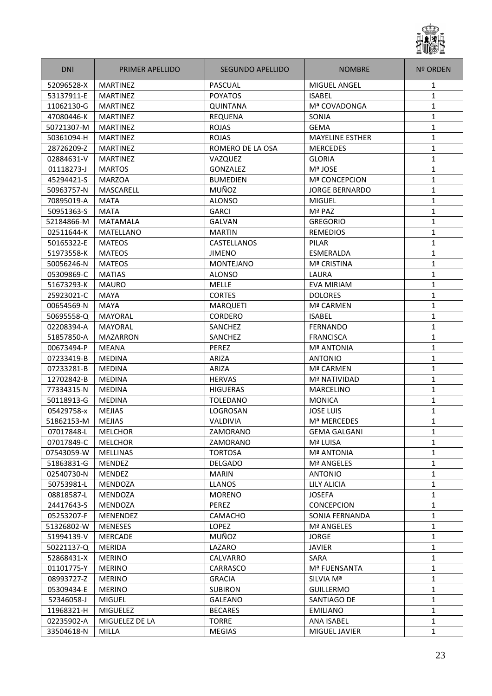

| <b>DNI</b> | PRIMER APELLIDO  | SEGUNDO APELLIDO | <b>NOMBRE</b>          | <b>Nº ORDEN</b> |
|------------|------------------|------------------|------------------------|-----------------|
| 52096528-X | <b>MARTINEZ</b>  | PASCUAL          | <b>MIGUEL ANGEL</b>    | 1               |
| 53137911-E | <b>MARTINEZ</b>  | <b>POYATOS</b>   | <b>ISABEL</b>          | $\mathbf{1}$    |
| 11062130-G | <b>MARTINEZ</b>  | <b>QUINTANA</b>  | Mª COVADONGA           | 1               |
| 47080446-K | <b>MARTINEZ</b>  | <b>REQUENA</b>   | SONIA                  | 1               |
| 50721307-M | MARTINEZ         | <b>ROJAS</b>     | <b>GEMA</b>            | 1               |
| 50361094-H | <b>MARTINEZ</b>  | <b>ROJAS</b>     | <b>MAYELINE ESTHER</b> | $\mathbf{1}$    |
| 28726209-Z | <b>MARTINEZ</b>  | ROMERO DE LA OSA | <b>MERCEDES</b>        | 1               |
| 02884631-V | <b>MARTINEZ</b>  | VAZQUEZ          | <b>GLORIA</b>          | $\mathbf{1}$    |
| 01118273-J | <b>MARTOS</b>    | GONZALEZ         | Mª JOSE                | 1               |
| 45294421-S | <b>MARZOA</b>    | <b>BUMEDIEN</b>  | <b>Mª CONCEPCION</b>   | $\mathbf{1}$    |
| 50963757-N | MASCARELL        | MUÑOZ            | <b>JORGE BERNARDO</b>  | 1               |
| 70895019-A | <b>MATA</b>      | <b>ALONSO</b>    | <b>MIGUEL</b>          | 1               |
| 50951363-S | <b>MATA</b>      | <b>GARCI</b>     | Mª PAZ                 | 1               |
| 52184866-M | <b>MATAMALA</b>  | <b>GALVAN</b>    | <b>GREGORIO</b>        | 1               |
| 02511644-K | <b>MATELLANO</b> | <b>MARTIN</b>    | <b>REMEDIOS</b>        | $\mathbf{1}$    |
| 50165322-E | <b>MATEOS</b>    | CASTELLANOS      | PILAR                  | $\mathbf{1}$    |
| 51973558-K | <b>MATEOS</b>    | <b>JIMENO</b>    | <b>ESMERALDA</b>       | $\mathbf{1}$    |
| 50056246-N | <b>MATEOS</b>    | <b>MONTEJANO</b> | Mª CRISTINA            | 1               |
| 05309869-C | <b>MATIAS</b>    | <b>ALONSO</b>    | <b>LAURA</b>           | 1               |
| 51673293-K | <b>MAURO</b>     | <b>MELLE</b>     | <b>EVA MIRIAM</b>      | 1               |
| 25923021-C | <b>MAYA</b>      | <b>CORTES</b>    | <b>DOLORES</b>         | 1               |
| 00654569-N | MAYA             | <b>MARQUETI</b>  | Mª CARMEN              | 1               |
| 50695558-Q | MAYORAL          | <b>CORDERO</b>   | <b>ISABEL</b>          | 1               |
| 02208394-A | <b>MAYORAL</b>   | SANCHEZ          | FERNANDO               | 1               |
| 51857850-A | <b>MAZARRON</b>  | SANCHEZ          | <b>FRANCISCA</b>       | $\mathbf{1}$    |
| 00673494-P | <b>MEANA</b>     | PEREZ            | <b>Mª ANTONIA</b>      | 1               |
| 07233419-B | <b>MEDINA</b>    | ARIZA            | <b>ANTONIO</b>         | 1               |
| 07233281-B | <b>MEDINA</b>    | ARIZA            | Mª CARMEN              | 1               |
| 12702842-B | <b>MEDINA</b>    | <b>HERVAS</b>    | Mª NATIVIDAD           | 1               |
| 77334315-N | <b>MEDINA</b>    | <b>HIGUERAS</b>  | <b>MARCELINO</b>       | 1               |
| 50118913-G | <b>MEDINA</b>    | <b>TOLEDANO</b>  | <b>MONICA</b>          | 1               |
| 05429758-x | <b>MEJIAS</b>    | LOGROSAN         | <b>JOSE LUIS</b>       | 1               |
| 51862153-M | <b>MEJIAS</b>    | VALDIVIA         | Mª MERCEDES            | $\mathbf{1}$    |
| 07017848-L | <b>MELCHOR</b>   | ZAMORANO         | <b>GEMA GALGANI</b>    | 1               |
| 07017849-C | <b>MELCHOR</b>   | ZAMORANO         | Mª LUISA               | $\mathbf{1}$    |
| 07543059-W | <b>MELLINAS</b>  | <b>TORTOSA</b>   | <b>Mª ANTONIA</b>      | $\mathbf{1}$    |
| 51863831-G | MENDEZ           | <b>DELGADO</b>   | Mª ANGELES             | $\mathbf{1}$    |
| 02540730-N | <b>MENDEZ</b>    | <b>MARIN</b>     | <b>ANTONIO</b>         | $\mathbf{1}$    |
| 50753981-L | MENDOZA          | <b>LLANOS</b>    | LILY ALICIA            | 1               |
| 08818587-L | MENDOZA          | <b>MORENO</b>    | <b>JOSEFA</b>          | $\mathbf{1}$    |
| 24417643-S | MENDOZA          | PEREZ            | <b>CONCEPCION</b>      | 1               |
| 05253207-F | MENENDEZ         | CAMACHO          | SONIA FERNANDA         | 1               |
| 51326802-W | <b>MENESES</b>   | <b>LOPEZ</b>     | Mª ANGELES             | 1               |
| 51994139-V | <b>MERCADE</b>   | MUÑOZ            | <b>JORGE</b>           | $\mathbf{1}$    |
| 50221137-Q | MERIDA           | LAZARO           | <b>JAVIER</b>          | 1               |
| 52868431-X | <b>MERINO</b>    | CALVARRO         | SARA                   | 1               |
| 01101775-Y | <b>MERINO</b>    | CARRASCO         | Mª FUENSANTA           | 1               |
| 08993727-Z | <b>MERINO</b>    | <b>GRACIA</b>    | SILVIA Mª              | 1               |
| 05309434-E | <b>MERINO</b>    | <b>SUBIRON</b>   | GUILLERMO              | 1               |
| 52346058-J | <b>MIGUEL</b>    | GALEANO          | SANTIAGO DE            | $\mathbf{1}$    |
| 11968321-H | <b>MIGUELEZ</b>  | <b>BECARES</b>   | EMILIANO               | $\mathbf{1}$    |
| 02235902-A | MIGUELEZ DE LA   | <b>TORRE</b>     | ANA ISABEL             | 1               |
| 33504618-N | <b>MILLA</b>     | <b>MEGIAS</b>    | MIGUEL JAVIER          | $\mathbf{1}$    |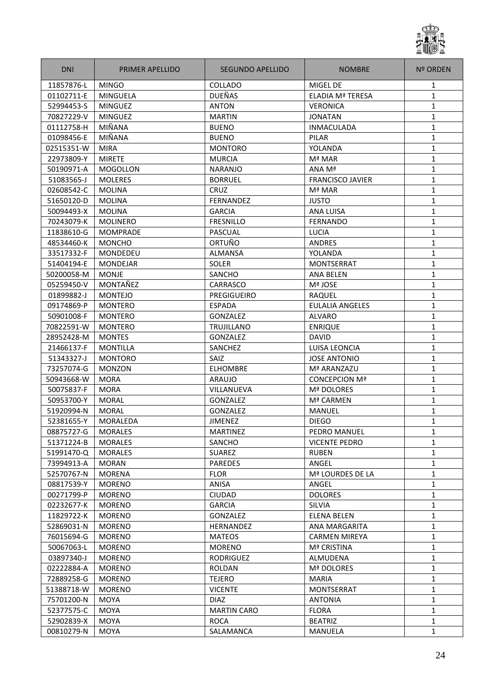

| <b>DNI</b> | <b>PRIMER APELLIDO</b> | <b>SEGUNDO APELLIDO</b> | <b>NOMBRE</b>           | <b>Nº ORDEN</b> |
|------------|------------------------|-------------------------|-------------------------|-----------------|
| 11857876-L | <b>MINGO</b>           | COLLADO                 | <b>MIGEL DE</b>         | 1               |
| 01102711-E | <b>MINGUELA</b>        | <b>DUEÑAS</b>           | <b>ELADIA Mª TERESA</b> | 1               |
| 52994453-S | <b>MINGUEZ</b>         | <b>ANTON</b>            | <b>VERONICA</b>         | 1               |
| 70827229-V | <b>MINGUEZ</b>         | <b>MARTIN</b>           | <b>JONATAN</b>          | $\mathbf{1}$    |
| 01112758-H | MIÑANA                 | <b>BUENO</b>            | <b>INMACULADA</b>       | $\mathbf{1}$    |
| 01098456-E | MIÑANA                 | <b>BUENO</b>            | <b>PILAR</b>            | $\mathbf{1}$    |
| 02515351-W | <b>MIRA</b>            | <b>MONTORO</b>          | YOLANDA                 | 1               |
| 22973809-Y | <b>MIRETE</b>          | <b>MURCIA</b>           | Mª MAR                  | $\mathbf{1}$    |
| 50190971-A | <b>MOGOLLON</b>        | <b>NARANJO</b>          | ANA Mª                  | $\mathbf{1}$    |
| 51083565-J | <b>MOLERES</b>         | <b>BORRUEL</b>          | <b>FRANCISCO JAVIER</b> | 1               |
| 02608542-C | <b>MOLINA</b>          | CRUZ                    | Mª MAR                  | 1               |
| 51650120-D | <b>MOLINA</b>          | <b>FERNANDEZ</b>        | <b>JUSTO</b>            | $\mathbf{1}$    |
| 50094493-X | <b>MOLINA</b>          | <b>GARCIA</b>           | <b>ANA LUISA</b>        | $\mathbf{1}$    |
| 70243079-K | <b>MOLINERO</b>        | <b>FRESNILLO</b>        | <b>FERNANDO</b>         | $\mathbf{1}$    |
| 11838610-G | <b>MOMPRADE</b>        | PASCUAL                 | LUCIA                   | 1               |
| 48534460-K | <b>MONCHO</b>          | ORTUÑO                  | <b>ANDRES</b>           | 1               |
| 33517332-F | <b>MONDEDEU</b>        | <b>ALMANSA</b>          | YOLANDA                 | $\mathbf{1}$    |
| 51404194-E | <b>MONDEJAR</b>        | SOLER                   | <b>MONTSERRAT</b>       | 1               |
| 50200058-M | <b>MONJE</b>           | SANCHO                  | <b>ANA BELEN</b>        | 1               |
| 05259450-V | MONTAÑEZ               | <b>CARRASCO</b>         | Mª JOSE                 | 1               |
| 01899882-J | <b>MONTEJO</b>         | PREGIGUEIRO             | <b>RAQUEL</b>           | $\mathbf{1}$    |
| 09174869-P | <b>MONTERO</b>         | <b>ESPADA</b>           | <b>EULALIA ANGELES</b>  | 1               |
| 50901008-F | <b>MONTERO</b>         | <b>GONZALEZ</b>         | <b>ALVARO</b>           | $\mathbf{1}$    |
| 70822591-W | <b>MONTERO</b>         | <b>TRUJILLANO</b>       | <b>ENRIQUE</b>          | $\mathbf{1}$    |
| 28952428-M | <b>MONTES</b>          | <b>GONZALEZ</b>         | <b>DAVID</b>            | $\mathbf{1}$    |
| 21466137-F | <b>MONTILLA</b>        | SANCHEZ                 | LUISA LEONCIA           | 1               |
| 51343327-J | <b>MONTORO</b>         | <b>SAIZ</b>             | <b>JOSE ANTONIO</b>     | $\mathbf{1}$    |
| 73257074-G | <b>MONZON</b>          | <b>ELHOMBRE</b>         | Mª ARANZAZU             | 1               |
| 50943668-W | <b>MORA</b>            | ARAUJO                  | <b>CONCEPCION Mª</b>    | $\mathbf{1}$    |
| 50075837-F | <b>MORA</b>            | VILLANUEVA              | Mª DOLORES              | $\mathbf{1}$    |
| 50953700-Y | <b>MORAL</b>           | GONZALEZ                | Mª CARMEN               | $\mathbf{1}$    |
| 51920994-N | <b>MORAL</b>           | GONZALEZ                | <b>MANUEL</b>           | $\mathbf{1}$    |
| 52381655-Y | MORALEDA               | <b>JIMENEZ</b>          | <b>DIEGO</b>            | $\mathbf{1}$    |
| 08875727-G | <b>MORALES</b>         | <b>MARTINEZ</b>         | PEDRO MANUEL            | 1               |
| 51371224-B | <b>MORALES</b>         | SANCHO                  | <b>VICENTE PEDRO</b>    | 1               |
| 51991470-Q | <b>MORALES</b>         | <b>SUAREZ</b>           | <b>RUBEN</b>            | 1               |
| 73994913-A | <b>MORAN</b>           | <b>PAREDES</b>          | ANGEL                   | 1               |
| 52570767-N | <b>MORENA</b>          | <b>FLOR</b>             | Mª LOURDES DE LA        | 1               |
| 08817539-Y | <b>MORENO</b>          | <b>ANISA</b>            | ANGEL                   | 1               |
| 00271799-P | <b>MORENO</b>          | <b>CIUDAD</b>           | <b>DOLORES</b>          | $\mathbf{1}$    |
| 02232677-K | <b>MORENO</b>          | <b>GARCIA</b>           | <b>SILVIA</b>           | 1               |
| 11829722-K | <b>MORENO</b>          | <b>GONZALEZ</b>         | <b>ELENA BELEN</b>      | 1               |
| 52869031-N | <b>MORENO</b>          | <b>HERNANDEZ</b>        | ANA MARGARITA           | $\mathbf{1}$    |
| 76015694-G | <b>MORENO</b>          | <b>MATEOS</b>           | <b>CARMEN MIREYA</b>    | $\mathbf{1}$    |
| 50067063-L | <b>MORENO</b>          | <b>MORENO</b>           | <b>Mª CRISTINA</b>      | $\mathbf{1}$    |
| 03897340-J | <b>MORENO</b>          | <b>RODRIGUEZ</b>        | ALMUDENA                | 1               |
| 02222884-A | <b>MORENO</b>          | <b>ROLDAN</b>           | Mª DOLORES              | $\mathbf{1}$    |
| 72889258-G | <b>MORENO</b>          | <b>TEJERO</b>           | <b>MARIA</b>            | $\mathbf{1}$    |
| 51388718-W | <b>MORENO</b>          | <b>VICENTE</b>          | MONTSERRAT              | $\mathbf{1}$    |
| 75701200-N | <b>MOYA</b>            | <b>DIAZ</b>             | <b>ANTONIA</b>          | $\mathbf{1}$    |
| 52377575-C | <b>MOYA</b>            | <b>MARTIN CARO</b>      | <b>FLORA</b>            | 1               |
| 52902839-X | <b>MOYA</b>            | <b>ROCA</b>             | <b>BEATRIZ</b>          | $\mathbf{1}$    |
| 00810279-N | MOYA                   | SALAMANCA               | MANUELA                 | 1               |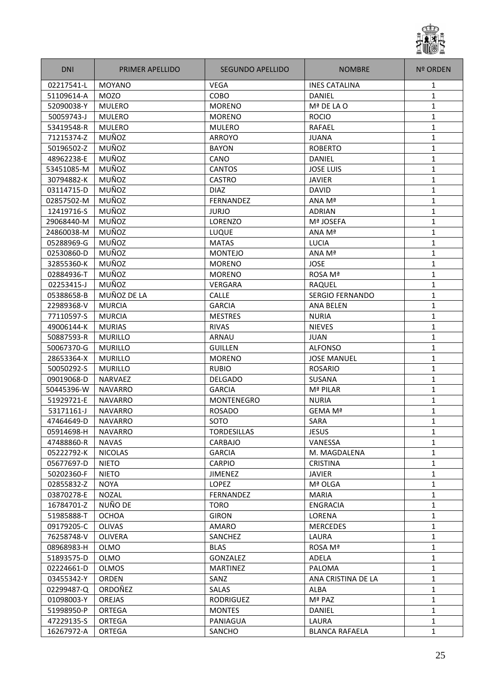

| <b>DNI</b> | <b>PRIMER APELLIDO</b> | SEGUNDO APELLIDO   | <b>NOMBRE</b>          | Nº ORDEN     |
|------------|------------------------|--------------------|------------------------|--------------|
| 02217541-L | <b>MOYANO</b>          | <b>VEGA</b>        | <b>INES CATALINA</b>   | 1            |
| 51109614-A | <b>MOZO</b>            | COBO               | DANIEL                 | 1            |
| 52090038-Y | <b>MULERO</b>          | <b>MORENO</b>      | Mª DE LA O             | 1            |
| 50059743-J | <b>MULERO</b>          | <b>MORENO</b>      | <b>ROCIO</b>           | 1            |
| 53419548-R | <b>MULERO</b>          | <b>MULERO</b>      | RAFAEL                 | 1            |
| 71215374-Z | MUÑOZ                  | ARROYO             | <b>JUANA</b>           | 1            |
| 50196502-Z | MUÑOZ                  | <b>BAYON</b>       | <b>ROBERTO</b>         | 1            |
| 48962238-E | MUÑOZ                  | CANO               | DANIEL                 | $\mathbf{1}$ |
| 53451085-M | MUÑOZ                  | <b>CANTOS</b>      | <b>JOSE LUIS</b>       | $\mathbf{1}$ |
| 30794882-K | MUÑOZ                  | <b>CASTRO</b>      | <b>JAVIER</b>          | 1            |
| 03114715-D | MUÑOZ                  | <b>DIAZ</b>        | <b>DAVID</b>           | 1            |
| 02857502-M | MUÑOZ                  | <b>FERNANDEZ</b>   | ANA Mª                 | 1            |
| 12419716-S | MUÑOZ                  | <b>JURJO</b>       | <b>ADRIAN</b>          | 1            |
| 29068440-M | MUÑOZ                  | <b>LORENZO</b>     | Mª JOSEFA              | 1            |
| 24860038-M | MUÑOZ                  | LUQUE              | ANA Mª                 | 1            |
| 05288969-G | MUÑOZ                  | <b>MATAS</b>       | LUCIA                  | 1            |
| 02530860-D | MUÑOZ                  | <b>MONTEJO</b>     | ANA Mª                 | $\mathbf{1}$ |
| 32855360-K | MUÑOZ                  | <b>MORENO</b>      | <b>JOSE</b>            | 1            |
| 02884936-T | MUÑOZ                  | <b>MORENO</b>      | ROSA Mª                | 1            |
| 02253415-J | MUÑOZ                  | <b>VERGARA</b>     | RAQUEL                 | 1            |
| 05388658-B | MUÑOZ DE LA            | <b>CALLE</b>       | <b>SERGIO FERNANDO</b> | 1            |
| 22989368-V | <b>MURCIA</b>          | <b>GARCIA</b>      | <b>ANA BELEN</b>       | 1            |
| 77110597-S | <b>MURCIA</b>          | <b>MESTRES</b>     | <b>NURIA</b>           | 1            |
| 49006144-K | <b>MURIAS</b>          | <b>RIVAS</b>       | <b>NIEVES</b>          | 1            |
| 50887593-R | <b>MURILLO</b>         | ARNAU              | <b>JUAN</b>            | $\mathbf{1}$ |
| 50067370-G | <b>MURILLO</b>         | <b>GUILLEN</b>     | <b>ALFONSO</b>         | $\mathbf{1}$ |
| 28653364-X | <b>MURILLO</b>         | <b>MORENO</b>      | <b>JOSE MANUEL</b>     | $\mathbf{1}$ |
| 50050292-S | <b>MURILLO</b>         | <b>RUBIO</b>       | <b>ROSARIO</b>         | 1            |
| 09019068-D | <b>NARVAEZ</b>         | <b>DELGADO</b>     | SUSANA                 | 1            |
| 50445396-W | <b>NAVARRO</b>         | <b>GARCIA</b>      | Mª PILAR               | 1            |
| 51929721-E | <b>NAVARRO</b>         | <b>MONTENEGRO</b>  | <b>NURIA</b>           | 1            |
| 53171161-J | <b>NAVARRO</b>         | <b>ROSADO</b>      | GEMA Mª                | 1            |
| 47464649-D | <b>NAVARRO</b>         | SOTO               | <b>SARA</b>            | 1            |
| 05914698-H | <b>NAVARRO</b>         | <b>TORDESILLAS</b> | <b>JESUS</b>           | $\mathbf{1}$ |
| 47488860-R | <b>NAVAS</b>           | CARBAJO            | VANESSA                | $\mathbf{1}$ |
| 05222792-K | <b>NICOLAS</b>         | <b>GARCIA</b>      | M. MAGDALENA           | $\mathbf{1}$ |
| 05677697-D | <b>NIETO</b>           | <b>CARPIO</b>      | <b>CRISTINA</b>        | 1            |
| 50202360-F | <b>NIETO</b>           | <b>JIMENEZ</b>     | <b>JAVIER</b>          | 1            |
| 02855832-Z | <b>NOYA</b>            | <b>LOPEZ</b>       | Mª OLGA                | 1            |
| 03870278-E | <b>NOZAL</b>           | FERNANDEZ          | <b>MARIA</b>           | $\mathbf{1}$ |
| 16784701-Z | NUÑO DE                | <b>TORO</b>        | ENGRACIA               | 1            |
| 51985888-T | <b>OCHOA</b>           | <b>GIRON</b>       | <b>LORENA</b>          | $\mathbf{1}$ |
| 09179205-C | <b>OLIVAS</b>          | AMARO              | <b>MERCEDES</b>        | $\mathbf{1}$ |
| 76258748-V | <b>OLIVERA</b>         | <b>SANCHEZ</b>     | LAURA                  | $\mathbf{1}$ |
| 08968983-H | <b>OLMO</b>            | <b>BLAS</b>        | ROSA Mª                | $\mathbf{1}$ |
| 51893575-D | <b>OLMO</b>            | GONZALEZ           | ADELA                  | $\mathbf{1}$ |
| 02224661-D | <b>OLMOS</b>           | <b>MARTINEZ</b>    | PALOMA                 | $\mathbf{1}$ |
| 03455342-Y | ORDEN                  | SANZ               | ANA CRISTINA DE LA     | $\mathbf{1}$ |
| 02299487-Q | ORDOÑEZ                | SALAS              | ALBA                   | $\mathbf{1}$ |
| 01098003-Y | OREJAS                 | RODRIGUEZ          | Mª PAZ                 | $\mathbf{1}$ |
| 51998950-P | <b>ORTEGA</b>          | <b>MONTES</b>      | DANIEL                 | $\mathbf{1}$ |
| 47229135-S | <b>ORTEGA</b>          | PANIAGUA           | LAURA                  | 1            |
| 16267972-A | ORTEGA                 | SANCHO             | <b>BLANCA RAFAELA</b>  | $\mathbf{1}$ |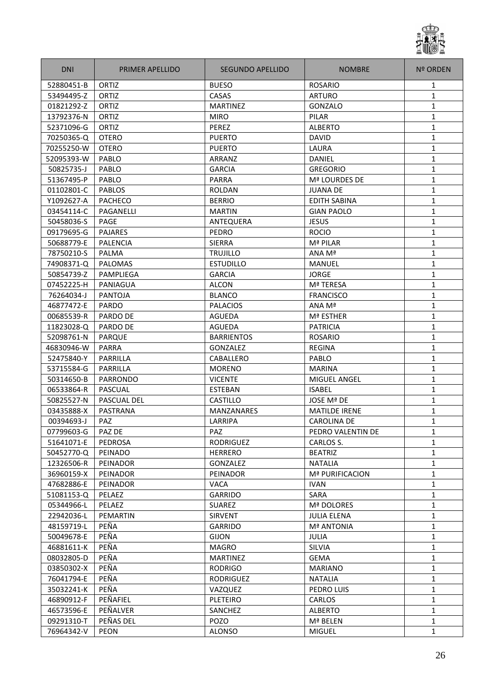

| <b>DNI</b> | PRIMER APELLIDO | SEGUNDO APELLIDO  | <b>NOMBRE</b>          | <b>Nº ORDEN</b> |
|------------|-----------------|-------------------|------------------------|-----------------|
| 52880451-B | ORTIZ           | <b>BUESO</b>      | <b>ROSARIO</b>         | 1               |
| 53494495-Z | ORTIZ           | CASAS             | <b>ARTURO</b>          | $\mathbf{1}$    |
| 01821292-Z | ORTIZ           | <b>MARTINEZ</b>   | GONZALO                | 1               |
| 13792376-N | ORTIZ           | <b>MIRO</b>       | PILAR                  | 1               |
| 52371096-G | ORTIZ           | PEREZ             | <b>ALBERTO</b>         | 1               |
| 70250365-Q | <b>OTERO</b>    | <b>PUERTO</b>     | <b>DAVID</b>           | $\mathbf{1}$    |
| 70255250-W | <b>OTERO</b>    | <b>PUERTO</b>     | LAURA                  | 1               |
| 52095393-W | PABLO           | ARRANZ            | DANIEL                 | $\mathbf{1}$    |
| 50825735-J | PABLO           | <b>GARCIA</b>     | <b>GREGORIO</b>        | 1               |
| 51367495-P | PABLO           | <b>PARRA</b>      | Mª LOURDES DE          | $\mathbf{1}$    |
| 01102801-C | <b>PABLOS</b>   | <b>ROLDAN</b>     | <b>JUANA DE</b>        | 1               |
| Y1092627-A | <b>PACHECO</b>  | <b>BERRIO</b>     | <b>EDITH SABINA</b>    | 1               |
| 03454114-C | PAGANELLI       | <b>MARTIN</b>     | <b>GIAN PAOLO</b>      | 1               |
| 50458036-S | PAGE            | ANTEQUERA         | <b>JESUS</b>           | 1               |
| 09179695-G | <b>PAJARES</b>  | PEDRO             | <b>ROCIO</b>           | $\mathbf{1}$    |
| 50688779-E | <b>PALENCIA</b> | <b>SIERRA</b>     | Mª PILAR               | $\mathbf{1}$    |
| 78750210-S | PALMA           | <b>TRUJILLO</b>   | ANA Mª                 | $\mathbf{1}$    |
| 74908371-Q | <b>PALOMAS</b>  | <b>ESTUDILLO</b>  | <b>MANUEL</b>          | 1               |
| 50854739-Z | PAMPLIEGA       | <b>GARCIA</b>     | <b>JORGE</b>           | 1               |
| 07452225-H | PANIAGUA        | <b>ALCON</b>      | Mª TERESA              | 1               |
| 76264034-J | <b>PANTOJA</b>  | <b>BLANCO</b>     | <b>FRANCISCO</b>       | 1               |
| 46877472-E | <b>PARDO</b>    | <b>PALACIOS</b>   | ANA Mª                 | 1               |
| 00685539-R | PARDO DE        | <b>AGUEDA</b>     | Mª ESTHER              | 1               |
| 11823028-Q | PARDO DE        | <b>AGUEDA</b>     | <b>PATRICIA</b>        | 1               |
| 52098761-N | <b>PARQUE</b>   | <b>BARRIENTOS</b> | <b>ROSARIO</b>         | $\mathbf{1}$    |
| 46830946-W | <b>PARRA</b>    | <b>GONZALEZ</b>   | REGINA                 | 1               |
| 52475840-Y | PARRILLA        | CABALLERO         | PABLO                  | 1               |
|            | PARRILLA        |                   |                        |                 |
| 53715584-G |                 | <b>MORENO</b>     | <b>MARINA</b>          | 1               |
| 50314650-B | <b>PARRONDO</b> | <b>VICENTE</b>    | MIGUEL ANGEL           | 1               |
| 06533864-R | PASCUAL         | <b>ESTEBAN</b>    | <b>ISABEL</b>          | 1               |
| 50825527-N | PASCUAL DEL     | CASTILLO          | <b>JOSE Mª DE</b>      | 1               |
| 03435888-X | PASTRANA        | <b>MANZANARES</b> | <b>MATILDE IRENE</b>   | 1               |
| 00394693-J | PAZ             | LARRIPA           | <b>CAROLINA DE</b>     | $\mathbf{1}$    |
| 07799603-G | PAZ DE          | PAZ               | PEDRO VALENTIN DE      | 1               |
| 51641071-E | PEDROSA         | RODRIGUEZ         | CARLOS S.              | $\mathbf{1}$    |
| 50452770-Q | PEINADO         | <b>HERRERO</b>    | <b>BEATRIZ</b>         | $\mathbf{1}$    |
| 12326506-R | PEINADOR        | GONZALEZ          | <b>NATALIA</b>         | $\mathbf{1}$    |
| 36960159-X | PEINADOR        | PEINADOR          | <b>Mª PURIFICACION</b> | $\mathbf{1}$    |
| 47682886-E | PEINADOR        | <b>VACA</b>       | <b>IVAN</b>            | 1               |
| 51081153-Q | PELAEZ          | <b>GARRIDO</b>    | SARA                   | $\mathbf{1}$    |
| 05344966-L | PELAEZ          | <b>SUAREZ</b>     | Mª DOLORES             | 1               |
| 22942036-L | PEMARTIN        | SIRVENT           | <b>JULIA ELENA</b>     | $\mathbf{1}$    |
| 48159719-L | PEÑA            | <b>GARRIDO</b>    | <b>Mª ANTONIA</b>      | 1               |
| 50049678-E | PEÑA            | <b>GIJON</b>      | <b>JULIA</b>           | $\mathbf{1}$    |
| 46881611-K | PEÑA            | <b>MAGRO</b>      | SILVIA                 | 1               |
| 08032805-D | PEÑA            | <b>MARTINEZ</b>   | <b>GEMA</b>            | $\mathbf{1}$    |
| 03850302-X | PEÑA            | <b>RODRIGO</b>    | <b>MARIANO</b>         | 1               |
| 76041794-E | PEÑA            | RODRIGUEZ         | <b>NATALIA</b>         | $\mathbf{1}$    |
| 35032241-K | PEÑA            | VAZQUEZ           | PEDRO LUIS             | 1               |
| 46890912-F | PEÑAFIEL        | <b>PLETEIRO</b>   | CARLOS                 | $\mathbf{1}$    |
| 46573596-E | PEÑALVER        | SANCHEZ           | <b>ALBERTO</b>         | $\mathbf{1}$    |
| 09291310-T | PEÑAS DEL       | <b>POZO</b>       | Mª BELEN               | $\mathbf{1}$    |
| 76964342-V | PEON            | <b>ALONSO</b>     | <b>MIGUEL</b>          | $\mathbf{1}$    |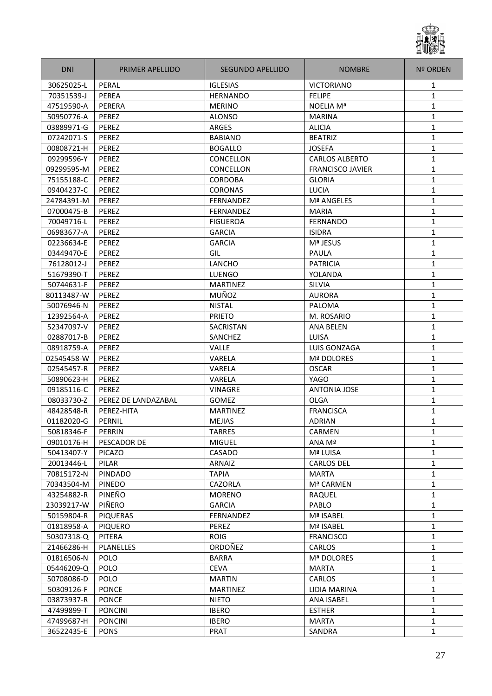

| <b>DNI</b> | <b>PRIMER APELLIDO</b> | SEGUNDO APELLIDO | <b>NOMBRE</b>           | <b>Nº ORDEN</b> |
|------------|------------------------|------------------|-------------------------|-----------------|
| 30625025-L | PERAL                  | <b>IGLESIAS</b>  | <b>VICTORIANO</b>       | 1               |
| 70351539-J | PEREA                  | <b>HERNANDO</b>  | <b>FELIPE</b>           | 1               |
| 47519590-A | PERERA                 | <b>MERINO</b>    | <b>NOELIA Mª</b>        | 1               |
| 50950776-A | PEREZ                  | <b>ALONSO</b>    | <b>MARINA</b>           | 1               |
| 03889971-G | PEREZ                  | ARGES            | <b>ALICIA</b>           | 1               |
| 07242071-S | PEREZ                  | <b>BABIANO</b>   | <b>BEATRIZ</b>          | 1               |
| 00808721-H | PEREZ                  | <b>BOGALLO</b>   | <b>JOSEFA</b>           | $\mathbf{1}$    |
| 09299596-Y | PEREZ                  | CONCELLON        | <b>CARLOS ALBERTO</b>   | $\mathbf{1}$    |
| 09299595-M | PEREZ                  | CONCELLON        | <b>FRANCISCO JAVIER</b> | 1               |
| 75155188-C | PEREZ                  | <b>CORDOBA</b>   | <b>GLORIA</b>           | 1               |
| 09404237-C | PEREZ                  | <b>CORONAS</b>   | <b>LUCIA</b>            | 1               |
| 24784391-M | PEREZ                  | <b>FERNANDEZ</b> | Mª ANGELES              | 1               |
| 07000475-B | PEREZ                  | <b>FERNANDEZ</b> | <b>MARIA</b>            | 1               |
| 70049716-L | PEREZ                  | <b>FIGUEROA</b>  | <b>FERNANDO</b>         | 1               |
| 06983677-A | PEREZ                  | <b>GARCIA</b>    | <b>ISIDRA</b>           | 1               |
| 02236634-E | PEREZ                  | <b>GARCIA</b>    | Mª JESUS                | $\mathbf{1}$    |
| 03449470-E | PEREZ                  | GIL              | PAULA                   | 1               |
| 76128012-J | PEREZ                  | LANCHO           | <b>PATRICIA</b>         | 1               |
| 51679390-T | PEREZ                  | <b>LUENGO</b>    | YOLANDA                 | 1               |
| 50744631-F | PEREZ                  | <b>MARTINEZ</b>  | SILVIA                  | 1               |
| 80113487-W | PEREZ                  | MUÑOZ            | <b>AURORA</b>           | 1               |
| 50076946-N | PEREZ                  | <b>NISTAL</b>    | PALOMA                  | 1               |
| 12392564-A | <b>PEREZ</b>           | <b>PRIETO</b>    | M. ROSARIO              | 1               |
| 52347097-V | PEREZ                  | <b>SACRISTAN</b> | <b>ANA BELEN</b>        | $\mathbf{1}$    |
| 02887017-B | PEREZ                  | SANCHEZ          | LUISA                   | $\mathbf{1}$    |
| 08918759-A | PEREZ                  | Valle            | LUIS GONZAGA            | 1               |
| 02545458-W | PEREZ                  | VARELA           | <b>Mª DOLORES</b>       | 1               |
| 02545457-R | PEREZ                  | VARELA           | <b>OSCAR</b>            | 1               |
| 50890623-H | PEREZ                  | VARELA           | <b>YAGO</b>             | 1               |
| 09185116-C | PEREZ                  | <b>VINAGRE</b>   | <b>ANTONIA JOSE</b>     | $\mathbf{1}$    |
| 08033730-Z | PEREZ DE LANDAZABAL    | <b>GOMEZ</b>     | <b>OLGA</b>             | 1               |
| 48428548-R | PEREZ-HITA             | <b>MARTINEZ</b>  | <b>FRANCISCA</b>        | 1               |
| 01182020-G | PERNIL                 | <b>MEJIAS</b>    | <b>ADRIAN</b>           | $\mathbf{1}$    |
| 50818346-F | PERRIN                 | TARRES           | <b>CARMEN</b>           | 1               |
| 09010176-H | PESCADOR DE            | <b>MIGUEL</b>    | ANA Mª                  | $\mathbf{1}$    |
| 50413407-Y | <b>PICAZO</b>          | CASADO           | Mª LUISA                | 1               |
| 20013446-L | PILAR                  | ARNAIZ           | <b>CARLOS DEL</b>       | 1               |
| 70815172-N | <b>PINDADO</b>         | <b>TAPIA</b>     | <b>MARTA</b>            | 1               |
| 70343504-M | PINEDO                 | CAZORLA          | Mª CARMEN               | $\mathbf{1}$    |
| 43254882-R | PINEÑO                 | <b>MORENO</b>    | RAQUEL                  | 1               |
| 23039217-W | PIÑERO                 | <b>GARCIA</b>    | PABLO                   | 1               |
| 50159804-R | <b>PIQUERAS</b>        | FERNANDEZ        | Mª ISABEL               | 1               |
| 01818958-A | <b>PIQUERO</b>         | PEREZ            | Mª ISABEL               | 1               |
| 50307318-Q | PITERA                 | <b>ROIG</b>      | <b>FRANCISCO</b>        | $\mathbf{1}$    |
| 21466286-H | PLANELLES              | ORDOÑEZ          | <b>CARLOS</b>           | $\mathbf{1}$    |
| 01816506-N | <b>POLO</b>            | <b>BARRA</b>     | Mª DOLORES              | $\mathbf{1}$    |
| 05446209-Q | <b>POLO</b>            | <b>CEVA</b>      | <b>MARTA</b>            | 1               |
| 50708086-D | <b>POLO</b>            | <b>MARTIN</b>    | <b>CARLOS</b>           | $\mathbf{1}$    |
| 50309126-F | <b>PONCE</b>           | <b>MARTINEZ</b>  | LIDIA MARINA            | 1               |
| 03873937-R | <b>PONCE</b>           | <b>NIETO</b>     | <b>ANA ISABEL</b>       | 1               |
| 47499899-T | <b>PONCINI</b>         | <b>IBERO</b>     | <b>ESTHER</b>           | 1               |
| 47499687-H | <b>PONCINI</b>         | <b>IBERO</b>     | MARTA                   | $\mathbf{1}$    |
| 36522435-E | <b>PONS</b>            | PRAT             | SANDRA                  | 1               |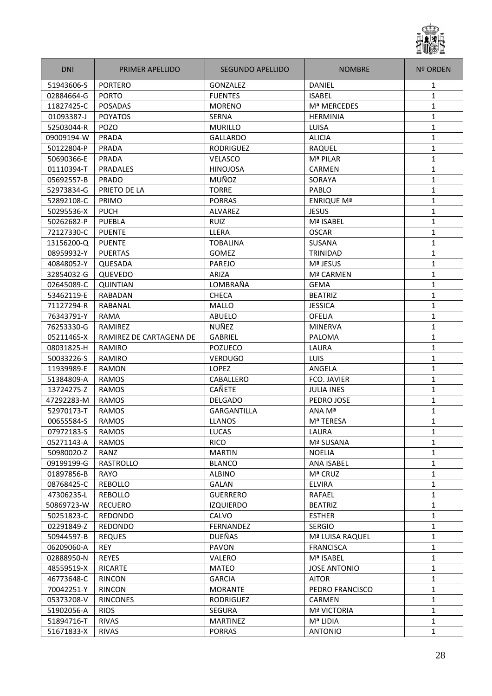

| <b>DNI</b> | PRIMER APELLIDO         | SEGUNDO APELLIDO   | <b>NOMBRE</b>       | <b>Nº ORDEN</b> |
|------------|-------------------------|--------------------|---------------------|-----------------|
| 51943606-S | <b>PORTERO</b>          | <b>GONZALEZ</b>    | <b>DANIEL</b>       | 1               |
| 02884664-G | <b>PORTO</b>            | <b>FUENTES</b>     | <b>ISABEL</b>       | $\mathbf{1}$    |
| 11827425-C | <b>POSADAS</b>          | <b>MORENO</b>      | Mª MERCEDES         | 1               |
| 01093387-J | <b>POYATOS</b>          | <b>SERNA</b>       | <b>HERMINIA</b>     | 1               |
| 52503044-R | <b>POZO</b>             | <b>MURILLO</b>     | LUISA               | $\mathbf{1}$    |
| 09009194-W | <b>PRADA</b>            | <b>GALLARDO</b>    | <b>ALICIA</b>       | $\mathbf{1}$    |
| 50122804-P | <b>PRADA</b>            | <b>RODRIGUEZ</b>   | RAQUEL              | $\mathbf{1}$    |
| 50690366-E | PRADA                   | VELASCO            | Mª PILAR            | 1               |
| 01110394-T | <b>PRADALES</b>         | <b>HINOJOSA</b>    | CARMEN              | 1               |
| 05692557-B | PRADO                   | MUÑOZ              | SORAYA              | 1               |
| 52973834-G | PRIETO DE LA            | <b>TORRE</b>       | PABLO               | 1               |
| 52892108-C | PRIMO                   | <b>PORRAS</b>      | <b>ENRIQUE Mª</b>   | 1               |
| 50295536-X | <b>PUCH</b>             | ALVAREZ            | <b>JESUS</b>        | 1               |
| 50262682-P | <b>PUEBLA</b>           | <b>RUIZ</b>        | Mª ISABEL           | 1               |
| 72127330-C | <b>PUENTE</b>           | LLERA              | <b>OSCAR</b>        | $\mathbf{1}$    |
| 13156200-Q | <b>PUENTE</b>           | <b>TOBALINA</b>    | SUSANA              | $\mathbf{1}$    |
| 08959932-Y | <b>PUERTAS</b>          | <b>GOMEZ</b>       | TRINIDAD            | 1               |
| 40848052-Y | QUESADA                 | PAREJO             | Mª JESUS            | 1               |
| 32854032-G | QUEVEDO                 | ARIZA              | Mª CARMEN           | $\mathbf{1}$    |
| 02645089-C | <b>QUINTIAN</b>         | LOMBRAÑA           | <b>GEMA</b>         | 1               |
| 53462119-E | <b>RABADAN</b>          | <b>CHECA</b>       | <b>BEATRIZ</b>      | 1               |
| 71127294-R | <b>RABANAL</b>          | <b>MALLO</b>       | <b>JESSICA</b>      | $\mathbf{1}$    |
| 76343791-Y | RAMA                    | <b>ABUELO</b>      | <b>OFELIA</b>       | $\mathbf{1}$    |
| 76253330-G | RAMIREZ                 | NUÑEZ              | <b>MINERVA</b>      | $\mathbf{1}$    |
| 05211465-X | RAMIREZ DE CARTAGENA DE | <b>GABRIEL</b>     | PALOMA              | 1               |
| 08031825-H | RAMIRO                  | <b>POZUECO</b>     | LAURA               | 1               |
| 50033226-S | RAMIRO                  | <b>VERDUGO</b>     | LUIS                | 1               |
| 11939989-E | <b>RAMON</b>            | <b>LOPEZ</b>       | ANGELA              | 1               |
| 51384809-A | <b>RAMOS</b>            | CABALLERO          | FCO. JAVIER         | 1               |
| 13724275-Z | <b>RAMOS</b>            | CAÑETE             | <b>JULIA INES</b>   | 1               |
| 47292283-M | <b>RAMOS</b>            | <b>DELGADO</b>     | PEDRO JOSE          | 1               |
| 52970173-T | <b>RAMOS</b>            | <b>GARGANTILLA</b> | ANA Mª              | $\mathbf{1}$    |
| 00655584-S | <b>RAMOS</b>            | <b>LLANOS</b>      | Mª TERESA           | 1               |
| 07972183-S | RAMOS                   | LUCAS              | LAURA               | 1               |
| 05271143-A | <b>RAMOS</b>            | <b>RICO</b>        | Mª SUSANA           | $\mathbf{1}$    |
| 50980020-Z | RANZ                    | <b>MARTIN</b>      | <b>NOELIA</b>       | 1               |
| 09199199-G | RASTROLLO               | <b>BLANCO</b>      | ANA ISABEL          | 1               |
| 01897856-B | RAYO                    | <b>ALBINO</b>      | Mª CRUZ             | 1               |
| 08768425-C | <b>REBOLLO</b>          | <b>GALAN</b>       | <b>ELVIRA</b>       | 1               |
| 47306235-L | <b>REBOLLO</b>          | <b>GUERRERO</b>    | RAFAEL              | 1               |
| 50869723-W | <b>RECUERO</b>          | <b>IZQUIERDO</b>   | <b>BEATRIZ</b>      | $\mathbf{1}$    |
| 50251823-C | REDONDO                 | CALVO              | <b>ESTHER</b>       | 1               |
| 02291849-Z | <b>REDONDO</b>          | <b>FERNANDEZ</b>   | <b>SERGIO</b>       | $\mathbf{1}$    |
| 50944597-B | <b>REQUES</b>           | <b>DUEÑAS</b>      | Mª LUISA RAQUEL     | 1               |
| 06209060-A | REY                     | PAVON              | <b>FRANCISCA</b>    | 1               |
| 02888950-N | <b>REYES</b>            | VALERO             | Mª ISABEL           | $\mathbf{1}$    |
| 48559519-X | <b>RICARTE</b>          | <b>MATEO</b>       | <b>JOSE ANTONIO</b> | 1               |
| 46773648-C | <b>RINCON</b>           | <b>GARCIA</b>      | AITOR               | 1               |
| 70042251-Y | <b>RINCON</b>           | <b>MORANTE</b>     | PEDRO FRANCISCO     | 1               |
| 05373208-V | <b>RINCONES</b>         | <b>RODRIGUEZ</b>   | <b>CARMEN</b>       | 1               |
| 51902056-A | <b>RIOS</b>             | <b>SEGURA</b>      | <b>Mª VICTORIA</b>  | 1               |
| 51894716-T | <b>RIVAS</b>            | <b>MARTINEZ</b>    | Mª LIDIA            | 1               |
| 51671833-X | <b>RIVAS</b>            | <b>PORRAS</b>      | <b>ANTONIO</b>      | $\mathbf{1}$    |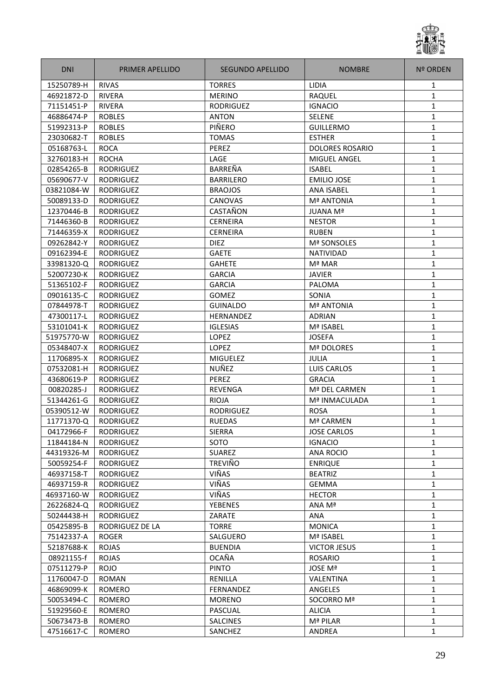

| <b>DNI</b> | <b>PRIMER APELLIDO</b> | SEGUNDO APELLIDO | <b>NOMBRE</b>          | <b>Nº ORDEN</b> |
|------------|------------------------|------------------|------------------------|-----------------|
| 15250789-H | <b>RIVAS</b>           | <b>TORRES</b>    | <b>LIDIA</b>           | 1               |
| 46921872-D | <b>RIVERA</b>          | <b>MERINO</b>    | RAQUEL                 | 1               |
| 71151451-P | <b>RIVERA</b>          | <b>RODRIGUEZ</b> | <b>IGNACIO</b>         | 1               |
| 46886474-P | <b>ROBLES</b>          | <b>ANTON</b>     | <b>SELENE</b>          | 1               |
| 51992313-P | <b>ROBLES</b>          | PIÑERO           | <b>GUILLERMO</b>       | $\mathbf{1}$    |
| 23030682-T | <b>ROBLES</b>          | <b>TOMAS</b>     | <b>ESTHER</b>          | $\mathbf{1}$    |
| 05168763-L | <b>ROCA</b>            | PEREZ            | <b>DOLORES ROSARIO</b> | $\mathbf{1}$    |
| 32760183-H | <b>ROCHA</b>           | LAGE             | <b>MIGUEL ANGEL</b>    | 1               |
| 02854265-B | RODRIGUEZ              | BARREÑA          | <b>ISABEL</b>          | $\mathbf{1}$    |
| 05690677-V | <b>RODRIGUEZ</b>       | <b>BARRILERO</b> | <b>EMILIO JOSE</b>     | 1               |
| 03821084-W | <b>RODRIGUEZ</b>       | <b>BRAOJOS</b>   | <b>ANA ISABEL</b>      | 1               |
| 50089133-D | <b>RODRIGUEZ</b>       | <b>CANOVAS</b>   | <b>Mª ANTONIA</b>      | 1               |
| 12370446-B | <b>RODRIGUEZ</b>       | CASTAÑON         | <b>JUANA Mª</b>        | $\mathbf{1}$    |
| 71446360-B | <b>RODRIGUEZ</b>       | <b>CERNEIRA</b>  | <b>NESTOR</b>          | $\mathbf{1}$    |
| 71446359-X | <b>RODRIGUEZ</b>       | <b>CERNEIRA</b>  | <b>RUBEN</b>           | $\mathbf{1}$    |
| 09262842-Y | RODRIGUEZ              | <b>DIEZ</b>      | Mª SONSOLES            | $\mathbf{1}$    |
| 09162394-E | <b>RODRIGUEZ</b>       | <b>GAETE</b>     | <b>NATIVIDAD</b>       | 1               |
| 33981320-Q | <b>RODRIGUEZ</b>       | <b>GAHETE</b>    | Mª MAR                 | 1               |
| 52007230-K | RODRIGUEZ              | <b>GARCIA</b>    | <b>JAVIER</b>          | 1               |
| 51365102-F | RODRIGUEZ              | <b>GARCIA</b>    | PALOMA                 | 1               |
| 09016135-C | <b>RODRIGUEZ</b>       | <b>GOMEZ</b>     | SONIA                  | 1               |
| 07844978-T | RODRIGUEZ              | <b>GUINALDO</b>  | <b>Mª ANTONIA</b>      | $\mathbf{1}$    |
| 47300117-L | <b>RODRIGUEZ</b>       | <b>HERNANDEZ</b> | <b>ADRIAN</b>          | $\mathbf{1}$    |
| 53101041-K | <b>RODRIGUEZ</b>       | <b>IGLESIAS</b>  | Mª ISABEL              | $\mathbf{1}$    |
| 51975770-W | <b>RODRIGUEZ</b>       | <b>LOPEZ</b>     | <b>JOSEFA</b>          | 1               |
| 05348407-X | <b>RODRIGUEZ</b>       | <b>LOPEZ</b>     | Mª DOLORES             | 1               |
| 11706895-X | <b>RODRIGUEZ</b>       | <b>MIGUELEZ</b>  | <b>JULIA</b>           | 1               |
| 07532081-H | <b>RODRIGUEZ</b>       | NUÑEZ            | <b>LUIS CARLOS</b>     | 1               |
| 43680619-P | <b>RODRIGUEZ</b>       | PEREZ            | <b>GRACIA</b>          | 1               |
| 00820285-J | <b>RODRIGUEZ</b>       | REVENGA          | Mª DEL CARMEN          | 1               |
| 51344261-G | <b>RODRIGUEZ</b>       | <b>RIOJA</b>     | Mª INMACULADA          | 1               |
| 05390512-W | <b>RODRIGUEZ</b>       | <b>RODRIGUEZ</b> | <b>ROSA</b>            | $\mathbf{1}$    |
| 11771370-Q | <b>RODRIGUEZ</b>       | <b>RUEDAS</b>    | Mª CARMEN              | 1               |
| 04172966-F | RODRIGUEZ              | <b>SIERRA</b>    | <b>JOSE CARLOS</b>     | 1               |
| 11844184-N | <b>RODRIGUEZ</b>       | SOTO             | <b>IGNACIO</b>         | $\mathbf{1}$    |
| 44319326-M | <b>RODRIGUEZ</b>       | <b>SUAREZ</b>    | <b>ANA ROCIO</b>       | 1               |
| 50059254-F | <b>RODRIGUEZ</b>       | <b>TREVIÑO</b>   | <b>ENRIQUE</b>         | 1               |
| 46937158-T | <b>RODRIGUEZ</b>       | VIÑAS            | <b>BEATRIZ</b>         | 1               |
| 46937159-R | <b>RODRIGUEZ</b>       | VIÑAS            | <b>GEMMA</b>           | 1               |
| 46937160-W | <b>RODRIGUEZ</b>       | VIÑAS            | <b>HECTOR</b>          | 1               |
| 26226824-Q | <b>RODRIGUEZ</b>       | <b>YEBENES</b>   | ANA Mª                 | $\mathbf{1}$    |
| 50244438-H | <b>RODRIGUEZ</b>       | ZARATE           | ANA                    | 1               |
| 05425895-B | RODRIGUEZ DE LA        | <b>TORRE</b>     | <b>MONICA</b>          | $\mathbf{1}$    |
| 75142337-A | <b>ROGER</b>           | SALGUERO         | Mª ISABEL              | 1               |
| 52187688-K | <b>ROJAS</b>           | <b>BUENDIA</b>   | <b>VICTOR JESUS</b>    | 1               |
| 08921155-f | <b>ROJAS</b>           | <b>OCAÑA</b>     | <b>ROSARIO</b>         | 1               |
| 07511279-P | <b>ROJO</b>            | <b>PINTO</b>     | JOSE Mª                | 1               |
| 11760047-D | <b>ROMAN</b>           | RENILLA          | VALENTINA              | 1               |
| 46869099-K | ROMERO                 | FERNANDEZ        | ANGELES                | $\mathbf{1}$    |
| 50053494-C | ROMERO                 | <b>MORENO</b>    | SOCORRO Mª             | 1               |
| 51929560-E | <b>ROMERO</b>          | PASCUAL          | <b>ALICIA</b>          | $\mathbf{1}$    |
| 50673473-B | <b>ROMERO</b>          | <b>SALCINES</b>  | Mª PILAR               | 1               |
| 47516617-C | <b>ROMERO</b>          | SANCHEZ          | ANDREA                 | 1               |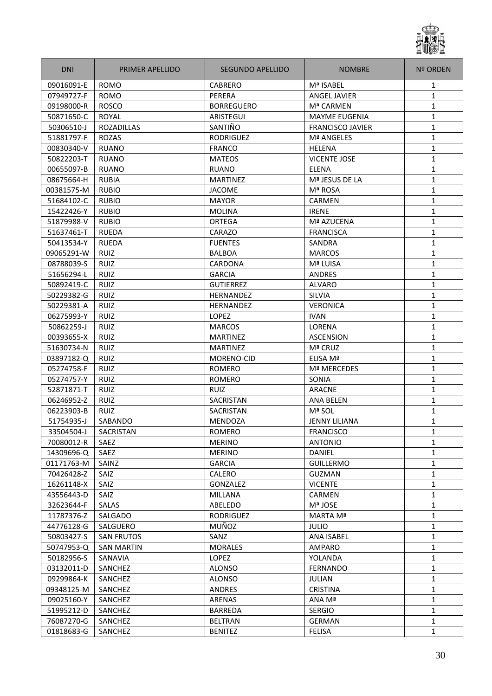

| <b>DNI</b> | <b>PRIMER APELLIDO</b> | SEGUNDO APELLIDO  | <b>NOMBRE</b>           | <b>Nº ORDEN</b> |
|------------|------------------------|-------------------|-------------------------|-----------------|
| 09016091-E | <b>ROMO</b>            | CABRERO           | Mª ISABEL               | 1               |
| 07949727-F | <b>ROMO</b>            | PERERA            | <b>ANGEL JAVIER</b>     | 1               |
| 09198000-R | <b>ROSCO</b>           | <b>BORREGUERO</b> | Mª CARMEN               | 1               |
| 50871650-C | ROYAL                  | <b>ARISTEGUI</b>  | <b>MAYME EUGENIA</b>    | 1               |
| 50306510-J | <b>ROZADILLAS</b>      | SANTIÑO           | <b>FRANCISCO JAVIER</b> | $\mathbf{1}$    |
| 51881797-F | <b>ROZAS</b>           | <b>RODRIGUEZ</b>  | <b>Mª ANGELES</b>       | $\mathbf{1}$    |
| 00830340-V | <b>RUANO</b>           | <b>FRANCO</b>     | <b>HELENA</b>           | $\mathbf{1}$    |
| 50822203-T | <b>RUANO</b>           | <b>MATEOS</b>     | <b>VICENTE JOSE</b>     | 1               |
| 00655097-B | <b>RUANO</b>           | <b>RUANO</b>      | ELENA                   | $\mathbf{1}$    |
| 08675664-H | <b>RUBIA</b>           | <b>MARTINEZ</b>   | Mª JESUS DE LA          | $\mathbf{1}$    |
| 00381575-M | <b>RUBIO</b>           | <b>JACOME</b>     | Mª ROSA                 | 1               |
| 51684102-C | <b>RUBIO</b>           | <b>MAYOR</b>      | CARMEN                  | 1               |
| 15422426-Y | <b>RUBIO</b>           | <b>MOLINA</b>     | <b>IRENE</b>            | 1               |
| 51879988-V | <b>RUBIO</b>           | <b>ORTEGA</b>     | Mª AZUCENA              | $\mathbf{1}$    |
| 51637461-T | <b>RUEDA</b>           | CARAZO            | <b>FRANCISCA</b>        | $\mathbf{1}$    |
| 50413534-Y | <b>RUEDA</b>           | <b>FUENTES</b>    | SANDRA                  | 1               |
| 09065291-W | RUIZ                   | <b>BALBOA</b>     | <b>MARCOS</b>           | 1               |
| 08788039-S | <b>RUIZ</b>            | CARDONA           | Mª LUISA                | 1               |
| 51656294-L | <b>RUIZ</b>            | <b>GARCIA</b>     | <b>ANDRES</b>           | 1               |
| 50892419-C | <b>RUIZ</b>            | <b>GUTIERREZ</b>  | <b>ALVARO</b>           | 1               |
| 50229382-G | <b>RUIZ</b>            | <b>HERNANDEZ</b>  | <b>SILVIA</b>           | 1               |
| 50229381-A | <b>RUIZ</b>            | HERNANDEZ         | <b>VERONICA</b>         | $\mathbf{1}$    |
| 06275993-Y | <b>RUIZ</b>            | <b>LOPEZ</b>      | <b>IVAN</b>             | 1               |
| 50862259-J | <b>RUIZ</b>            | <b>MARCOS</b>     | LORENA                  | $\mathbf{1}$    |
| 00393655-X | <b>RUIZ</b>            | <b>MARTINEZ</b>   | <b>ASCENSION</b>        | $\mathbf{1}$    |
| 51630734-N | <b>RUIZ</b>            | <b>MARTINEZ</b>   | Mª CRUZ                 | 1               |
| 03897182-Q | <b>RUIZ</b>            | MORENO-CID        | ELISA Mª                | 1               |
| 05274758-F | <b>RUIZ</b>            | <b>ROMERO</b>     | Mª MERCEDES             | $\mathbf{1}$    |
| 05274757-Y | <b>RUIZ</b>            | <b>ROMERO</b>     | SONIA                   | 1               |
| 52871871-T | <b>RUIZ</b>            | <b>RUIZ</b>       | <b>ARACNE</b>           | $\mathbf{1}$    |
| 06246952-Z | <b>RUIZ</b>            | SACRISTAN         | <b>ANA BELEN</b>        | 1               |
| 06223903-B | <b>RUIZ</b>            | <b>SACRISTAN</b>  | Mª SOL                  | $\mathbf{1}$    |
| 51754935-J | SABANDO                | <b>MENDOZA</b>    | <b>JENNY LILIANA</b>    | 1               |
| 33504504-J | SACRISTAN              | ROMERO            | <b>FRANCISCO</b>        | 1               |
| 70080012-R | SAEZ                   | <b>MERINO</b>     | <b>ANTONIO</b>          | $\mathbf{1}$    |
| 14309696-Q | SAEZ                   | <b>MERINO</b>     | <b>DANIEL</b>           | 1               |
| 01171763-M | SAINZ                  | <b>GARCIA</b>     | <b>GUILLERMO</b>        | 1               |
| 70426428-Z | SAIZ                   | <b>CALERO</b>     | <b>GUZMAN</b>           | 1               |
| 16261148-X | SAIZ                   | GONZALEZ          | <b>VICENTE</b>          | 1               |
| 43556443-D | SAIZ                   | MILLANA           | <b>CARMEN</b>           | 1               |
| 32623644-F | <b>SALAS</b>           | ABELEDO           | Mª JOSE                 | 1               |
| 11787376-Z | SALGADO                | <b>RODRIGUEZ</b>  | MARTA Mª                | 1               |
| 44776128-G | <b>SALGUERO</b>        | MUÑOZ             | JULIO                   | 1               |
| 50803427-S | <b>SAN FRUTOS</b>      | SANZ              | ANA ISABEL              | $\mathbf{1}$    |
| 50747953-Q | <b>SAN MARTIN</b>      | <b>MORALES</b>    | AMPARO                  | 1               |
| 50182956-S | SANAVIA                | LOPEZ             | YOLANDA                 | $\mathbf{1}$    |
| 03132011-D | SANCHEZ                | <b>ALONSO</b>     | <b>FERNANDO</b>         | 1               |
| 09299864-K | SANCHEZ                | <b>ALONSO</b>     | JULIAN                  | $\mathbf{1}$    |
| 09348125-M | SANCHEZ                | ANDRES            | <b>CRISTINA</b>         | $\mathbf{1}$    |
| 09025160-Y | SANCHEZ                | ARENAS            | ANA Mª                  | $\mathbf{1}$    |
| 51995212-D | SANCHEZ                | <b>BARREDA</b>    | <b>SERGIO</b>           | 1               |
| 76087270-G | SANCHEZ                | <b>BELTRAN</b>    | <b>GERMAN</b>           | $\mathbf{1}$    |
| 01818683-G | SANCHEZ                | <b>BENITEZ</b>    | <b>FELISA</b>           | 1               |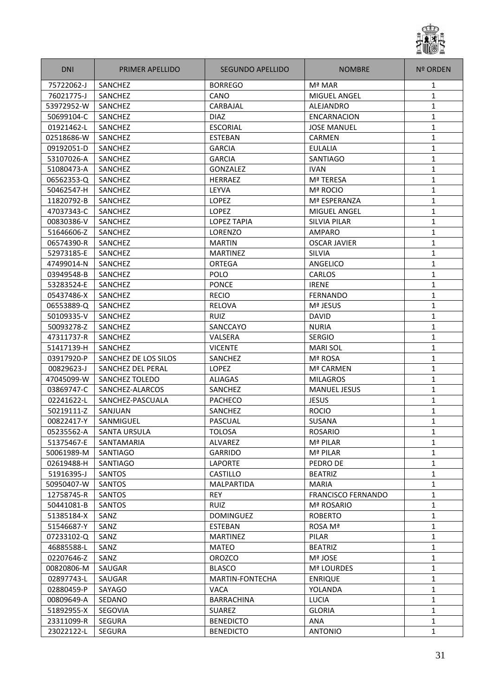

| <b>DNI</b> | PRIMER APELLIDO       | SEGUNDO APELLIDO   | <b>NOMBRE</b>             | <b>Nº ORDEN</b> |
|------------|-----------------------|--------------------|---------------------------|-----------------|
| 75722062-J | SANCHEZ               | <b>BORREGO</b>     | Mª MAR                    | 1               |
| 76021775-J | SANCHEZ               | CANO               | <b>MIGUEL ANGEL</b>       | $\mathbf{1}$    |
| 53972952-W | SANCHEZ               | CARBAJAL           | ALEJANDRO                 | 1               |
| 50699104-C | SANCHEZ               | <b>DIAZ</b>        | ENCARNACION               | 1               |
| 01921462-L | SANCHEZ               | <b>ESCORIAL</b>    | <b>JOSE MANUEL</b>        | 1               |
| 02518686-W | SANCHEZ               | <b>ESTEBAN</b>     | CARMEN                    | $\mathbf{1}$    |
| 09192051-D | SANCHEZ               | <b>GARCIA</b>      | <b>EULALIA</b>            | 1               |
| 53107026-A | SANCHEZ               | <b>GARCIA</b>      | SANTIAGO                  | $\mathbf{1}$    |
| 51080473-A | SANCHEZ               | GONZALEZ           | <b>IVAN</b>               | 1               |
| 06562353-Q | <b>SANCHEZ</b>        | <b>HERRAEZ</b>     | Mª TERESA                 | $\mathbf{1}$    |
| 50462547-H | SANCHEZ               | LEYVA              | Mª ROCIO                  | 1               |
| 11820792-B | SANCHEZ               | LOPEZ              | Mª ESPERANZA              | 1               |
| 47037343-C | SANCHEZ               | <b>LOPEZ</b>       | MIGUEL ANGEL              | 1               |
| 00830386-V | SANCHEZ               | <b>LOPEZ TAPIA</b> | <b>SILVIA PILAR</b>       | 1               |
| 51646606-Z | SANCHEZ               | LORENZO            | <b>AMPARO</b>             | $\mathbf{1}$    |
| 06574390-R | SANCHEZ               | <b>MARTIN</b>      | <b>OSCAR JAVIER</b>       | $\mathbf{1}$    |
| 52973185-E | SANCHEZ               | <b>MARTINEZ</b>    | SILVIA                    | $\mathbf{1}$    |
| 47499014-N | <b>SANCHEZ</b>        | <b>ORTEGA</b>      | ANGELICO                  | 1               |
| 03949548-B | SANCHEZ               | POLO               | <b>CARLOS</b>             | 1               |
| 53283524-E | SANCHEZ               | <b>PONCE</b>       | <b>IRENE</b>              | 1               |
| 05437486-X | SANCHEZ               | <b>RECIO</b>       | FERNANDO                  | 1               |
| 06553889-Q | SANCHEZ               | RELOVA             | Mª JESUS                  | 1               |
| 50109335-V | SANCHEZ               | RUIZ               | <b>DAVID</b>              | 1               |
| 50093278-Z | SANCHEZ               | SANCCAYO           | <b>NURIA</b>              | 1               |
| 47311737-R | SANCHEZ               | VALSERA            | <b>SERGIO</b>             | $\mathbf{1}$    |
| 51417139-H | <b>SANCHEZ</b>        | <b>VICENTE</b>     | <b>MARI SOL</b>           | 1               |
| 03917920-P | SANCHEZ DE LOS SILOS  | SANCHEZ            | Mª ROSA                   | 1               |
| 00829623-J | SANCHEZ DEL PERAL     | <b>LOPEZ</b>       | Mª CARMEN                 | 1               |
| 47045099-W | <b>SANCHEZ TOLEDO</b> | <b>ALIAGAS</b>     | <b>MILAGROS</b>           | 1               |
| 03869747-C | SANCHEZ-ALARCOS       | SANCHEZ            | <b>MANUEL JESUS</b>       | 1               |
| 02241622-L | SANCHEZ-PASCUALA      | PACHECO            | <b>JESUS</b>              | 1               |
| 50219111-Z | SANJUAN               | SANCHEZ            | <b>ROCIO</b>              | 1               |
| 00822417-Y | SANMIGUEL             | <b>PASCUAL</b>     | <b>SUSANA</b>             | $\mathbf{1}$    |
| 05235562-A | <b>SANTA URSULA</b>   | <b>TOLOSA</b>      | <b>ROSARIO</b>            | 1               |
| 51375467-E | SANTAMARIA            | ALVAREZ            | Mª PILAR                  | $\mathbf{1}$    |
| 50061989-M | SANTIAGO              | <b>GARRIDO</b>     | Mª PILAR                  | $\mathbf{1}$    |
| 02619488-H | SANTIAGO              | <b>LAPORTE</b>     | PEDRO DE                  | $\mathbf{1}$    |
| 51916395-J | <b>SANTOS</b>         | <b>CASTILLO</b>    | <b>BEATRIZ</b>            | $\mathbf{1}$    |
| 50950407-W | SANTOS                | MALPARTIDA         | <b>MARIA</b>              | 1               |
| 12758745-R | SANTOS                | <b>REY</b>         | <b>FRANCISCO FERNANDO</b> | $\mathbf{1}$    |
| 50441081-B | SANTOS                | <b>RUIZ</b>        | Mª ROSARIO                | 1               |
| 51385184-X | SANZ                  | <b>DOMINGUEZ</b>   | <b>ROBERTO</b>            | $\mathbf{1}$    |
| 51546687-Y | SANZ                  | <b>ESTEBAN</b>     | ROSA Mª                   | 1               |
| 07233102-Q | SANZ                  | <b>MARTINEZ</b>    | PILAR                     | $\mathbf{1}$    |
| 46885588-L | SANZ                  | <b>MATEO</b>       | <b>BEATRIZ</b>            | 1               |
| 02207646-Z | SANZ                  | <b>OROZCO</b>      | Mª JOSE                   | 1               |
| 00820806-M | SAUGAR                | <b>BLASCO</b>      | Mª LOURDES                | 1               |
| 02897743-L | SAUGAR                | MARTIN-FONTECHA    | <b>ENRIQUE</b>            | 1               |
| 02880459-P | SAYAGO                | <b>VACA</b>        | YOLANDA                   | 1               |
| 00809649-A | SEDANO                | <b>BARRACHINA</b>  | <b>LUCIA</b>              | $\mathbf{1}$    |
| 51892955-X | <b>SEGOVIA</b>        | <b>SUAREZ</b>      | GLORIA                    | $\mathbf{1}$    |
| 23311099-R | <b>SEGURA</b>         | <b>BENEDICTO</b>   | ANA                       | $\mathbf{1}$    |
| 23022122-L | <b>SEGURA</b>         | <b>BENEDICTO</b>   | <b>ANTONIO</b>            | $\mathbf{1}$    |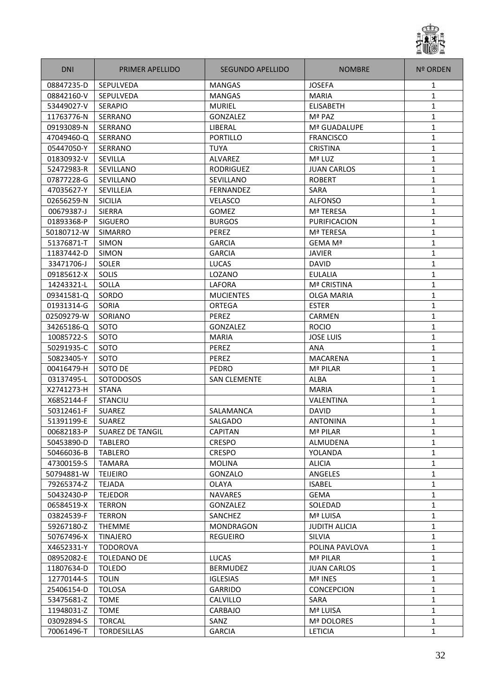

| <b>DNI</b> | PRIMER APELLIDO         | SEGUNDO APELLIDO    | <b>NOMBRE</b>      | <b>Nº ORDEN</b> |
|------------|-------------------------|---------------------|--------------------|-----------------|
| 08847235-D | <b>SEPULVEDA</b>        | <b>MANGAS</b>       | <b>JOSEFA</b>      | 1               |
| 08842160-V | SEPULVEDA               | <b>MANGAS</b>       | <b>MARIA</b>       | $\mathbf{1}$    |
| 53449027-V | <b>SERAPIO</b>          | <b>MURIEL</b>       | <b>ELISABETH</b>   | 1               |
| 11763776-N | SERRANO                 | GONZALEZ            | Mª PAZ             | 1               |
| 09193089-N | SERRANO                 | LIBERAL             | Mª GUADALUPE       | 1               |
| 47049460-Q | SERRANO                 | PORTILLO            | <b>FRANCISCO</b>   | $\mathbf{1}$    |
| 05447050-Y | SERRANO                 | <b>TUYA</b>         | <b>CRISTINA</b>    | 1               |
| 01830932-V | SEVILLA                 | ALVAREZ             | Mª LUZ             | $\mathbf{1}$    |
| 52472983-R | SEVILLANO               | <b>RODRIGUEZ</b>    | <b>JUAN CARLOS</b> | 1               |
| 07877228-G | SEVILLANO               | SEVILLANO           | <b>ROBERT</b>      | $\mathbf{1}$    |
| 47035627-Y | SEVILLEJA               | <b>FERNANDEZ</b>    | <b>SARA</b>        | 1               |
| 02656259-N | <b>SICILIA</b>          | <b>VELASCO</b>      | <b>ALFONSO</b>     | 1               |
| 00679387-J | SIERRA                  | GOMEZ               | Mª TERESA          | 1               |
| 01893368-P | <b>SIGUERO</b>          | <b>BURGOS</b>       | PURIFICACION       | 1               |
| 50180712-W | <b>SIMARRO</b>          | PEREZ               | Mª TERESA          | $\mathbf{1}$    |
| 51376871-T | <b>SIMON</b>            | <b>GARCIA</b>       | GEMA Mª            | $\mathbf{1}$    |
| 11837442-D | SIMON                   | <b>GARCIA</b>       | <b>JAVIER</b>      | $\mathbf{1}$    |
| 33471706-J | <b>SOLER</b>            | <b>LUCAS</b>        | <b>DAVID</b>       | 1               |
| 09185612-X | SOLIS                   | LOZANO              | <b>EULALIA</b>     | 1               |
| 14243321-L | SOLLA                   | LAFORA              | Mª CRISTINA        | 1               |
| 09341581-Q | SORDO                   | <b>MUCIENTES</b>    | <b>OLGA MARIA</b>  | 1               |
| 01931314-G | <b>SORIA</b>            | <b>ORTEGA</b>       | <b>ESTER</b>       | 1               |
| 02509279-W | SORIANO                 | <b>PEREZ</b>        | <b>CARMEN</b>      | 1               |
| 34265186-Q | SOTO                    | <b>GONZALEZ</b>     | <b>ROCIO</b>       | 1               |
| 10085722-S | SOTO                    | <b>MARIA</b>        | <b>JOSE LUIS</b>   | $\mathbf{1}$    |
| 50291935-C | <b>SOTO</b>             | PEREZ               | ANA                | 1               |
| 50823405-Y | <b>SOTO</b>             | <b>PEREZ</b>        | MACARENA           | 1               |
| 00416479-H | SOTO DE                 | PEDRO               | Mª PILAR           | 1               |
| 03137495-L | SOTODOSOS               | <b>SAN CLEMENTE</b> | <b>ALBA</b>        | 1               |
| X2741273-H | <b>STANA</b>            |                     | <b>MARIA</b>       | 1               |
| X6852144-F | <b>STANCIU</b>          |                     | VALENTINA          | 1               |
| 50312461-F | <b>SUAREZ</b>           | SALAMANCA           | <b>DAVID</b>       | 1               |
| 51391199-E | <b>SUAREZ</b>           | SALGADO             | <b>ANTONINA</b>    | $\mathbf{1}$    |
| 00682183-P | <b>SUAREZ DE TANGIL</b> | <b>CAPITAN</b>      | Mª PILAR           | 1               |
| 50453890-D | <b>TABLERO</b>          | <b>CRESPO</b>       | ALMUDENA           | $\mathbf{1}$    |
| 50466036-B | <b>TABLERO</b>          | <b>CRESPO</b>       | YOLANDA            | $\mathbf{1}$    |
| 47300159-S | TAMARA                  | <b>MOLINA</b>       | <b>ALICIA</b>      | $\mathbf{1}$    |
| 50794881-W | <b>TEIJEIRO</b>         | GONZALO             | ANGELES            | $\mathbf{1}$    |
| 79265374-Z | <b>TEJADA</b>           | OLAYA               | <b>ISABEL</b>      | $\mathbf{1}$    |
| 50432430-P | <b>TEJEDOR</b>          | <b>NAVARES</b>      | <b>GEMA</b>        | $\mathbf{1}$    |
| 06584519-X | <b>TERRON</b>           | GONZALEZ            | SOLEDAD            | 1               |
| 03824539-F | <b>TERRON</b>           | SANCHEZ             | Mª LUISA           | $\mathbf{1}$    |
| 59267180-Z | <b>THEMME</b>           | MONDRAGON           | JUDITH ALICIA      | 1               |
| 50767496-X | <b>TINAJERO</b>         | <b>REGUEIRO</b>     | <b>SILVIA</b>      | $\mathbf{1}$    |
| X4652331-Y | <b>TODOROVA</b>         |                     | POLINA PAVLOVA     | 1               |
| 08952082-E | TOLEDANO DE             | LUCAS               | Mª PILAR           | $\mathbf{1}$    |
| 11807634-D | <b>TOLEDO</b>           | <b>BERMUDEZ</b>     | <b>JUAN CARLOS</b> | 1               |
| 12770144-S | <b>TOLIN</b>            | <b>IGLESIAS</b>     | Mª INES            | $\mathbf{1}$    |
| 25406154-D | <b>TOLOSA</b>           | <b>GARRIDO</b>      | <b>CONCEPCION</b>  | 1               |
| 53475681-Z | <b>TOME</b>             | <b>CALVILLO</b>     | SARA               | $\mathbf{1}$    |
| 11948031-Z | <b>TOME</b>             | CARBAJO             | Mª LUISA           | $\mathbf{1}$    |
| 03092894-S | <b>TORCAL</b>           | SANZ                | Mª DOLORES         | $\mathbf{1}$    |
| 70061496-T | <b>TORDESILLAS</b>      | <b>GARCIA</b>       | <b>LETICIA</b>     | $\mathbf{1}$    |
|            |                         |                     |                    |                 |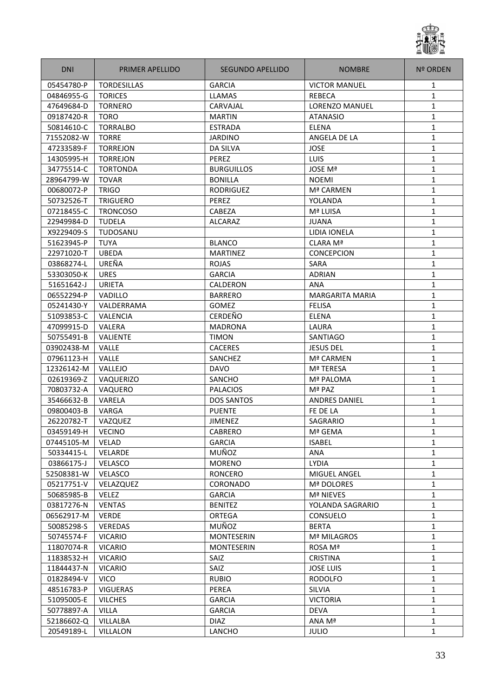

| <b>DNI</b> | PRIMER APELLIDO    | SEGUNDO APELLIDO  | <b>NOMBRE</b>          | <b>Nº ORDEN</b> |
|------------|--------------------|-------------------|------------------------|-----------------|
| 05454780-P | <b>TORDESILLAS</b> | <b>GARCIA</b>     | <b>VICTOR MANUEL</b>   | 1               |
| 04846955-G | <b>TORICES</b>     | <b>LLAMAS</b>     | REBECA                 | $\mathbf{1}$    |
| 47649684-D | <b>TORNERO</b>     | CARVAJAL          | <b>LORENZO MANUEL</b>  | 1               |
| 09187420-R | <b>TORO</b>        | <b>MARTIN</b>     | <b>ATANASIO</b>        | 1               |
| 50814610-C | <b>TORRALBO</b>    | <b>ESTRADA</b>    | <b>ELENA</b>           | 1               |
| 71552082-W | <b>TORRE</b>       | <b>JARDINO</b>    | ANGELA DE LA           | $\mathbf{1}$    |
| 47233589-F | <b>TORREJON</b>    | DA SILVA          | <b>JOSE</b>            | 1               |
| 14305995-H | <b>TORREJON</b>    | PEREZ             | <b>LUIS</b>            | $\mathbf{1}$    |
| 34775514-C | <b>TORTONDA</b>    | <b>BURGUILLOS</b> | <b>JOSE Mª</b>         | 1               |
| 28964799-W | <b>TOVAR</b>       | <b>BONILLA</b>    | <b>NOEMI</b>           | $\mathbf{1}$    |
| 00680072-P | <b>TRIGO</b>       | RODRIGUEZ         | Mª CARMEN              | 1               |
| 50732526-T | <b>TRIGUERO</b>    | PEREZ             | YOLANDA                | 1               |
| 07218455-C | <b>TRONCOSO</b>    | CABEZA            | Mª LUISA               | 1               |
| 22949984-D | <b>TUDELA</b>      | ALCARAZ           | <b>JUANA</b>           | 1               |
| X9229409-S | TUDOSANU           |                   | <b>LIDIA IONELA</b>    | $\mathbf{1}$    |
| 51623945-P | <b>TUYA</b>        | <b>BLANCO</b>     | CLARA Mª               | $\mathbf{1}$    |
| 22971020-T | <b>UBEDA</b>       | <b>MARTINEZ</b>   | <b>CONCEPCION</b>      | $\mathbf{1}$    |
| 03868274-L | UREÑA              | <b>ROJAS</b>      | SARA                   | 1               |
| 53303050-K | <b>URES</b>        | <b>GARCIA</b>     | <b>ADRIAN</b>          | $\mathbf{1}$    |
| 51651642-J | <b>URIETA</b>      | CALDERON          | <b>ANA</b>             | 1               |
| 06552294-P | <b>VADILLO</b>     | <b>BARRERO</b>    | <b>MARGARITA MARIA</b> | 1               |
| 05241430-Y | VALDERRAMA         | <b>GOMEZ</b>      | <b>FELISA</b>          | 1               |
| 51093853-C | VALENCIA           | <b>CERDEÑO</b>    | <b>ELENA</b>           | 1               |
| 47099915-D | VALERA             | <b>MADRONA</b>    | LAURA                  | 1               |
| 50755491-B | <b>VALIENTE</b>    | <b>TIMON</b>      | SANTIAGO               | $\mathbf{1}$    |
| 03902438-M | <b>VALLE</b>       | <b>CACERES</b>    | JESUS DEL              | 1               |
| 07961123-H | VALLE              | SANCHEZ           | Mª CARMEN              | $\mathbf{1}$    |
| 12326142-M | VALLEJO            | <b>DAVO</b>       | Mª TERESA              | 1               |
| 02619369-Z | VAQUERIZO          | SANCHO            | Mª PALOMA              | 1               |
| 70803732-A | VAQUERO            | <b>PALACIOS</b>   | Mª PAZ                 | 1               |
| 35466632-B | VARELA             | <b>DOS SANTOS</b> | <b>ANDRES DANIEL</b>   | 1               |
| 09800403-B | VARGA              | <b>PUENTE</b>     | FE DE LA               | 1               |
| 26220782-T | VAZQUEZ            | <b>JIMENEZ</b>    | SAGRARIO               | $\mathbf{1}$    |
| 03459149-H | <b>VECINO</b>      | CABRERO           | Mª GEMA                | 1               |
| 07445105-M | VELAD              | <b>GARCIA</b>     | <b>ISABEL</b>          | $\mathbf{1}$    |
| 50334415-L | VELARDE            | MUÑOZ             | ANA                    | $\mathbf{1}$    |
| 03866175-J | VELASCO            | <b>MORENO</b>     | <b>LYDIA</b>           | $\mathbf{1}$    |
| 52508381-W | VELASCO            | <b>RONCERO</b>    | MIGUEL ANGEL           | $\mathbf{1}$    |
| 05217751-V | VELAZQUEZ          | CORONADO          | Mª DOLORES             | $\mathbf{1}$    |
| 50685985-B | <b>VELEZ</b>       | <b>GARCIA</b>     | <b>Mª NIEVES</b>       | $\mathbf{1}$    |
| 03817276-N | <b>VENTAS</b>      | <b>BENITEZ</b>    | YOLANDA SAGRARIO       | $\mathbf{1}$    |
| 06562917-M | <b>VERDE</b>       | ORTEGA            | CONSUELO               | $\mathbf{1}$    |
| 50085298-S | <b>VEREDAS</b>     | MUÑOZ             | <b>BERTA</b>           | $\mathbf{1}$    |
| 50745574-F | <b>VICARIO</b>     | <b>MONTESERIN</b> | Mª MILAGROS            | $\mathbf{1}$    |
| 11807074-R | <b>VICARIO</b>     | <b>MONTESERIN</b> | ROSA Mª                | 1               |
| 11838532-H | <b>VICARIO</b>     | SAIZ              | <b>CRISTINA</b>        | 1               |
| 11844437-N | <b>VICARIO</b>     | SAIZ              | <b>JOSE LUIS</b>       | 1               |
| 01828494-V | <b>VICO</b>        | <b>RUBIO</b>      | <b>RODOLFO</b>         | $\mathbf{1}$    |
| 48516783-P | <b>VIGUERAS</b>    | PEREA             | <b>SILVIA</b>          | 1               |
| 51095005-E | <b>VILCHES</b>     | <b>GARCIA</b>     | <b>VICTORIA</b>        | $\mathbf{1}$    |
| 50778897-A | <b>VILLA</b>       | <b>GARCIA</b>     | DEVA                   | $\mathbf{1}$    |
| 52186602-Q | VILLALBA           | <b>DIAZ</b>       | ANA Mª                 | $\mathbf{1}$    |
| 20549189-L | <b>VILLALON</b>    | LANCHO            | <b>JULIO</b>           | $\mathbf{1}$    |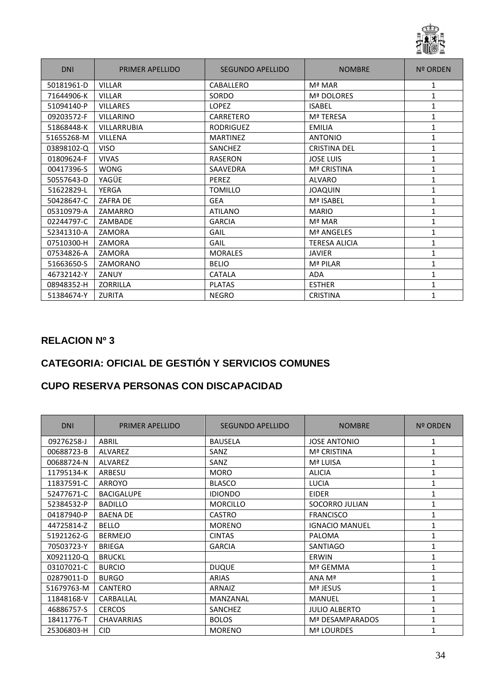

| <b>DNI</b> | PRIMER APELLIDO    | <b>SEGUNDO APELLIDO</b> | <b>NOMBRE</b>        | <b>Nº ORDEN</b> |
|------------|--------------------|-------------------------|----------------------|-----------------|
| 50181961-D | <b>VILLAR</b>      | CABALLERO               | Mª MAR               | 1               |
| 71644906-K | <b>VILLAR</b>      | SORDO                   | Mª DOLORES           | 1               |
| 51094140-P | <b>VILLARES</b>    | <b>LOPEZ</b>            | <b>ISABEL</b>        | 1               |
| 09203572-F | <b>VILLARINO</b>   | <b>CARRETERO</b>        | Mª TERESA            | 1               |
| 51868448-K | <b>VILLARRUBIA</b> | <b>RODRIGUEZ</b>        | <b>EMILIA</b>        | $\mathbf{1}$    |
| 51655268-M | <b>VILLENA</b>     | <b>MARTINEZ</b>         | <b>ANTONIO</b>       | $\mathbf{1}$    |
| 03898102-Q | <b>VISO</b>        | <b>SANCHEZ</b>          | <b>CRISTINA DEL</b>  | 1               |
| 01809624-F | <b>VIVAS</b>       | <b>RASERON</b>          | <b>JOSE LUIS</b>     | $\mathbf{1}$    |
| 00417396-S | <b>WONG</b>        | SAAVEDRA                | <b>Mª CRISTINA</b>   | 1               |
| 50557643-D | YAGÜE              | PEREZ                   | <b>ALVARO</b>        | 1               |
| 51622829-L | <b>YERGA</b>       | <b>TOMILLO</b>          | <b>JOAQUIN</b>       | 1               |
| 50428647-C | <b>ZAFRA DE</b>    | <b>GEA</b>              | Mª ISABEL            | 1               |
| 05310979-A | ZAMARRO            | <b>ATILANO</b>          | <b>MARIO</b>         | 1               |
| 02244797-C | ZAMBADE            | <b>GARCIA</b>           | Mª MAR               | 1               |
| 52341310-A | ZAMORA             | GAIL                    | Mª ANGELES           | 1               |
| 07510300-H | ZAMORA             | GAIL                    | <b>TERESA ALICIA</b> | 1               |
| 07534826-A | ZAMORA             | <b>MORALES</b>          | <b>JAVIER</b>        | 1               |
| 51663650-S | ZAMORANO           | <b>BELIO</b>            | Mª PILAR             | $\mathbf{1}$    |
| 46732142-Y | ZANUY              | <b>CATALA</b>           | <b>ADA</b>           | 1               |
| 08948352-H | <b>ZORRILLA</b>    | <b>PLATAS</b>           | <b>ESTHER</b>        | 1               |
| 51384674-Y | <b>ZURITA</b>      | <b>NEGRO</b>            | <b>CRISTINA</b>      | 1               |

### **CATEGORIA: OFICIAL DE GESTIÓN Y SERVICIOS COMUNES**

#### **CUPO RESERVA PERSONAS CON DISCAPACIDAD**

| <b>DNI</b> | PRIMER APELLIDO   | <b>SEGUNDO APELLIDO</b> | <b>NOMBRE</b>         | <b>Nº ORDEN</b> |
|------------|-------------------|-------------------------|-----------------------|-----------------|
| 09276258-J | ABRIL             | <b>BAUSELA</b>          | <b>JOSE ANTONIO</b>   | 1               |
| 00688723-B | <b>ALVAREZ</b>    | SANZ                    | Mª CRISTINA           | 1               |
| 00688724-N | <b>ALVAREZ</b>    | SANZ                    | Mª LUISA              | $\mathbf{1}$    |
| 11795134-K | ARBESU            | <b>MORO</b>             | <b>ALICIA</b>         | 1               |
| 11837591-C | ARROYO            | <b>BLASCO</b>           | <b>LUCIA</b>          | 1               |
| 52477671-C | <b>BACIGALUPE</b> | <b>IDIONDO</b>          | <b>EIDER</b>          | 1               |
| 52384532-P | <b>BADILLO</b>    | <b>MORCILLO</b>         | SOCORRO JULIAN        | 1               |
| 04187940-P | <b>BAENA DE</b>   | <b>CASTRO</b>           | <b>FRANCISCO</b>      | 1               |
| 44725814-Z | <b>BELLO</b>      | <b>MORENO</b>           | <b>IGNACIO MANUEL</b> | 1               |
| 51921262-G | <b>BERMEJO</b>    | <b>CINTAS</b>           | PALOMA                | 1               |
| 70503723-Y | <b>BRIEGA</b>     | <b>GARCIA</b>           | <b>SANTIAGO</b>       | 1               |
| X0921120-Q | <b>BRUCKL</b>     |                         | ERWIN                 | $\mathbf{1}$    |
| 03107021-C | <b>BURCIO</b>     | <b>DUQUE</b>            | Mª GEMMA              | 1               |
| 02879011-D | <b>BURGO</b>      | <b>ARIAS</b>            | ANA Mª                | 1               |
| 51679763-M | CANTERO           | <b>ARNAIZ</b>           | Mª JESUS              | 1               |
| 11848168-V | CARBALLAL         | MANZANAL                | <b>MANUEL</b>         | 1               |
| 46886757-S | <b>CERCOS</b>     | SANCHEZ                 | <b>JULIO ALBERTO</b>  | 1               |
| 18411776-T | <b>CHAVARRIAS</b> | <b>BOLOS</b>            | Mª DESAMPARADOS       | 1               |
| 25306803-H | <b>CID</b>        | <b>MORENO</b>           | Mª LOURDES            | 1               |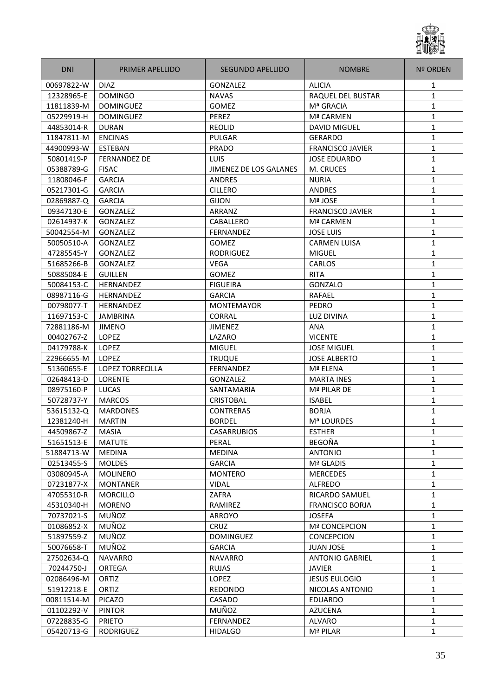

| <b>DNI</b><br>PRIMER APELLIDO         | SEGUNDO APELLIDO       | <b>NOMBRE</b>           | <b>Nº ORDEN</b> |
|---------------------------------------|------------------------|-------------------------|-----------------|
| 00697822-W<br><b>DIAZ</b>             | <b>GONZALEZ</b>        | <b>ALICIA</b>           | 1               |
| 12328965-E<br><b>DOMINGO</b>          | <b>NAVAS</b>           | RAQUEL DEL BUSTAR       | $\mathbf{1}$    |
| 11811839-M<br><b>DOMINGUEZ</b>        | GOMEZ                  | Mª GRACIA               | 1               |
| 05229919-H<br><b>DOMINGUEZ</b>        | PEREZ                  | Mª CARMEN               | 1               |
| 44853014-R<br><b>DURAN</b>            | REOLID                 | <b>DAVID MIGUEL</b>     | 1               |
| 11847811-M<br><b>ENCINAS</b>          | PULGAR                 | <b>GERARDO</b>          | $\mathbf{1}$    |
| 44900993-W<br>ESTEBAN                 | PRADO                  | <b>FRANCISCO JAVIER</b> | 1               |
| <b>FERNANDEZ DE</b><br>50801419-P     | LUIS                   | <b>JOSE EDUARDO</b>     | $\mathbf{1}$    |
| 05388789-G<br><b>FISAC</b>            | JIMENEZ DE LOS GALANES | M. CRUCES               | 1               |
| 11808046-F<br><b>GARCIA</b>           | <b>ANDRES</b>          | <b>NURIA</b>            | $\mathbf{1}$    |
| <b>GARCIA</b><br>05217301-G           | <b>CILLERO</b>         | <b>ANDRES</b>           | 1               |
| 02869887-Q<br><b>GARCIA</b>           | <b>GIJON</b>           | Mª JOSE                 | 1               |
| GONZALEZ<br>09347130-E                | ARRANZ                 | <b>FRANCISCO JAVIER</b> | 1               |
| 02614937-K<br>GONZALEZ                | CABALLERO              | Mª CARMEN               | 1               |
| 50042554-M<br><b>GONZALEZ</b>         | FERNANDEZ              | <b>JOSE LUIS</b>        | $\mathbf{1}$    |
| <b>GONZALEZ</b><br>50050510-A         | GOMEZ                  | <b>CARMEN LUISA</b>     | $\mathbf{1}$    |
| GONZALEZ<br>47285545-Y                | RODRIGUEZ              | <b>MIGUEL</b>           | $\mathbf{1}$    |
| 51685266-B<br><b>GONZALEZ</b>         | <b>VEGA</b>            | <b>CARLOS</b>           | 1               |
| 50885084-E<br><b>GUILLEN</b>          | GOMEZ                  | <b>RITA</b>             | 1               |
| 50084153-C<br><b>HERNANDEZ</b>        | <b>FIGUEIRA</b>        | GONZALO                 | 1               |
| 08987116-G<br><b>HERNANDEZ</b>        | <b>GARCIA</b>          | RAFAEL                  | 1               |
| 00798077-T<br><b>HERNANDEZ</b>        | <b>MONTEMAYOR</b>      | <b>PEDRO</b>            | 1               |
| 11697153-C<br><b>JAMBRINA</b>         | <b>CORRAL</b>          | LUZ DIVINA              | 1               |
| 72881186-M<br><b>JIMENO</b>           | <b>JIMENEZ</b>         | ANA                     | 1               |
| 00402767-Z<br>LOPEZ                   | LAZARO                 | <b>VICENTE</b>          | $\mathbf{1}$    |
| 04179788-K<br><b>LOPEZ</b>            | <b>MIGUEL</b>          | <b>JOSE MIGUEL</b>      | 1               |
| 22966655-M<br><b>LOPEZ</b>            | <b>TRUQUE</b>          | <b>JOSE ALBERTO</b>     | 1               |
| <b>LOPEZ TORRECILLA</b><br>51360655-E | <b>FERNANDEZ</b>       | Mª ELENA                | 1               |
| 02648413-D<br><b>LORENTE</b>          | GONZALEZ               | <b>MARTA INES</b>       | 1               |
| LUCAS<br>08975160-P                   | SANTAMARIA             | Mª PILAR DE             | 1               |
| 50728737-Y<br><b>MARCOS</b>           | <b>CRISTOBAL</b>       | <b>ISABEL</b>           | 1               |
| <b>MARDONES</b><br>53615132-Q         | <b>CONTRERAS</b>       | <b>BORJA</b>            | 1               |
| 12381240-H<br><b>MARTIN</b>           | <b>BORDEL</b>          | Mª LOURDES              | $\mathbf{1}$    |
| 44509867-Z<br><b>MASIA</b>            | <b>CASARRUBIOS</b>     | <b>ESTHER</b>           | 1               |
| 51651513-E<br><b>MATUTE</b>           | PERAL                  | <b>BEGOÑA</b>           | $\mathbf{1}$    |
| 51884713-W<br><b>MEDINA</b>           | <b>MEDINA</b>          | <b>ANTONIO</b>          | $\mathbf{1}$    |
| 02513455-S<br><b>MOLDES</b>           | <b>GARCIA</b>          | Mª GLADIS               | $\mathbf{1}$    |
| 03080945-A<br><b>MOLINERO</b>         | <b>MONTERO</b>         | <b>MERCEDES</b>         | $\mathbf{1}$    |
| 07231877-X<br><b>MONTANER</b>         | <b>VIDAL</b>           | ALFREDO                 | 1               |
| 47055310-R<br><b>MORCILLO</b>         | ZAFRA                  | RICARDO SAMUEL          | $\mathbf{1}$    |
| 45310340-H<br><b>MORENO</b>           | RAMIREZ                | <b>FRANCISCO BORJA</b>  | 1               |
| MUÑOZ<br>70737021-S                   | <b>ARROYO</b>          | <b>JOSEFA</b>           | $\mathbf{1}$    |
| MUÑOZ<br>01086852-X                   | <b>CRUZ</b>            | <b>Mª CONCEPCION</b>    | 1               |
| MUÑOZ<br>51897559-Z                   | <b>DOMINGUEZ</b>       | <b>CONCEPCION</b>       | $\mathbf{1}$    |
| MUÑOZ<br>50076658-T                   | <b>GARCIA</b>          | <b>JUAN JOSE</b>        | 1               |
| <b>NAVARRO</b><br>27502634-Q          | <b>NAVARRO</b>         | <b>ANTONIO GABRIEL</b>  | 1               |
| 70244750-J<br>ORTEGA                  | <b>RUJAS</b>           | <b>JAVIER</b>           | 1               |
| 02086496-M<br>ORTIZ                   | <b>LOPEZ</b>           | <b>JESUS EULOGIO</b>    | 1               |
| 51912218-E<br>ORTIZ                   | <b>REDONDO</b>         | NICOLAS ANTONIO         | $\mathbf{1}$    |
| PICAZO<br>00811514-M                  | CASADO                 | <b>EDUARDO</b>          | $\mathbf{1}$    |
| 01102292-V<br><b>PINTOR</b>           | MUÑOZ                  | <b>AZUCENA</b>          | $\mathbf{1}$    |
| 07228835-G<br><b>PRIETO</b>           | FERNANDEZ              | <b>ALVARO</b>           | 1               |
| 05420713-G<br>RODRIGUEZ               | <b>HIDALGO</b>         | Mª PILAR                | $\mathbf{1}$    |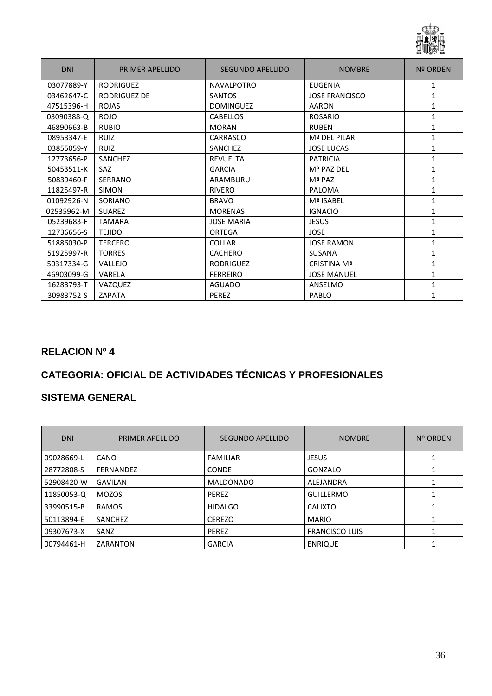

| <b>DNI</b> | PRIMER APELLIDO  | SEGUNDO APELLIDO  | <b>NOMBRE</b>         | <b>Nº ORDEN</b> |
|------------|------------------|-------------------|-----------------------|-----------------|
| 03077889-Y | <b>RODRIGUEZ</b> | <b>NAVALPOTRO</b> | <b>EUGENIA</b>        | 1               |
| 03462647-C | RODRIGUEZ DE     | <b>SANTOS</b>     | <b>JOSE FRANCISCO</b> | $\mathbf{1}$    |
| 47515396-H | <b>ROJAS</b>     | <b>DOMINGUEZ</b>  | <b>AARON</b>          | 1               |
| 03090388-Q | <b>ROJO</b>      | <b>CABELLOS</b>   | <b>ROSARIO</b>        | $\mathbf{1}$    |
| 46890663-B | <b>RUBIO</b>     | <b>MORAN</b>      | <b>RUBEN</b>          | $\mathbf{1}$    |
| 08953347-E | <b>RUIZ</b>      | CARRASCO          | Mª DEL PILAR          | 1               |
| 03855059-Y | <b>RUIZ</b>      | SANCHEZ           | <b>JOSE LUCAS</b>     | $\mathbf{1}$    |
| 12773656-P | SANCHEZ          | <b>REVUELTA</b>   | <b>PATRICIA</b>       | $\mathbf{1}$    |
| 50453511-K | <b>SAZ</b>       | <b>GARCIA</b>     | Mª PAZ DEL            | 1               |
| 50839460-F | SERRANO          | ARAMBURU          | Mª PAZ                | $\mathbf{1}$    |
| 11825497-R | <b>SIMON</b>     | <b>RIVERO</b>     | PALOMA                | $\mathbf{1}$    |
| 01092926-N | SORIANO          | <b>BRAVO</b>      | Mª ISABEL             | 1               |
| 02535962-M | <b>SUAREZ</b>    | <b>MORENAS</b>    | <b>IGNACIO</b>        | 1               |
| 05239683-F | <b>TAMARA</b>    | <b>JOSE MARIA</b> | <b>JESUS</b>          | 1               |
| 12736656-S | <b>TEJIDO</b>    | ORTEGA            | <b>JOSE</b>           | 1               |
| 51886030-P | <b>TERCERO</b>   | <b>COLLAR</b>     | <b>JOSE RAMON</b>     | 1               |
| 51925997-R | <b>TORRES</b>    | <b>CACHERO</b>    | SUSANA                | 1               |
| 50317334-G | VALLEJO          | <b>RODRIGUEZ</b>  | CRISTINA Mª           | $\mathbf{1}$    |
| 46903099-G | VARELA           | <b>FERREIRO</b>   | <b>JOSE MANUEL</b>    | 1               |
| 16283793-T | VAZQUEZ          | <b>AGUADO</b>     | ANSELMO               | 1               |
| 30983752-S | <b>ZAPATA</b>    | PEREZ             | PABLO                 |                 |

# **CATEGORIA: OFICIAL DE ACTIVIDADES TÉCNICAS Y PROFESIONALES**

| <b>DNI</b> | PRIMER APELLIDO  | SEGUNDO APELLIDO | <b>NOMBRE</b>         | Nº ORDEN |
|------------|------------------|------------------|-----------------------|----------|
| 09028669-L | <b>CANO</b>      | <b>FAMILIAR</b>  | <b>JESUS</b>          |          |
| 28772808-S | <b>FERNANDEZ</b> | <b>CONDE</b>     | GONZALO               |          |
| 52908420-W | <b>GAVILAN</b>   | <b>MALDONADO</b> | ALEJANDRA             |          |
| 11850053-Q | <b>MOZOS</b>     | PEREZ            | <b>GUILLERMO</b>      |          |
| 33990515-B | <b>RAMOS</b>     | <b>HIDALGO</b>   | <b>CALIXTO</b>        |          |
| 50113894-E | SANCHEZ          | <b>CEREZO</b>    | <b>MARIO</b>          |          |
| 09307673-X | SANZ             | <b>PEREZ</b>     | <b>FRANCISCO LUIS</b> |          |
| 00794461-H | ZARANTON         | <b>GARCIA</b>    | <b>ENRIQUE</b>        |          |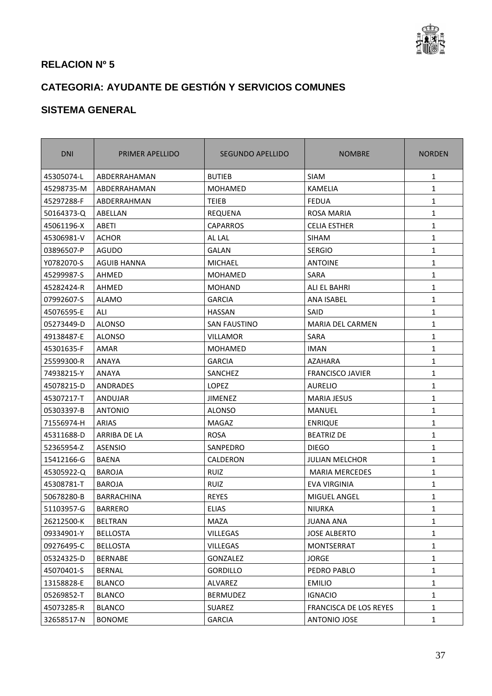

# **CATEGORIA: AYUDANTE DE GESTIÓN Y SERVICIOS COMUNES**

| <b>DNI</b> | PRIMER APELLIDO   | SEGUNDO APELLIDO    | <b>NOMBRE</b>           | <b>NORDEN</b> |
|------------|-------------------|---------------------|-------------------------|---------------|
| 45305074-L | ABDERRAHAMAN      | <b>BUTIEB</b>       | <b>SIAM</b>             | 1             |
| 45298735-M | ABDERRAHAMAN      | <b>MOHAMED</b>      | KAMELIA                 | $\mathbf{1}$  |
| 45297288-F | ABDERRAHMAN       | TEIEB               | <b>FEDUA</b>            | $\mathbf{1}$  |
| 50164373-Q | ABELLAN           | <b>REQUENA</b>      | ROSA MARIA              | $\mathbf{1}$  |
| 45061196-X | <b>ABETI</b>      | <b>CAPARROS</b>     | <b>CELIA ESTHER</b>     | 1             |
| 45306981-V | <b>ACHOR</b>      | AL LAL              | SIHAM                   | $\mathbf{1}$  |
| 03896507-P | AGUDO             | <b>GALAN</b>        | <b>SERGIO</b>           | 1             |
| Y0782070-S | AGUIB HANNA       | MICHAEL             | <b>ANTOINE</b>          | $\mathbf{1}$  |
| 45299987-S | AHMED             | <b>MOHAMED</b>      | SARA                    | 1             |
| 45282424-R | AHMED             | <b>MOHAND</b>       | ALI EL BAHRI            | 1             |
| 07992607-S | ALAMO             | <b>GARCIA</b>       | <b>ANA ISABEL</b>       | $\mathbf{1}$  |
| 45076595-E | ALI               | <b>HASSAN</b>       | SAID                    | 1             |
| 05273449-D | ALONSO            | <b>SAN FAUSTINO</b> | <b>MARIA DEL CARMEN</b> | 1             |
| 49138487-E | <b>ALONSO</b>     | <b>VILLAMOR</b>     | SARA                    | 1             |
| 45301635-F | AMAR              | <b>MOHAMED</b>      | <b>IMAN</b>             | 1             |
| 25599300-R | ANAYA             | <b>GARCIA</b>       | AZAHARA                 | 1             |
| 74938215-Y | ANAYA             | SANCHEZ             | <b>FRANCISCO JAVIER</b> | 1             |
| 45078215-D | ANDRADES          | <b>LOPEZ</b>        | <b>AURELIO</b>          | 1             |
| 45307217-T | ANDUJAR           | JIMENEZ             | <b>MARIA JESUS</b>      | 1             |
| 05303397-B | <b>ANTONIO</b>    | ALONSO              | <b>MANUEL</b>           | 1             |
| 71556974-H | ARIAS             | MAGAZ               | <b>ENRIQUE</b>          | 1             |
| 45311688-D | ARRIBA DE LA      | <b>ROSA</b>         | <b>BEATRIZ DE</b>       | 1             |
| 52365954-Z | <b>ASENSIO</b>    | SANPEDRO            | <b>DIEGO</b>            | 1             |
| 15412166-G | <b>BAENA</b>      | CALDERON            | JULIAN MELCHOR          | $\mathbf{1}$  |
| 45305922-Q | <b>BAROJA</b>     | <b>RUIZ</b>         | <b>MARIA MERCEDES</b>   | 1             |
| 45308781-T | <b>BAROJA</b>     | <b>RUIZ</b>         | <b>EVA VIRGINIA</b>     | 1             |
| 50678280-B | <b>BARRACHINA</b> | <b>REYES</b>        | <b>MIGUEL ANGEL</b>     | 1             |
| 51103957-G | <b>BARRERO</b>    | <b>ELIAS</b>        | <b>NIURKA</b>           | 1             |
| 26212500-K | <b>BELTRAN</b>    | MAZA                | <b>JUANA ANA</b>        | $\mathbf{1}$  |
| 09334901-Y | <b>BELLOSTA</b>   | <b>VILLEGAS</b>     | <b>JOSE ALBERTO</b>     | $\mathbf{1}$  |
| 09276495-C | <b>BELLOSTA</b>   | <b>VILLEGAS</b>     | MONTSERRAT              | 1             |
| 05324325-D | <b>BERNABE</b>    | GONZALEZ            | <b>JORGE</b>            | 1             |
| 45070401-S | <b>BERNAL</b>     | <b>GORDILLO</b>     | PEDRO PABLO             | 1             |
| 13158828-E | <b>BLANCO</b>     | <b>ALVAREZ</b>      | <b>EMILIO</b>           | 1             |
| 05269852-T | <b>BLANCO</b>     | BERMUDEZ            | <b>IGNACIO</b>          | 1             |
| 45073285-R | <b>BLANCO</b>     | <b>SUAREZ</b>       | FRANCISCA DE LOS REYES  | $\mathbf{1}$  |
| 32658517-N | <b>BONOME</b>     | <b>GARCIA</b>       | <b>ANTONIO JOSE</b>     | $\mathbf{1}$  |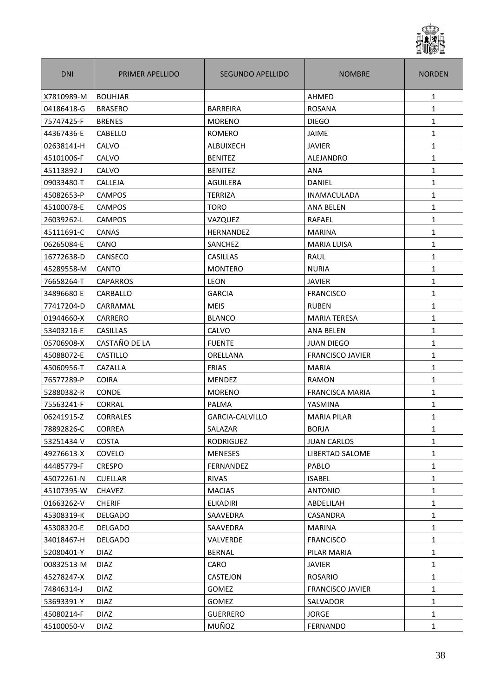

| <b>DNI</b> | PRIMER APELLIDO | <b>SEGUNDO APELLIDO</b> | <b>NOMBRE</b>           | <b>NORDEN</b> |
|------------|-----------------|-------------------------|-------------------------|---------------|
| X7810989-M | <b>BOUHJAR</b>  |                         | AHMED                   | 1             |
| 04186418-G | <b>BRASERO</b>  | <b>BARREIRA</b>         | <b>ROSANA</b>           | $\mathbf{1}$  |
| 75747425-F | <b>BRENES</b>   | <b>MORENO</b>           | <b>DIEGO</b>            | $\mathbf{1}$  |
| 44367436-E | <b>CABELLO</b>  | ROMERO                  | <b>JAIME</b>            | 1             |
| 02638141-H | CALVO           | ALBUIXECH               | <b>JAVIER</b>           | 1             |
| 45101006-F | CALVO           | <b>BENITEZ</b>          | ALEJANDRO               | $\mathbf{1}$  |
| 45113892-J | <b>CALVO</b>    | <b>BENITEZ</b>          | <b>ANA</b>              | 1             |
| 09033480-T | CALLEJA         | AGUILERA                | DANIEL                  | 1             |
| 45082653-P | <b>CAMPOS</b>   | TERRIZA                 | <b>INAMACULADA</b>      | 1             |
| 45100078-E | <b>CAMPOS</b>   | <b>TORO</b>             | <b>ANA BELEN</b>        | $\mathbf{1}$  |
| 26039262-L | CAMPOS          | VAZQUEZ                 | RAFAEL                  | $\mathbf{1}$  |
| 45111691-C | <b>CANAS</b>    | HERNANDEZ               | <b>MARINA</b>           | $\mathbf{1}$  |
| 06265084-E | CANO            | SANCHEZ                 | <b>MARIA LUISA</b>      | $\mathbf{1}$  |
| 16772638-D | CANSECO         | <b>CASILLAS</b>         | <b>RAUL</b>             | $\mathbf{1}$  |
| 45289558-M | <b>CANTO</b>    | <b>MONTERO</b>          | <b>NURIA</b>            | $\mathbf{1}$  |
| 76658264-T | <b>CAPARROS</b> | <b>LEON</b>             | <b>JAVIER</b>           | $\mathbf{1}$  |
| 34896680-E | CARBALLO        | <b>GARCIA</b>           | <b>FRANCISCO</b>        | $\mathbf{1}$  |
| 77417204-D | CARRAMAL        | <b>MEIS</b>             | <b>RUBEN</b>            | $\mathbf{1}$  |
| 01944660-X | CARRERO         | <b>BLANCO</b>           | <b>MARIA TERESA</b>     | $\mathbf{1}$  |
| 53403216-E | <b>CASILLAS</b> | CALVO                   | <b>ANA BELEN</b>        | $\mathbf{1}$  |
| 05706908-X | CASTAÑO DE LA   | <b>FUENTE</b>           | <b>JUAN DIEGO</b>       | $\mathbf{1}$  |
| 45088072-E | <b>CASTILLO</b> | ORELLANA                | <b>FRANCISCO JAVIER</b> | 1             |
| 45060956-T | CAZALLA         | <b>FRIAS</b>            | <b>MARIA</b>            | $\mathbf{1}$  |
| 76577289-P | <b>COIRA</b>    | MENDEZ                  | RAMON                   | 1             |
| 52880382-R | <b>CONDE</b>    | <b>MORENO</b>           | <b>FRANCISCA MARIA</b>  | $\mathbf{1}$  |
| 75563241-F | <b>CORRAL</b>   | <b>PALMA</b>            | YASMINA                 | $\mathbf{1}$  |
| 06241915-Z | <b>CORRALES</b> | GARCIA-CALVILLO         | <b>MARIA PILAR</b>      | $\mathbf{1}$  |
| 78892826-C | CORREA          | SALAZAR                 | <b>BORJA</b>            | 1             |
| 53251434-V | <b>COSTA</b>    | RODRIGUEZ               | <b>JUAN CARLOS</b>      | $\mathbf{1}$  |
| 49276613-X | COVELO          | <b>MENESES</b>          | LIBERTAD SALOME         | 1             |
| 44485779-F | <b>CRESPO</b>   | FERNANDEZ               | PABLO                   | 1             |
| 45072261-N | <b>CUELLAR</b>  | <b>RIVAS</b>            | <b>ISABEL</b>           | 1             |
| 45107395-W | CHAVEZ          | <b>MACIAS</b>           | <b>ANTONIO</b>          | 1             |
| 01663262-V | <b>CHERIF</b>   | ELKADIRI                | ABDELILAH               | 1             |
| 45308319-K | <b>DELGADO</b>  | SAAVEDRA                | CASANDRA                | 1             |
| 45308320-E | <b>DELGADO</b>  | SAAVEDRA                | <b>MARINA</b>           | 1             |
| 34018467-H | <b>DELGADO</b>  | VALVERDE                | <b>FRANCISCO</b>        | 1             |
| 52080401-Y | <b>DIAZ</b>     | <b>BERNAL</b>           | PILAR MARIA             | $\mathbf{1}$  |
| 00832513-M | <b>DIAZ</b>     | CARO                    | <b>JAVIER</b>           | 1             |
| 45278247-X | <b>DIAZ</b>     | <b>CASTEJON</b>         | ROSARIO                 | 1             |
| 74846314-J | <b>DIAZ</b>     | GOMEZ                   | <b>FRANCISCO JAVIER</b> | 1             |
| 53693391-Y | <b>DIAZ</b>     | <b>GOMEZ</b>            | SALVADOR                | 1             |
| 45080214-F | <b>DIAZ</b>     | <b>GUERRERO</b>         | <b>JORGE</b>            | 1             |
| 45100050-V | <b>DIAZ</b>     | MUÑOZ                   | FERNANDO                | 1             |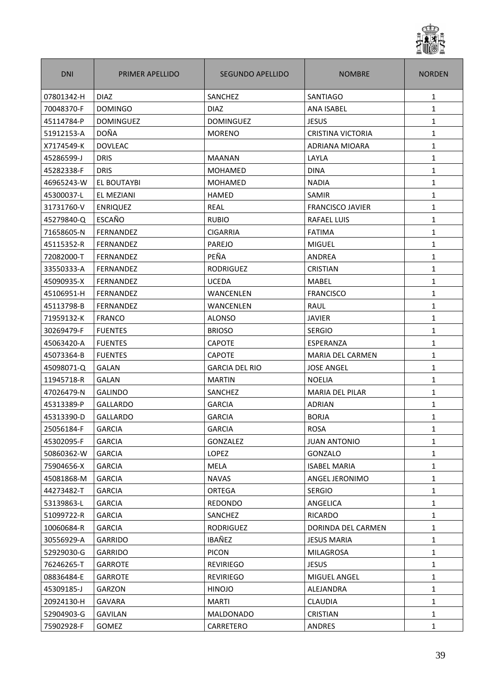

| <b>DNI</b> | PRIMER APELLIDO  | SEGUNDO APELLIDO      | <b>NOMBRE</b>            | <b>NORDEN</b> |
|------------|------------------|-----------------------|--------------------------|---------------|
| 07801342-H | <b>DIAZ</b>      | SANCHEZ               | <b>SANTIAGO</b>          | 1             |
| 70048370-F | <b>DOMINGO</b>   | <b>DIAZ</b>           | <b>ANA ISABEL</b>        | $\mathbf{1}$  |
| 45114784-P | <b>DOMINGUEZ</b> | <b>DOMINGUEZ</b>      | <b>JESUS</b>             | $\mathbf{1}$  |
| 51912153-A | <b>DOÑA</b>      | <b>MORENO</b>         | <b>CRISTINA VICTORIA</b> | $\mathbf{1}$  |
| X7174549-K | <b>DOVLEAC</b>   |                       | <b>ADRIANA MIOARA</b>    | $\mathbf{1}$  |
| 45286599-J | <b>DRIS</b>      | <b>MAANAN</b>         | LAYLA                    | $\mathbf{1}$  |
| 45282338-F | <b>DRIS</b>      | <b>MOHAMED</b>        | <b>DINA</b>              | $\mathbf{1}$  |
| 46965243-W | EL BOUTAYBI      | <b>MOHAMED</b>        | <b>NADIA</b>             | $\mathbf{1}$  |
| 45300037-L | EL MEZIANI       | <b>HAMED</b>          | <b>SAMIR</b>             | $\mathbf{1}$  |
| 31731760-V | <b>ENRIQUEZ</b>  | REAL                  | <b>FRANCISCO JAVIER</b>  | $\mathbf{1}$  |
| 45279840-Q | ESCAÑO           | <b>RUBIO</b>          | <b>RAFAEL LUIS</b>       | $\mathbf{1}$  |
| 71658605-N | <b>FERNANDEZ</b> | <b>CIGARRIA</b>       | <b>FATIMA</b>            | $\mathbf{1}$  |
| 45115352-R | <b>FERNANDEZ</b> | PAREJO                | <b>MIGUEL</b>            | 1             |
| 72082000-T | FERNANDEZ        | PEÑA                  | ANDREA                   | $\mathbf{1}$  |
| 33550333-A | <b>FERNANDEZ</b> | <b>RODRIGUEZ</b>      | <b>CRISTIAN</b>          | $\mathbf 1$   |
| 45090935-X | <b>FERNANDEZ</b> | <b>UCEDA</b>          | <b>MABEL</b>             | $\mathbf{1}$  |
| 45106951-H | <b>FERNANDEZ</b> | WANCENLEN             | <b>FRANCISCO</b>         | $\mathbf{1}$  |
| 45113798-B | FERNANDEZ        | WANCENLEN             | <b>RAUL</b>              | $\mathbf{1}$  |
| 71959132-K | <b>FRANCO</b>    | <b>ALONSO</b>         | JAVIER                   | 1             |
| 30269479-F | <b>FUENTES</b>   | <b>BRIOSO</b>         | <b>SERGIO</b>            | 1             |
| 45063420-A | <b>FUENTES</b>   | <b>CAPOTE</b>         | ESPERANZA                | 1             |
| 45073364-B | <b>FUENTES</b>   | <b>CAPOTE</b>         | MARIA DEL CARMEN         | $\mathbf{1}$  |
| 45098071-Q | <b>GALAN</b>     | <b>GARCIA DEL RIO</b> | <b>JOSE ANGEL</b>        | $\mathbf{1}$  |
| 11945718-R | <b>GALAN</b>     | <b>MARTIN</b>         | <b>NOELIA</b>            | 1             |
| 47026479-N | <b>GALINDO</b>   | SANCHEZ               | <b>MARIA DEL PILAR</b>   | $\mathbf{1}$  |
| 45313389-P | <b>GALLARDO</b>  | <b>GARCIA</b>         | <b>ADRIAN</b>            | $\mathbf{1}$  |
| 45313390-D | <b>GALLARDO</b>  | <b>GARCIA</b>         | <b>BORJA</b>             | $\mathbf{1}$  |
| 25056184-F | <b>GARCIA</b>    | GARCIA                | ROSA                     | $\mathbf 1$   |
| 45302095-F | <b>GARCIA</b>    | GONZALEZ              | <b>JUAN ANTONIO</b>      | $\mathbf{1}$  |
| 50860362-W | <b>GARCIA</b>    | <b>LOPEZ</b>          | GONZALO                  | $\mathbf{1}$  |
| 75904656-X | <b>GARCIA</b>    | <b>MELA</b>           | <b>ISABEL MARIA</b>      | $\mathbf{1}$  |
| 45081868-M | <b>GARCIA</b>    | <b>NAVAS</b>          | ANGEL JERONIMO           | $\mathbf{1}$  |
| 44273482-T | <b>GARCIA</b>    | ORTEGA                | <b>SERGIO</b>            | $\mathbf{1}$  |
| 53139863-L | <b>GARCIA</b>    | REDONDO               | ANGELICA                 | $\mathbf{1}$  |
| 51099722-R | <b>GARCIA</b>    | SANCHEZ               | RICARDO                  | $\mathbf{1}$  |
| 10060684-R | <b>GARCIA</b>    | <b>RODRIGUEZ</b>      | DORINDA DEL CARMEN       | $\mathbf{1}$  |
| 30556929-A | GARRIDO          | IBAÑEZ                | JESUS MARIA              | 1             |
| 52929030-G | <b>GARRIDO</b>   | <b>PICON</b>          | MILAGROSA                | $\mathbf{1}$  |
| 76246265-T | GARROTE          | <b>REVIRIEGO</b>      | <b>JESUS</b>             | $\mathbf{1}$  |
| 08836484-E | <b>GARROTE</b>   | <b>REVIRIEGO</b>      | MIGUEL ANGEL             | 1             |
| 45309185-J | GARZON           | <b>HINOJO</b>         | ALEJANDRA                | $\mathbf{1}$  |
| 20924130-H | <b>GAVARA</b>    | <b>MARTI</b>          | <b>CLAUDIA</b>           | $\mathbf{1}$  |
| 52904903-G | <b>GAVILAN</b>   | <b>MALDONADO</b>      | <b>CRISTIAN</b>          | $\mathbf{1}$  |
| 75902928-F | <b>GOMEZ</b>     | CARRETERO             | <b>ANDRES</b>            | $\mathbf{1}$  |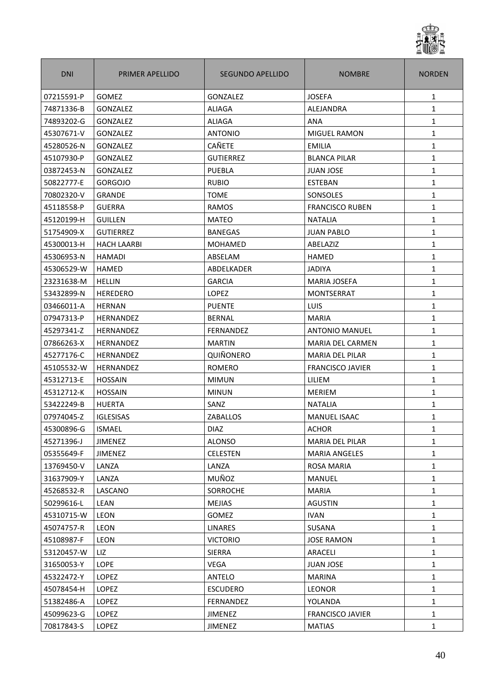

| <b>DNI</b> | PRIMER APELLIDO    | SEGUNDO APELLIDO | <b>NOMBRE</b>           | <b>NORDEN</b> |
|------------|--------------------|------------------|-------------------------|---------------|
| 07215591-P | <b>GOMEZ</b>       | GONZALEZ         | <b>JOSEFA</b>           | 1             |
| 74871336-B | GONZALEZ           | ALIAGA           | ALEJANDRA               | $\mathbf{1}$  |
| 74893202-G | <b>GONZALEZ</b>    | ALIAGA           | ANA                     | $\mathbf{1}$  |
| 45307671-V | GONZALEZ           | <b>ANTONIO</b>   | <b>MIGUEL RAMON</b>     | $\mathbf{1}$  |
| 45280526-N | GONZALEZ           | <b>CAÑETE</b>    | <b>EMILIA</b>           | $\mathbf{1}$  |
| 45107930-P | GONZALEZ           | <b>GUTIERREZ</b> | <b>BLANCA PILAR</b>     | $\mathbf{1}$  |
| 03872453-N | GONZALEZ           | PUEBLA           | <b>JUAN JOSE</b>        | $\mathbf{1}$  |
| 50822777-E | <b>GORGOJO</b>     | <b>RUBIO</b>     | <b>ESTEBAN</b>          | $\mathbf{1}$  |
| 70802320-V | <b>GRANDE</b>      | <b>TOME</b>      | SONSOLES                | $\mathbf{1}$  |
| 45118558-P | <b>GUERRA</b>      | <b>RAMOS</b>     | <b>FRANCISCO RUBEN</b>  | $\mathbf{1}$  |
| 45120199-H | <b>GUILLEN</b>     | <b>MATEO</b>     | <b>NATALIA</b>          | $\mathbf{1}$  |
| 51754909-X | <b>GUTIERREZ</b>   | <b>BANEGAS</b>   | <b>JUAN PABLO</b>       | $\mathbf{1}$  |
| 45300013-H | <b>HACH LAARBI</b> | <b>MOHAMED</b>   | ABELAZIZ                | 1             |
| 45306953-N | <b>HAMADI</b>      | ABSELAM          | <b>HAMED</b>            | $\mathbf{1}$  |
| 45306529-W | HAMED              | ABDELKADER       | <b>JADIYA</b>           | $\mathbf{1}$  |
| 23231638-M | <b>HELLIN</b>      | <b>GARCIA</b>    | <b>MARIA JOSEFA</b>     | $\mathbf{1}$  |
| 53432899-N | <b>HEREDERO</b>    | <b>LOPEZ</b>     | MONTSERRAT              | $\mathbf{1}$  |
| 03466011-A | <b>HERNAN</b>      | <b>PUENTE</b>    | <b>LUIS</b>             | $\mathbf{1}$  |
| 07947313-P | <b>HERNANDEZ</b>   | <b>BERNAL</b>    | <b>MARIA</b>            | 1             |
| 45297341-Z | <b>HERNANDEZ</b>   | FERNANDEZ        | <b>ANTONIO MANUEL</b>   | 1             |
| 07866263-X | HERNANDEZ          | <b>MARTIN</b>    | <b>MARIA DEL CARMEN</b> | 1             |
| 45277176-C | HERNANDEZ          | QUIÑONERO        | MARIA DEL PILAR         | $\mathbf{1}$  |
| 45105532-W | HERNANDEZ          | <b>ROMERO</b>    | <b>FRANCISCO JAVIER</b> | $\mathbf{1}$  |
| 45312713-E | <b>HOSSAIN</b>     | <b>MIMUN</b>     | LILIEM                  | 1             |
| 45312712-K | <b>HOSSAIN</b>     | <b>MINUN</b>     | <b>MERIEM</b>           | $\mathbf{1}$  |
| 53422249-B | <b>HUERTA</b>      | SANZ             | <b>NATALIA</b>          | $\mathbf{1}$  |
| 07974045-Z | <b>IGLESISAS</b>   | ZABALLOS         | <b>MANUEL ISAAC</b>     | $\mathbf{1}$  |
| 45300896-G | <b>ISMAEL</b>      | <b>DIAZ</b>      | ACHOR                   | $\mathbf 1$   |
| 45271396-J | <b>JIMENEZ</b>     | <b>ALONSO</b>    | MARIA DEL PILAR         | $\mathbf{1}$  |
| 05355649-F | <b>JIMENEZ</b>     | <b>CELESTEN</b>  | <b>MARIA ANGELES</b>    | $\mathbf{1}$  |
| 13769450-V | LANZA              | LANZA            | <b>ROSA MARIA</b>       | $\mathbf{1}$  |
| 31637909-Y | LANZA              | MUÑOZ            | <b>MANUEL</b>           | $\mathbf{1}$  |
| 45268532-R | LASCANO            | <b>SORROCHE</b>  | <b>MARIA</b>            | $\mathbf{1}$  |
| 50299616-L | LEAN               | <b>MEJIAS</b>    | <b>AGUSTIN</b>          | $\mathbf{1}$  |
| 45310715-W | <b>LEON</b>        | <b>GOMEZ</b>     | <b>IVAN</b>             | $\mathbf{1}$  |
| 45074757-R | LEON               | <b>LINARES</b>   | <b>SUSANA</b>           | $\mathbf{1}$  |
| 45108987-F | <b>LEON</b>        | <b>VICTORIO</b>  | JOSE RAMON              | $\mathbf{1}$  |
| 53120457-W | LIZ                | <b>SIERRA</b>    | ARACELI                 | $\mathbf{1}$  |
| 31650053-Y | LOPE               | <b>VEGA</b>      | <b>JUAN JOSE</b>        | $\mathbf{1}$  |
| 45322472-Y | <b>LOPEZ</b>       | ANTELO           | <b>MARINA</b>           | $\mathbf{1}$  |
| 45078454-H | LOPEZ              | <b>ESCUDERO</b>  | <b>LEONOR</b>           | $\mathbf{1}$  |
| 51382486-A | <b>LOPEZ</b>       | FERNANDEZ        | YOLANDA                 | $\mathbf{1}$  |
| 45099623-G | LOPEZ              | <b>JIMENEZ</b>   | <b>FRANCISCO JAVIER</b> | $\mathbf{1}$  |
| 70817843-S | <b>LOPEZ</b>       | <b>JIMENEZ</b>   | <b>MATIAS</b>           | $\mathbf{1}$  |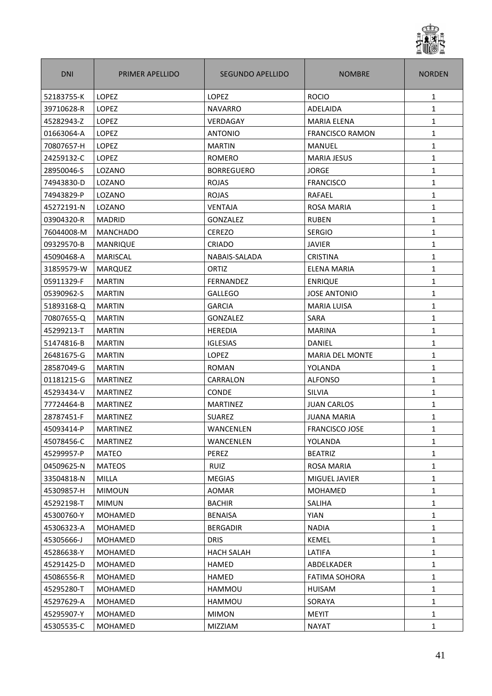

| <b>DNI</b> | PRIMER APELLIDO | <b>SEGUNDO APELLIDO</b> | <b>NOMBRE</b>          | <b>NORDEN</b> |
|------------|-----------------|-------------------------|------------------------|---------------|
| 52183755-K | LOPEZ           | LOPEZ                   | <b>ROCIO</b>           | 1             |
| 39710628-R | <b>LOPEZ</b>    | <b>NAVARRO</b>          | ADELAIDA               | $\mathbf{1}$  |
| 45282943-Z | <b>LOPEZ</b>    | VERDAGAY                | <b>MARIA ELENA</b>     | $\mathbf{1}$  |
| 01663064-A | <b>LOPEZ</b>    | <b>ANTONIO</b>          | <b>FRANCISCO RAMON</b> | $\mathbf{1}$  |
| 70807657-H | LOPEZ           | <b>MARTIN</b>           | <b>MANUEL</b>          | $\mathbf{1}$  |
| 24259132-C | <b>LOPEZ</b>    | <b>ROMERO</b>           | <b>MARIA JESUS</b>     | $\mathbf{1}$  |
| 28950046-S | LOZANO          | <b>BORREGUERO</b>       | <b>JORGE</b>           | $\mathbf{1}$  |
| 74943830-D | LOZANO          | <b>ROJAS</b>            | <b>FRANCISCO</b>       | $\mathbf{1}$  |
| 74943829-P | LOZANO          | <b>ROJAS</b>            | RAFAEL                 | $\mathbf{1}$  |
| 45272191-N | LOZANO          | <b>VENTAJA</b>          | ROSA MARIA             | $\mathbf{1}$  |
| 03904320-R | <b>MADRID</b>   | GONZALEZ                | <b>RUBEN</b>           | $\mathbf{1}$  |
| 76044008-M | <b>MANCHADO</b> | <b>CEREZO</b>           | <b>SERGIO</b>          | $\mathbf{1}$  |
| 09329570-B | <b>MANRIQUE</b> | CRIADO                  | <b>JAVIER</b>          | $\mathbf{1}$  |
| 45090468-A | <b>MARISCAL</b> | NABAIS-SALADA           | <b>CRISTINA</b>        | $\mathbf{1}$  |
| 31859579-W | <b>MARQUEZ</b>  | ORTIZ                   | ELENA MARIA            | $\mathbf{1}$  |
| 05911329-F | <b>MARTIN</b>   | FERNANDEZ               | <b>ENRIQUE</b>         | 1             |
| 05390962-S | <b>MARTIN</b>   | <b>GALLEGO</b>          | <b>JOSE ANTONIO</b>    | 1             |
| 51893168-Q | <b>MARTIN</b>   | <b>GARCIA</b>           | <b>MARIA LUISA</b>     | 1             |
| 70807655-Q | <b>MARTIN</b>   | <b>GONZALEZ</b>         | <b>SARA</b>            | $\mathbf{1}$  |
| 45299213-T | <b>MARTIN</b>   | <b>HEREDIA</b>          | <b>MARINA</b>          | $\mathbf{1}$  |
| 51474816-B | <b>MARTIN</b>   | <b>IGLESIAS</b>         | <b>DANIEL</b>          | 1             |
| 26481675-G | <b>MARTIN</b>   | LOPEZ                   | <b>MARIA DEL MONTE</b> | $\mathbf{1}$  |
| 28587049-G | <b>MARTIN</b>   | <b>ROMAN</b>            | YOLANDA                | $\mathbf{1}$  |
| 01181215-G | <b>MARTINEZ</b> | CARRALON                | <b>ALFONSO</b>         | $\mathbf{1}$  |
| 45293434-V | <b>MARTINEZ</b> | <b>CONDE</b>            | <b>SILVIA</b>          | $\mathbf{1}$  |
| 77724464-B | <b>MARTINEZ</b> | <b>MARTINEZ</b>         | <b>JUAN CARLOS</b>     | $\mathbf{1}$  |
| 28787451-F | <b>MARTINEZ</b> | <b>SUAREZ</b>           | <b>JUANA MARIA</b>     | $\mathbf{1}$  |
| 45093414-P | MARTINEZ        | WANCENLEN               | FRANCISCO JOSE         | $\mathbf{1}$  |
| 45078456-C | <b>MARTINEZ</b> | WANCENLEN               | YOLANDA                | $\mathbf{1}$  |
| 45299957-P | <b>MATEO</b>    | PEREZ                   | <b>BEATRIZ</b>         | $\mathbf{1}$  |
| 04509625-N | <b>MATEOS</b>   | RUIZ                    | ROSA MARIA             | $\mathbf{1}$  |
| 33504818-N | MILLA           | <b>MEGIAS</b>           | MIGUEL JAVIER          | $\mathbf{1}$  |
| 45309857-H | <b>MIMOUN</b>   | AOMAR                   | <b>MOHAMED</b>         | $\mathbf{1}$  |
| 45292198-T | <b>MIMUN</b>    | <b>BACHIR</b>           | <b>SALIHA</b>          | $\mathbf{1}$  |
| 45300760-Y | <b>MOHAMED</b>  | <b>BENAISA</b>          | <b>YIAN</b>            | $\mathbf{1}$  |
| 45306323-A | <b>MOHAMED</b>  | <b>BERGADIR</b>         | <b>NADIA</b>           | $\mathbf{1}$  |
| 45305666-J | MOHAMED         | <b>DRIS</b>             | KEMEL                  | 1             |
| 45286638-Y | <b>MOHAMED</b>  | <b>HACH SALAH</b>       | LATIFA                 | $\mathbf{1}$  |
| 45291425-D | MOHAMED         | <b>HAMED</b>            | ABDELKADER             | $\mathbf{1}$  |
| 45086556-R | <b>MOHAMED</b>  | <b>HAMED</b>            | <b>FATIMA SOHORA</b>   | $\mathbf{1}$  |
| 45295280-T | MOHAMED         | HAMMOU                  | HUISAM                 | $\mathbf{1}$  |
| 45297629-A | MOHAMED         | HAMMOU                  | SORAYA                 | $\mathbf{1}$  |
| 45295907-Y | MOHAMED         | <b>MIMON</b>            | <b>MEYIT</b>           | $\mathbf{1}$  |
| 45305535-C | MOHAMED         | MIZZIAM                 | <b>NAYAT</b>           | 1             |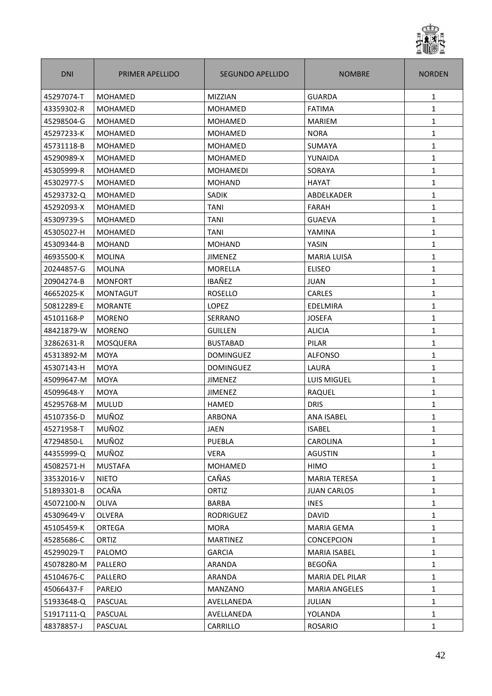

| <b>DNI</b> | PRIMER APELLIDO | SEGUNDO APELLIDO | <b>NOMBRE</b>        | <b>NORDEN</b> |
|------------|-----------------|------------------|----------------------|---------------|
| 45297074-T | <b>MOHAMED</b>  | <b>MIZZIAN</b>   | <b>GUARDA</b>        | $\mathbf{1}$  |
| 43359302-R | MOHAMED         | MOHAMED          | <b>FATIMA</b>        | $\mathbf{1}$  |
| 45298504-G | <b>MOHAMED</b>  | <b>MOHAMED</b>   | <b>MARIEM</b>        | $\mathbf{1}$  |
| 45297233-K | MOHAMED         | <b>MOHAMED</b>   | <b>NORA</b>          | $\mathbf{1}$  |
| 45731118-B | <b>MOHAMED</b>  | <b>MOHAMED</b>   | SUMAYA               | $\mathbf{1}$  |
| 45290989-X | MOHAMED         | <b>MOHAMED</b>   | YUNAIDA              | $\mathbf{1}$  |
| 45305999-R | <b>MOHAMED</b>  | <b>MOHAMEDI</b>  | SORAYA               | $\mathbf{1}$  |
| 45302977-S | <b>MOHAMED</b>  | <b>MOHAND</b>    | <b>HAYAT</b>         | 1             |
| 45293732-Q | MOHAMED         | <b>SADIK</b>     | ABDELKADER           | 1             |
| 45292093-X | MOHAMED         | <b>TANI</b>      | <b>FARAH</b>         | $\mathbf{1}$  |
| 45309739-S | <b>MOHAMED</b>  | TANI             | <b>GUAEVA</b>        | $\mathbf{1}$  |
| 45305027-H | <b>MOHAMED</b>  | <b>TANI</b>      | YAMINA               | 1             |
| 45309344-B | <b>MOHAND</b>   | <b>MOHAND</b>    | YASIN                | $\mathbf{1}$  |
| 46935500-K | <b>MOLINA</b>   | <b>JIMENEZ</b>   | <b>MARIA LUISA</b>   | $\mathbf{1}$  |
| 20244857-G | <b>MOLINA</b>   | MORELLA          | <b>ELISEO</b>        | $\mathbf{1}$  |
| 20904274-B | <b>MONFORT</b>  | IBAÑEZ           | <b>JUAN</b>          | $\mathbf{1}$  |
| 46652025-K | <b>MONTAGUT</b> | <b>ROSELLO</b>   | CARLES               | $\mathbf{1}$  |
| 50812289-E | <b>MORANTE</b>  | LOPEZ            | EDELMIRA             | 1             |
| 45101168-P | <b>MORENO</b>   | SERRANO          | <b>JOSEFA</b>        | $\mathbf{1}$  |
| 48421879-W | <b>MORENO</b>   | <b>GUILLEN</b>   | <b>ALICIA</b>        | 1             |
| 32862631-R | MOSQUERA        | <b>BUSTABAD</b>  | PILAR                | $\mathbf{1}$  |
| 45313892-M | <b>MOYA</b>     | <b>DOMINGUEZ</b> | <b>ALFONSO</b>       | $\mathbf{1}$  |
| 45307143-H | <b>MOYA</b>     | <b>DOMINGUEZ</b> | LAURA                | $\mathbf{1}$  |
| 45099647-M | <b>MOYA</b>     | <b>JIMENEZ</b>   | <b>LUIS MIGUEL</b>   | 1             |
| 45099648-Y | <b>MOYA</b>     | <b>JIMENEZ</b>   | <b>RAQUEL</b>        | $\mathbf{1}$  |
| 45295768-M | <b>MULUD</b>    | <b>HAMED</b>     | <b>DRIS</b>          | 1             |
| 45107356-D | MUÑOZ           | <b>ARBONA</b>    | <b>ANA ISABEL</b>    | $\mathbf{1}$  |
| 45271958-T | MUÑOZ           | JAEN             | <b>ISABEL</b>        | 1             |
| 47294850-L | MUÑOZ           | PUEBLA           | CAROLINA             | $\mathbf{1}$  |
| 44355999-Q | MUÑOZ           | <b>VERA</b>      | <b>AGUSTIN</b>       | $\mathbf{1}$  |
| 45082571-H | <b>MUSTAFA</b>  | MOHAMED          | HIMO                 | 1             |
| 33532016-V | <b>NIETO</b>    | CAÑAS            | <b>MARIA TERESA</b>  | 1             |
| 51893301-B | <b>OCAÑA</b>    | ORTIZ            | JUAN CARLOS          | $\mathbf{1}$  |
| 45072100-N | OLIVA           | <b>BARBA</b>     | <b>INES</b>          | $\mathbf{1}$  |
| 45309649-V | OLVERA          | <b>RODRIGUEZ</b> | <b>DAVID</b>         | 1             |
| 45105459-K | ORTEGA          | <b>MORA</b>      | <b>MARIA GEMA</b>    | $\mathbf{1}$  |
| 45285686-C | ORTIZ           | <b>MARTINEZ</b>  | <b>CONCEPCION</b>    | 1             |
| 45299029-T | PALOMO          | GARCIA           | MARIA ISABEL         | $\mathbf{1}$  |
| 45078280-M | PALLERO         | ARANDA           | BEGOÑA               | $\mathbf{1}$  |
| 45104676-C | PALLERO         | ARANDA           | MARIA DEL PILAR      | 1             |
| 45066437-F | PAREJO          | MANZANO          | <b>MARIA ANGELES</b> | 1             |
| 51933648-Q | PASCUAL         | AVELLANEDA       | <b>JULIAN</b>        | $\mathbf{1}$  |
| 51917111-Q | PASCUAL         | AVELLANEDA       | YOLANDA              | $\mathbf{1}$  |
| 48378857-J | PASCUAL         | CARRILLO         | ROSARIO              | $\mathbf{1}$  |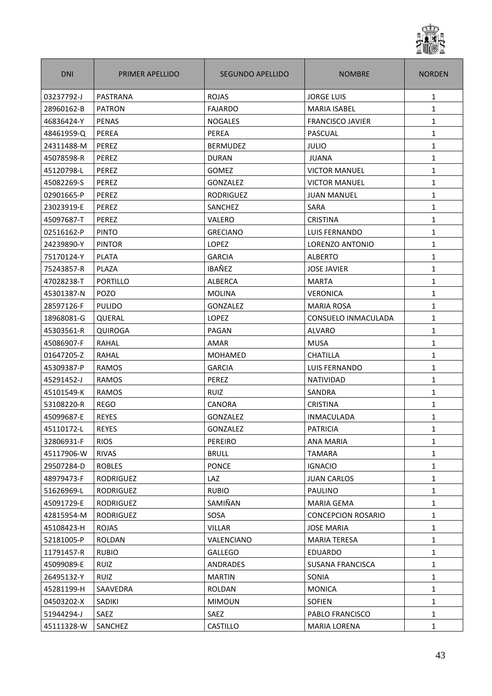

| <b>DNI</b> | PRIMER APELLIDO  | <b>SEGUNDO APELLIDO</b> | <b>NOMBRE</b>             | <b>NORDEN</b> |
|------------|------------------|-------------------------|---------------------------|---------------|
| 03237792-J | PASTRANA         | <b>ROJAS</b>            | <b>JORGE LUIS</b>         | 1             |
| 28960162-B | <b>PATRON</b>    | <b>FAJARDO</b>          | <b>MARIA ISABEL</b>       | $\mathbf{1}$  |
| 46836424-Y | <b>PENAS</b>     | <b>NOGALES</b>          | <b>FRANCISCO JAVIER</b>   | $\mathbf{1}$  |
| 48461959-Q | PEREA            | PEREA                   | PASCUAL                   | $\mathbf{1}$  |
| 24311488-M | PEREZ            | <b>BERMUDEZ</b>         | <b>JULIO</b>              | 1             |
| 45078598-R | PEREZ            | <b>DURAN</b>            | <b>JUANA</b>              | $\mathbf{1}$  |
| 45120798-L | <b>PEREZ</b>     | <b>GOMEZ</b>            | <b>VICTOR MANUEL</b>      | $\mathbf{1}$  |
| 45082269-S | PEREZ            | GONZALEZ                | <b>VICTOR MANUEL</b>      | $\mathbf{1}$  |
| 02901665-P | <b>PEREZ</b>     | <b>RODRIGUEZ</b>        | <b>JUAN MANUEL</b>        | $\mathbf{1}$  |
| 23023919-E | PEREZ            | SANCHEZ                 | <b>SARA</b>               | $\mathbf{1}$  |
| 45097687-T | <b>PEREZ</b>     | VALERO                  | <b>CRISTINA</b>           | 1             |
| 02516162-P | <b>PINTO</b>     | <b>GRECIANO</b>         | <b>LUIS FERNANDO</b>      | 1             |
| 24239890-Y | <b>PINTOR</b>    | <b>LOPEZ</b>            | <b>LORENZO ANTONIO</b>    | 1             |
| 75170124-Y | <b>PLATA</b>     | <b>GARCIA</b>           | <b>ALBERTO</b>            | 1             |
| 75243857-R | <b>PLAZA</b>     | IBAÑEZ                  | <b>JOSE JAVIER</b>        | $\mathbf{1}$  |
| 47028238-T | PORTILLO         | <b>ALBERCA</b>          | <b>MARTA</b>              | 1             |
| 45301387-N | <b>POZO</b>      | <b>MOLINA</b>           | <b>VERONICA</b>           | $\mathbf{1}$  |
| 28597126-F | <b>PULIDO</b>    | GONZALEZ                | <b>MARIA ROSA</b>         | $\mathbf{1}$  |
| 18968081-G | QUERAL           | <b>LOPEZ</b>            | CONSUELO INMACULADA       | $\mathbf{1}$  |
| 45303561-R | <b>QUIROGA</b>   | PAGAN                   | <b>ALVARO</b>             | $\mathbf{1}$  |
| 45086907-F | RAHAL            | AMAR                    | <b>MUSA</b>               | $\mathbf{1}$  |
| 01647205-Z | RAHAL            | <b>MOHAMED</b>          | <b>CHATILLA</b>           | 1             |
| 45309387-P | <b>RAMOS</b>     | <b>GARCIA</b>           | LUIS FERNANDO             | $\mathbf{1}$  |
| 45291452-J | <b>RAMOS</b>     | PEREZ                   | <b>NATIVIDAD</b>          | 1             |
| 45101549-K | <b>RAMOS</b>     | <b>RUIZ</b>             | SANDRA                    | 1             |
| 53108220-R | <b>REGO</b>      | CANORA                  | <b>CRISTINA</b>           | 1             |
| 45099687-E | <b>REYES</b>     | <b>GONZALEZ</b>         | <b>INMACULADA</b>         | $\mathbf{1}$  |
| 45110172-L | REYES            | GONZALEZ                | <b>PATRICIA</b>           | $\mathbf 1$   |
| 32806931-F | <b>RIOS</b>      | PEREIRO                 | ANA MARIA                 | 1             |
| 45117906-W | <b>RIVAS</b>     | <b>BRULL</b>            | <b>TAMARA</b>             | 1             |
| 29507284-D | <b>ROBLES</b>    | <b>PONCE</b>            | <b>IGNACIO</b>            | 1             |
| 48979473-F | <b>RODRIGUEZ</b> | LAZ                     | <b>JUAN CARLOS</b>        | 1             |
| 51626969-L | RODRIGUEZ        | <b>RUBIO</b>            | PAULINO                   | $\mathbf{1}$  |
| 45091729-E | RODRIGUEZ        | SAMIÑAN                 | <b>MARIA GEMA</b>         | 1             |
| 42815954-M | RODRIGUEZ        | SOSA                    | <b>CONCEPCION ROSARIO</b> | 1             |
| 45108423-H | ROJAS            | <b>VILLAR</b>           | <b>JOSE MARIA</b>         | 1             |
| 52181005-P | ROLDAN           | VALENCIANO              | <b>MARIA TERESA</b>       | 1             |
| 11791457-R | <b>RUBIO</b>     | <b>GALLEGO</b>          | <b>EDUARDO</b>            | $\mathbf{1}$  |
| 45099089-E | <b>RUIZ</b>      | ANDRADES                | SUSANA FRANCISCA          | $\mathbf{1}$  |
| 26495132-Y | <b>RUIZ</b>      | <b>MARTIN</b>           | SONIA                     | $\mathbf{1}$  |
| 45281199-H | SAAVEDRA         | ROLDAN                  | <b>MONICA</b>             | 1             |
| 04503202-X | SADIKI           | <b>MIMOUN</b>           | <b>SOFIEN</b>             | $\mathbf{1}$  |
| 51944294-J | SAEZ             | SAEZ                    | PABLO FRANCISCO           | $\mathbf{1}$  |
| 45111328-W | SANCHEZ          | CASTILLO                | MARIA LORENA              | $\mathbf{1}$  |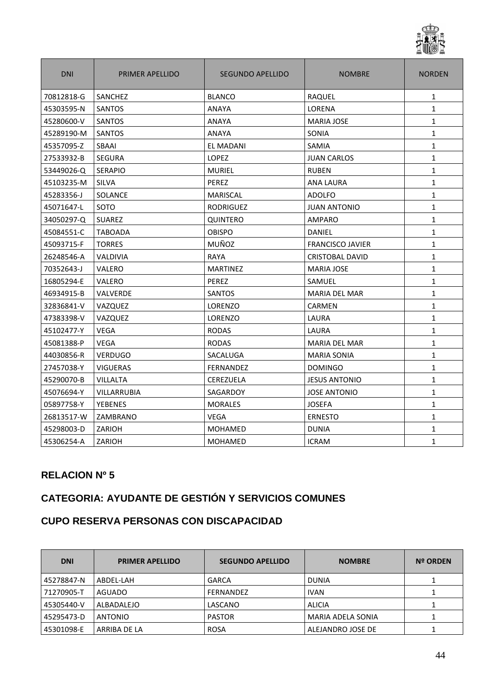

| <b>DNI</b> | PRIMER APELLIDO | <b>SEGUNDO APELLIDO</b> | <b>NOMBRE</b>           | <b>NORDEN</b> |
|------------|-----------------|-------------------------|-------------------------|---------------|
| 70812818-G | SANCHEZ         | <b>BLANCO</b>           | RAQUEL                  | $\mathbf{1}$  |
| 45303595-N | SANTOS          | <b>ANAYA</b>            | LORENA                  | $\mathbf{1}$  |
| 45280600-V | SANTOS          | ANAYA                   | <b>MARIA JOSE</b>       | $\mathbf{1}$  |
| 45289190-M | <b>SANTOS</b>   | <b>ANAYA</b>            | SONIA                   | $\mathbf{1}$  |
| 45357095-Z | SBAAI           | <b>EL MADANI</b>        | <b>SAMIA</b>            | $\mathbf{1}$  |
| 27533932-B | <b>SEGURA</b>   | LOPEZ                   | <b>JUAN CARLOS</b>      | $\mathbf{1}$  |
| 53449026-Q | <b>SERAPIO</b>  | <b>MURIEL</b>           | <b>RUBEN</b>            | $\mathbf{1}$  |
| 45103235-M | <b>SILVA</b>    | PEREZ                   | ANA LAURA               | $\mathbf{1}$  |
| 45283356-J | <b>SOLANCE</b>  | <b>MARISCAL</b>         | <b>ADOLFO</b>           | $\mathbf{1}$  |
| 45071647-L | SOTO            | <b>RODRIGUEZ</b>        | <b>JUAN ANTONIO</b>     | $\mathbf{1}$  |
| 34050297-Q | <b>SUAREZ</b>   | <b>QUINTERO</b>         | <b>AMPARO</b>           | $\mathbf{1}$  |
| 45084551-C | <b>TABOADA</b>  | <b>OBISPO</b>           | DANIEL                  | $\mathbf{1}$  |
| 45093715-F | <b>TORRES</b>   | MUÑOZ                   | <b>FRANCISCO JAVIER</b> | $\mathbf{1}$  |
| 26248546-A | <b>VALDIVIA</b> | RAYA                    | CRISTOBAL DAVID         | $\mathbf{1}$  |
| 70352643-J | VALERO          | <b>MARTINEZ</b>         | <b>MARIA JOSE</b>       | $\mathbf{1}$  |
| 16805294-E | <b>VALERO</b>   | PEREZ                   | SAMUEL                  | $\mathbf{1}$  |
| 46934915-B | <b>VALVERDE</b> | <b>SANTOS</b>           | <b>MARIA DEL MAR</b>    | $\mathbf{1}$  |
| 32836841-V | VAZQUEZ         | <b>LORENZO</b>          | CARMEN                  | $\mathbf{1}$  |
| 47383398-V | <b>VAZQUEZ</b>  | LORENZO                 | LAURA                   | $\mathbf{1}$  |
| 45102477-Y | <b>VEGA</b>     | <b>RODAS</b>            | LAURA                   | $\mathbf{1}$  |
| 45081388-P | <b>VEGA</b>     | <b>RODAS</b>            | <b>MARIA DEL MAR</b>    | $\mathbf{1}$  |
| 44030856-R | <b>VERDUGO</b>  | SACALUGA                | <b>MARIA SONIA</b>      | $\mathbf{1}$  |
| 27457038-Y | <b>VIGUERAS</b> | <b>FERNANDEZ</b>        | <b>DOMINGO</b>          | $\mathbf{1}$  |
| 45290070-B | <b>VILLALTA</b> | CEREZUELA               | <b>JESUS ANTONIO</b>    | $\mathbf{1}$  |
| 45076694-Y | VILLARRUBIA     | SAGARDOY                | <b>JOSE ANTONIO</b>     | $\mathbf{1}$  |
| 05897758-Y | <b>YEBENES</b>  | <b>MORALES</b>          | <b>JOSEFA</b>           | $\mathbf{1}$  |
| 26813517-W | ZAMBRANO        | VEGA                    | <b>ERNESTO</b>          | $\mathbf{1}$  |
| 45298003-D | ZARIOH          | <b>MOHAMED</b>          | <b>DUNIA</b>            | 1             |
| 45306254-A | ZARIOH          | MOHAMED                 | <b>ICRAM</b>            | $\mathbf{1}$  |

### **CATEGORIA: AYUDANTE DE GESTIÓN Y SERVICIOS COMUNES**

### **CUPO RESERVA PERSONAS CON DISCAPACIDAD**

| <b>DNI</b> | <b>PRIMER APELLIDO</b> | <b>SEGUNDO APELLIDO</b> | <b>NOMBRE</b>     | <b>Nº ORDEN</b> |
|------------|------------------------|-------------------------|-------------------|-----------------|
| 45278847-N | ABDEL-LAH              | <b>GARCA</b>            | <b>DUNIA</b>      |                 |
| 71270905-T | AGUADO                 | FERNANDEZ               | <b>IVAN</b>       |                 |
| 45305440-V | ALBADALEJO             | LASCANO                 | <b>ALICIA</b>     |                 |
| 45295473-D | ANTONIO                | <b>PASTOR</b>           | MARIA ADELA SONIA |                 |
| 45301098-E | ARRIBA DE LA           | <b>ROSA</b>             | ALEJANDRO JOSE DE |                 |